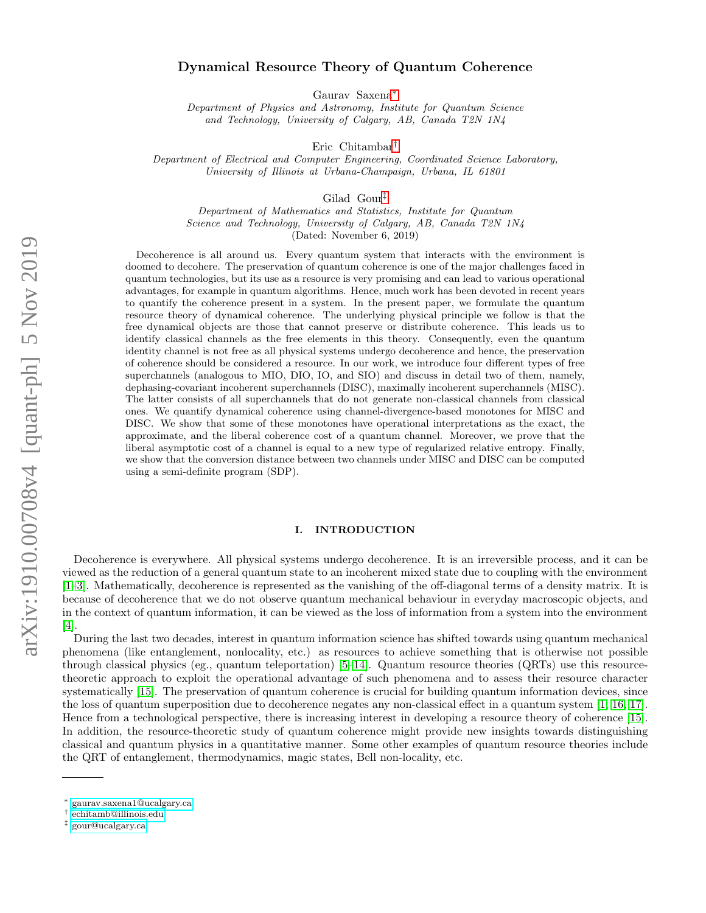# Dynamical Resource Theory of Quantum Coherence

Gaurav Saxena[∗](#page-0-0)

Department of Physics and Astronomy, Institute for Quantum Science and Technology, University of Calgary, AB, Canada T2N 1N4

Eric Chitambar[†](#page-0-1)

Department of Electrical and Computer Engineering, Coordinated Science Laboratory, University of Illinois at Urbana-Champaign, Urbana, IL 61801

Gilad Gour[‡](#page-0-2)

Department of Mathematics and Statistics, Institute for Quantum Science and Technology, University of Calgary, AB, Canada T2N 1N4 (Dated: November 6, 2019)

Decoherence is all around us. Every quantum system that interacts with the environment is doomed to decohere. The preservation of quantum coherence is one of the major challenges faced in quantum technologies, but its use as a resource is very promising and can lead to various operational advantages, for example in quantum algorithms. Hence, much work has been devoted in recent years to quantify the coherence present in a system. In the present paper, we formulate the quantum resource theory of dynamical coherence. The underlying physical principle we follow is that the free dynamical objects are those that cannot preserve or distribute coherence. This leads us to identify classical channels as the free elements in this theory. Consequently, even the quantum identity channel is not free as all physical systems undergo decoherence and hence, the preservation of coherence should be considered a resource. In our work, we introduce four different types of free superchannels (analogous to MIO, DIO, IO, and SIO) and discuss in detail two of them, namely, dephasing-covariant incoherent superchannels (DISC), maximally incoherent superchannels (MISC). The latter consists of all superchannels that do not generate non-classical channels from classical ones. We quantify dynamical coherence using channel-divergence-based monotones for MISC and DISC. We show that some of these monotones have operational interpretations as the exact, the approximate, and the liberal coherence cost of a quantum channel. Moreover, we prove that the liberal asymptotic cost of a channel is equal to a new type of regularized relative entropy. Finally, we show that the conversion distance between two channels under MISC and DISC can be computed using a semi-definite program (SDP).

### I. INTRODUCTION

Decoherence is everywhere. All physical systems undergo decoherence. It is an irreversible process, and it can be viewed as the reduction of a general quantum state to an incoherent mixed state due to coupling with the environment [\[1–](#page-25-0)[3\]](#page-25-1). Mathematically, decoherence is represented as the vanishing of the off-diagonal terms of a density matrix. It is because of decoherence that we do not observe quantum mechanical behaviour in everyday macroscopic objects, and in the context of quantum information, it can be viewed as the loss of information from a system into the environment [\[4\]](#page-25-2).

During the last two decades, interest in quantum information science has shifted towards using quantum mechanical phenomena (like entanglement, nonlocality, etc.) as resources to achieve something that is otherwise not possible through classical physics (eg., quantum teleportation) [\[5–](#page-25-3)[14\]](#page-25-4). Quantum resource theories (QRTs) use this resourcetheoretic approach to exploit the operational advantage of such phenomena and to assess their resource character systematically [\[15\]](#page-25-5). The preservation of quantum coherence is crucial for building quantum information devices, since the loss of quantum superposition due to decoherence negates any non-classical effect in a quantum system [\[1,](#page-25-0) [16,](#page-25-6) [17\]](#page-25-7). Hence from a technological perspective, there is increasing interest in developing a resource theory of coherence [\[15\]](#page-25-5). In addition, the resource-theoretic study of quantum coherence might provide new insights towards distinguishing classical and quantum physics in a quantitative manner. Some other examples of quantum resource theories include the QRT of entanglement, thermodynamics, magic states, Bell non-locality, etc.

<span id="page-0-0"></span><sup>∗</sup> [gaurav.saxena1@ucalgary.ca](mailto:gaurav.saxena1@ucalgary.ca)

<span id="page-0-1"></span><sup>†</sup> [echitamb@illinois.edu](mailto:echitamb@illinois.edu)

<span id="page-0-2"></span><sup>‡</sup> [gour@ucalgary.ca](mailto:gour@ucalgary.ca)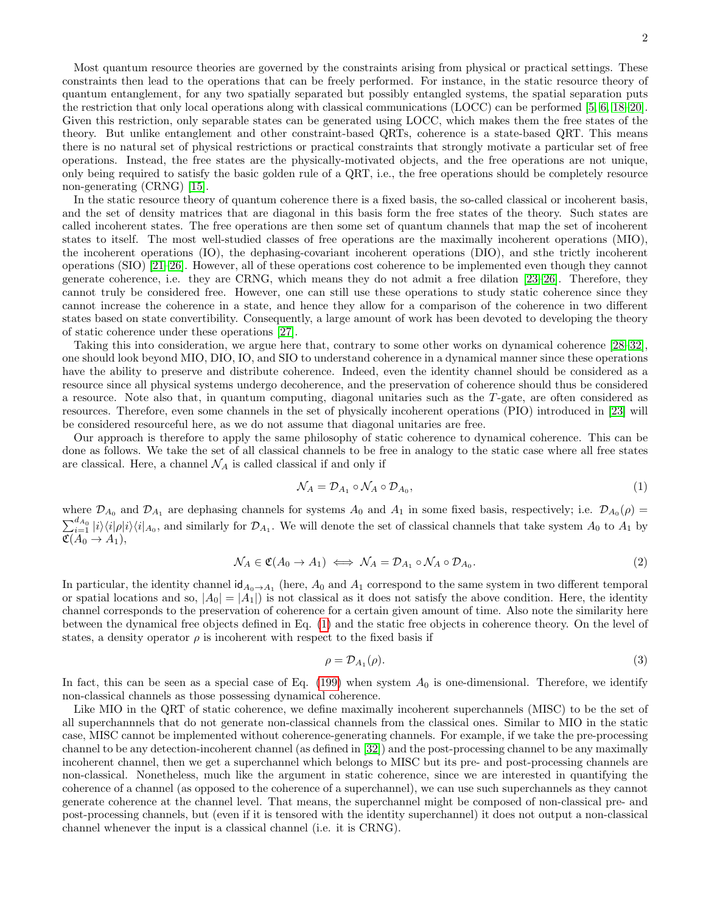Most quantum resource theories are governed by the constraints arising from physical or practical settings. These constraints then lead to the operations that can be freely performed. For instance, in the static resource theory of quantum entanglement, for any two spatially separated but possibly entangled systems, the spatial separation puts the restriction that only local operations along with classical communications (LOCC) can be performed [\[5,](#page-25-3) [6,](#page-25-8) [18–](#page-25-9)[20\]](#page-25-10). Given this restriction, only separable states can be generated using LOCC, which makes them the free states of the theory. But unlike entanglement and other constraint-based QRTs, coherence is a state-based QRT. This means there is no natural set of physical restrictions or practical constraints that strongly motivate a particular set of free operations. Instead, the free states are the physically-motivated objects, and the free operations are not unique, only being required to satisfy the basic golden rule of a QRT, i.e., the free operations should be completely resource non-generating (CRNG) [\[15\]](#page-25-5).

In the static resource theory of quantum coherence there is a fixed basis, the so-called classical or incoherent basis, and the set of density matrices that are diagonal in this basis form the free states of the theory. Such states are called incoherent states. The free operations are then some set of quantum channels that map the set of incoherent states to itself. The most well-studied classes of free operations are the maximally incoherent operations (MIO), the incoherent operations (IO), the dephasing-covariant incoherent operations (DIO), and sthe trictly incoherent operations (SIO) [\[21](#page-25-11)[–26\]](#page-25-12). However, all of these operations cost coherence to be implemented even though they cannot generate coherence, i.e. they are CRNG, which means they do not admit a free dilation [\[23–](#page-25-13)[26\]](#page-25-12). Therefore, they cannot truly be considered free. However, one can still use these operations to study static coherence since they cannot increase the coherence in a state, and hence they allow for a comparison of the coherence in two different states based on state convertibility. Consequently, a large amount of work has been devoted to developing the theory of static coherence under these operations [\[27\]](#page-25-14).

Taking this into consideration, we argue here that, contrary to some other works on dynamical coherence [\[28–](#page-25-15)[32\]](#page-26-0), one should look beyond MIO, DIO, IO, and SIO to understand coherence in a dynamical manner since these operations have the ability to preserve and distribute coherence. Indeed, even the identity channel should be considered as a resource since all physical systems undergo decoherence, and the preservation of coherence should thus be considered a resource. Note also that, in quantum computing, diagonal unitaries such as the T-gate, are often considered as resources. Therefore, even some channels in the set of physically incoherent operations (PIO) introduced in [\[23\]](#page-25-13) will be considered resourceful here, as we do not assume that diagonal unitaries are free.

Our approach is therefore to apply the same philosophy of static coherence to dynamical coherence. This can be done as follows. We take the set of all classical channels to be free in analogy to the static case where all free states are classical. Here, a channel  $\mathcal{N}_A$  is called classical if and only if

<span id="page-1-0"></span>
$$
\mathcal{N}_A = \mathcal{D}_{A_1} \circ \mathcal{N}_A \circ \mathcal{D}_{A_0},\tag{1}
$$

where  $\mathcal{D}_{A_0}$  and  $\mathcal{D}_{A_1}$  are dephasing channels for systems  $A_0$  and  $A_1$  in some fixed basis, respectively; i.e.  $\mathcal{D}_{A_0}(\rho)$  =  $\sum_{i=1}^{d_{A_0}}|i\rangle\langle i|\rho|i\rangle\langle i|_{A_0}$ , and similarly for  $\mathcal{D}_{A_1}$ . We will denote the set of classical channels that take system  $A_0$  to  $A_1$  by  $\mathfrak{C}(A_0 \rightarrow A_1),$ 

$$
\mathcal{N}_A \in \mathfrak{C}(A_0 \to A_1) \iff \mathcal{N}_A = \mathcal{D}_{A_1} \circ \mathcal{N}_A \circ \mathcal{D}_{A_0}.\tag{2}
$$

In particular, the identity channel  $\mathsf{id}_{A_0 \to A_1}$  (here,  $A_0$  and  $A_1$  correspond to the same system in two different temporal or spatial locations and so,  $|A_0| = |A_1|$  is not classical as it does not satisfy the above condition. Here, the identity channel corresponds to the preservation of coherence for a certain given amount of time. Also note the similarity here between the dynamical free objects defined in Eq. [\(1\)](#page-1-0) and the static free objects in coherence theory. On the level of states, a density operator  $\rho$  is incoherent with respect to the fixed basis if

$$
\rho = \mathcal{D}_{A_1}(\rho). \tag{3}
$$

In fact, this can be seen as a special case of Eq.  $(199)$  when system  $A_0$  is one-dimensional. Therefore, we identify non-classical channels as those possessing dynamical coherence.

Like MIO in the QRT of static coherence, we define maximally incoherent superchannels (MISC) to be the set of all superchannnels that do not generate non-classical channels from the classical ones. Similar to MIO in the static case, MISC cannot be implemented without coherence-generating channels. For example, if we take the pre-processing channel to be any detection-incoherent channel (as defined in [\[32\]](#page-26-0)) and the post-processing channel to be any maximally incoherent channel, then we get a superchannel which belongs to MISC but its pre- and post-processing channels are non-classical. Nonetheless, much like the argument in static coherence, since we are interested in quantifying the coherence of a channel (as opposed to the coherence of a superchannel), we can use such superchannels as they cannot generate coherence at the channel level. That means, the superchannel might be composed of non-classical pre- and post-processing channels, but (even if it is tensored with the identity superchannel) it does not output a non-classical channel whenever the input is a classical channel (i.e. it is CRNG).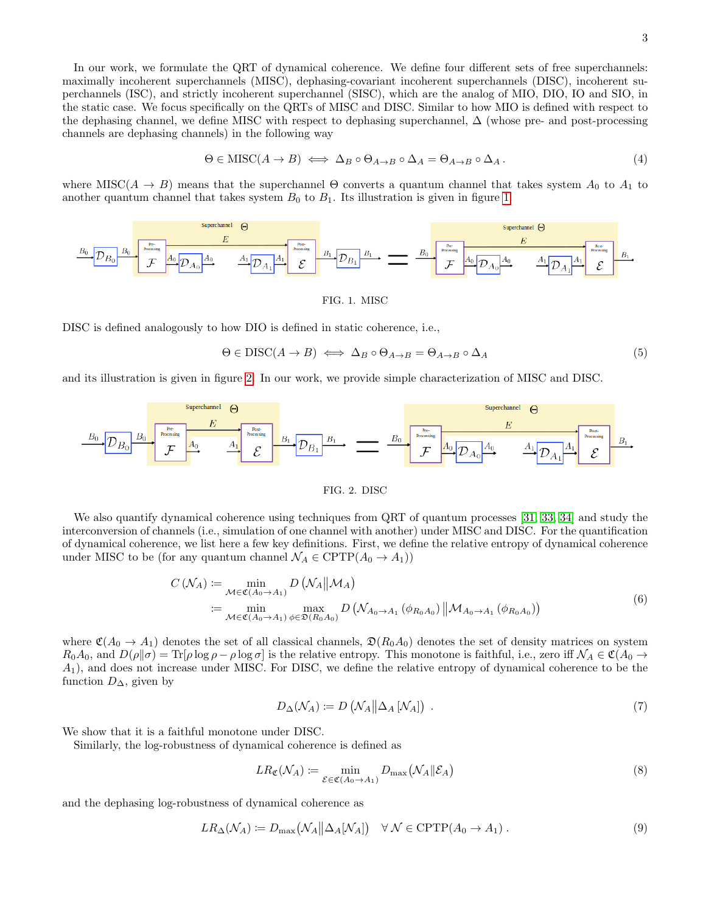In our work, we formulate the QRT of dynamical coherence. We define four different sets of free superchannels: maximally incoherent superchannels (MISC), dephasing-covariant incoherent superchannels (DISC), incoherent superchannels (ISC), and strictly incoherent superchannel (SISC), which are the analog of MIO, DIO, IO and SIO, in the static case. We focus specifically on the QRTs of MISC and DISC. Similar to how MIO is defined with respect to the dephasing channel, we define MISC with respect to dephasing superchannel, ∆ (whose pre- and post-processing channels are dephasing channels) in the following way

$$
\Theta \in \mathrm{MISC}(A \to B) \iff \Delta_B \circ \Theta_{A \to B} \circ \Delta_A = \Theta_{A \to B} \circ \Delta_A. \tag{4}
$$

where MISC( $A \rightarrow B$ ) means that the superchannel  $\Theta$  converts a quantum channel that takes system  $A_0$  to  $A_1$  to another quantum channel that takes system  $B_0$  to  $B_1$ . Its illustration is given in figure [1.](#page-2-0)

| Superchannel | $\Theta$          | Superchannel | $\Theta$ |       |       |       |       |       |       |       |       |       |       |       |       |       |       |       |       |       |       |       |       |       |       |       |       |       |       |       |       |       |       |       |       |       |       |       |       |       |       |       |       |       |       |       |       |       |       |       |       |       |       |       |       |       |       |       |
|--------------|-------------------|--------------|----------|-------|-------|-------|-------|-------|-------|-------|-------|-------|-------|-------|-------|-------|-------|-------|-------|-------|-------|-------|-------|-------|-------|-------|-------|-------|-------|-------|-------|-------|-------|-------|-------|-------|-------|-------|-------|-------|-------|-------|-------|-------|-------|-------|-------|-------|-------|-------|-------|-------|-------|-------|-------|-------|-------|-------|
| $B_0$        | $W_{\text{meas}}$ | $B_0$        | $B_1$    | $B_1$ | $B_2$ | $B_3$ | $B_4$ | $B_5$ | $B_6$ | $B_7$ | $B_8$ | $B_9$ | $B_9$ | $B_9$ | $B_9$ | $B_9$ | $B_9$ | $B_9$ | $B_9$ | $B_9$ | $B_9$ | $B_9$ | $B_9$ | $B_9$ | $B_9$ | $B_9$ | $B_9$ | $B_9$ | $B_9$ | $B_9$ | $B_9$ | $B_9$ | $B_9$ | $B_9$ | $B_9$ | $B_9$ | $B_9$ | $B_9$ | $B_9$ | $B_9$ | $B_9$ | $B_9$ | $B_9$ | $B_9$ | $B_9$ | $B_9$ | $B_9$ | $B_9$ | $B_9$ | $B_9$ | $B_9$ | $B_9$ | $B_9$ | $B_9$ | $B_9$ | $B_9$ | $B_9$ | $B_9$ |

<span id="page-2-0"></span>FIG. 1. MISC

DISC is defined analogously to how DIO is defined in static coherence, i.e.,

$$
\Theta \in DISC(A \to B) \iff \Delta_B \circ \Theta_{A \to B} = \Theta_{A \to B} \circ \Delta_A \tag{5}
$$

and its illustration is given in figure [2.](#page-2-1) In our work, we provide simple characterization of MISC and DISC.



### <span id="page-2-1"></span>FIG. 2. DISC

We also quantify dynamical coherence using techniques from QRT of quantum processes [\[31,](#page-25-16) [33,](#page-26-1) [34\]](#page-26-2) and study the interconversion of channels (i.e., simulation of one channel with another) under MISC and DISC. For the quantification of dynamical coherence, we list here a few key definitions. First, we define the relative entropy of dynamical coherence under MISC to be (for any quantum channel  $\mathcal{N}_A \in \text{CPTP}(A_0 \to A_1)$ )

$$
C\left(\mathcal{N}_A\right) := \min_{\mathcal{M} \in \mathfrak{C}(A_0 \to A_1)} D\left(\mathcal{N}_A \middle\| \mathcal{M}_A\right)
$$
  
 := 
$$
\min_{\mathcal{M} \in \mathfrak{C}(A_0 \to A_1)} \max_{\phi \in \mathfrak{D}(R_0 A_0)} D\left(\mathcal{N}_{A_0 \to A_1} \left(\phi_{R_0 A_0}\right) \middle\| \mathcal{M}_{A_0 \to A_1} \left(\phi_{R_0 A_0}\right)\right)
$$
(6)

where  $\mathfrak{C}(A_0 \to A_1)$  denotes the set of all classical channels,  $\mathfrak{D}(R_0A_0)$  denotes the set of density matrices on system  $R_0A_0$ , and  $D(\rho||\sigma) = \text{Tr}[\rho \log \rho - \rho \log \sigma]$  is the relative entropy. This monotone is faithful, i.e., zero iff  $\mathcal{N}_A \in \mathfrak{C}(A_0 \to \mathfrak{C}(A_0 \to \mathfrak{C}(A_0 \to \mathfrak{C}(A_0 \to \mathfrak{C}(A_0 \to \mathfrak{C}(A_0 \to \mathfrak{C}(A_0 \to \mathfrak{C}(A_0 \to \mathfrak$ A1), and does not increase under MISC. For DISC, we define the relative entropy of dynamical coherence to be the function  $D_{\Delta}$ , given by

$$
D_{\Delta}(\mathcal{N}_A) := D\left(\mathcal{N}_A \middle| \Delta_A [\mathcal{N}_A]\right) \tag{7}
$$

We show that it is a faithful monotone under DISC.

Similarly, the log-robustness of dynamical coherence is defined as

$$
LR_{\mathfrak{C}}(\mathcal{N}_A) := \min_{\mathcal{E} \in \mathfrak{C}(A_0 \to A_1)} D_{\max}(\mathcal{N}_A \| \mathcal{E}_A)
$$
(8)

and the dephasing log-robustness of dynamical coherence as

$$
LR_{\Delta}(\mathcal{N}_A) := D_{\max}(\mathcal{N}_A || \Delta_A [\mathcal{N}_A]) \quad \forall \ \mathcal{N} \in \text{CPTP}(A_0 \to A_1) \ . \tag{9}
$$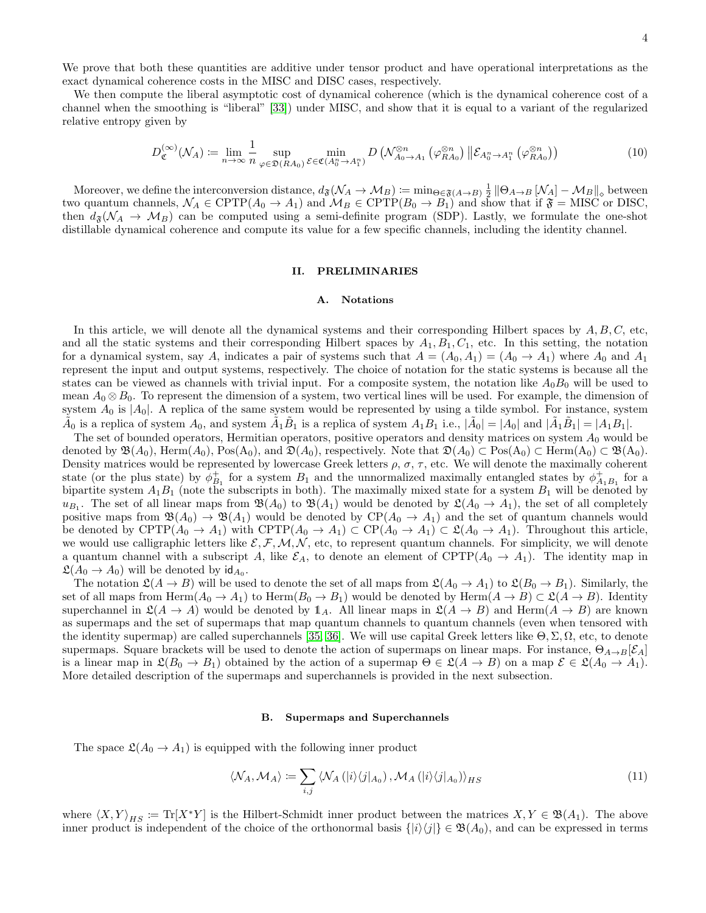We prove that both these quantities are additive under tensor product and have operational interpretations as the exact dynamical coherence costs in the MISC and DISC cases, respectively.

We then compute the liberal asymptotic cost of dynamical coherence (which is the dynamical coherence cost of a channel when the smoothing is "liberal" [\[33\]](#page-26-1)) under MISC, and show that it is equal to a variant of the regularized relative entropy given by

$$
D_{\mathfrak{C}}^{(\infty)}(\mathcal{N}_A) \coloneqq \lim_{n \to \infty} \frac{1}{n} \sup_{\varphi \in \mathfrak{D}(RA_0)} \min_{\mathcal{E} \in \mathfrak{C}(A_0^n \to A_1^n)} D\left(\mathcal{N}_{A_0 \to A_1}^{\otimes n} \left(\varphi_{RA_0}^{\otimes n}\right) \middle\|\mathcal{E}_{A_0^n \to A_1^n} \left(\varphi_{RA_0}^{\otimes n}\right)\right)
$$
(10)

Moreover, we define the interconversion distance,  $d_{\mathfrak{F}}(\mathcal{N}_A \to \mathcal{M}_B) := \min_{\Theta \in \mathfrak{F}(A \to B)} \frac{1}{2} \|\Theta_{A \to B}[\mathcal{N}_A] - \mathcal{M}_B\|_{\diamond}$  between two quantum channels,  $\mathcal{N}_A \in \text{CPTP}(A_0 \to A_1)$  and  $\mathcal{M}_B \in \text{CPTP}(B_0 \to B_1)$  and show that if  $\mathfrak{F} = \text{MISC}$  or DISC, then  $d_{\mathfrak{F}}(\mathcal{N}_A \to \mathcal{M}_B)$  can be computed using a semi-definite program (SDP). Lastly, we formulate the one-shot distillable dynamical coherence and compute its value for a few specific channels, including the identity channel.

## II. PRELIMINARIES

#### A. Notations

In this article, we will denote all the dynamical systems and their corresponding Hilbert spaces by  $A, B, C$ , etc, and all the static systems and their corresponding Hilbert spaces by  $A_1, B_1, C_1$ , etc. In this setting, the notation for a dynamical system, say A, indicates a pair of systems such that  $A = (A_0, A_1) = (A_0 \rightarrow A_1)$  where  $A_0$  and  $A_1$ represent the input and output systems, respectively. The choice of notation for the static systems is because all the states can be viewed as channels with trivial input. For a composite system, the notation like  $A_0B_0$  will be used to mean  $A_0 \otimes B_0$ . To represent the dimension of a system, two vertical lines will be used. For example, the dimension of system  $A_0$  is  $|A_0|$ . A replica of the same system would be represented by using a tilde symbol. For instance, system  $\tilde{A}_0$  is a replica of system  $A_0$ , and system  $\tilde{A}_1 \tilde{B}_1$  is a replica of system  $A_1 B_1$  i.e.,  $|\tilde{A}_0| = |A_0|$  and  $|\tilde{A}_1 \tilde{B}_1| = |A_1 B_1|$ .

The set of bounded operators, Hermitian operators, positive operators and density matrices on system  $A_0$  would be denoted by  $\mathfrak{B}(A_0)$ , Herm $(A_0)$ , Pos $(A_0)$ , and  $\mathfrak{D}(A_0)$ , respectively. Note that  $\mathfrak{D}(A_0) \subset \text{Pos}(A_0) \subset \text{Herm}(A_0) \subset \mathfrak{B}(A_0)$ . Density matrices would be represented by lowercase Greek letters  $\rho$ ,  $\sigma$ ,  $\tau$ , etc. We will denote the maximally coherent state (or the plus state) by  $\phi_{B_1}^+$  for a system  $B_1$  and the unnormalized maximally entangled states by  $\phi_{A_1B_1}^+$  for a bipartite system  $A_1B_1$  (note the subscripts in both). The maximally mixed state for a system  $B_1$  will be denoted by  $u_{B_1}$ . The set of all linear maps from  $\mathfrak{B}(A_0)$  to  $\mathfrak{B}(A_1)$  would be denoted by  $\mathfrak{L}(A_0 \to A_1)$ , the set of all completely positive maps from  $\mathfrak{B}(A_0) \to \mathfrak{B}(A_1)$  would be denoted by  $\text{CP}(A_0 \to A_1)$  and the set of quantum channels would be denoted by  $CPTP(A_0 \to A_1)$  with  $CPTP(A_0 \to A_1) \subset CP(A_0 \to A_1) \subset \mathfrak{L}(A_0 \to A_1)$ . Throughout this article, we would use calligraphic letters like  $\mathcal{E}, \mathcal{F}, \mathcal{M}, \mathcal{N}$ , etc, to represent quantum channels. For simplicity, we will denote a quantum channel with a subscript A, like  $\mathcal{E}_A$ , to denote an element of CPTP( $A_0 \to A_1$ ). The identity map in  $\mathfrak{L}(A_0 \to A_0)$  will be denoted by  $\mathsf{id}_{A_0}$ .

The notation  $\mathfrak{L}(A \to B)$  will be used to denote the set of all maps from  $\mathfrak{L}(A_0 \to A_1)$  to  $\mathfrak{L}(B_0 \to B_1)$ . Similarly, the set of all maps from Herm $(A_0 \to A_1)$  to Herm $(B_0 \to B_1)$  would be denoted by Herm $(A \to B) \subset \mathfrak{L}(A \to B)$ . Identity superchannel in  $\mathfrak{L}(A \to A)$  would be denoted by  $\mathbb{1}_A$ . All linear maps in  $\mathfrak{L}(A \to B)$  and Herm $(A \to B)$  are known as supermaps and the set of supermaps that map quantum channels to quantum channels (even when tensored with the identity supermap) are called superchannels [\[35,](#page-26-3) [36\]](#page-26-4). We will use capital Greek letters like  $\Theta$ ,  $\Sigma$ ,  $\Omega$ , etc, to denote supermaps. Square brackets will be used to denote the action of supermaps on linear maps. For instance,  $\Theta_{A\to B}[\mathcal{E}_A]$ is a linear map in  $\mathfrak{L}(B_0 \to B_1)$  obtained by the action of a supermap  $\Theta \in \mathfrak{L}(A \to B)$  on a map  $\mathcal{E} \in \mathfrak{L}(A_0 \to A_1)$ . More detailed description of the supermaps and superchannels is provided in the next subsection.

#### B. Supermaps and Superchannels

The space  $\mathfrak{L}(A_0 \to A_1)$  is equipped with the following inner product

<span id="page-3-0"></span>
$$
\langle \mathcal{N}_A, \mathcal{M}_A \rangle := \sum_{i,j} \langle \mathcal{N}_A \left( |i\rangle \langle j|_{A_0} \right), \mathcal{M}_A \left( |i\rangle \langle j|_{A_0} \right) \rangle_{HS} \tag{11}
$$

where  $\langle X, Y \rangle_{HS} := \text{Tr}[X^*Y]$  is the Hilbert-Schmidt inner product between the matrices  $X, Y \in \mathfrak{B}(A_1)$ . The above inner product is independent of the choice of the orthonormal basis  $\{|i\rangle\langle j|\}\in \mathfrak{B}(A_0)$ , and can be expressed in terms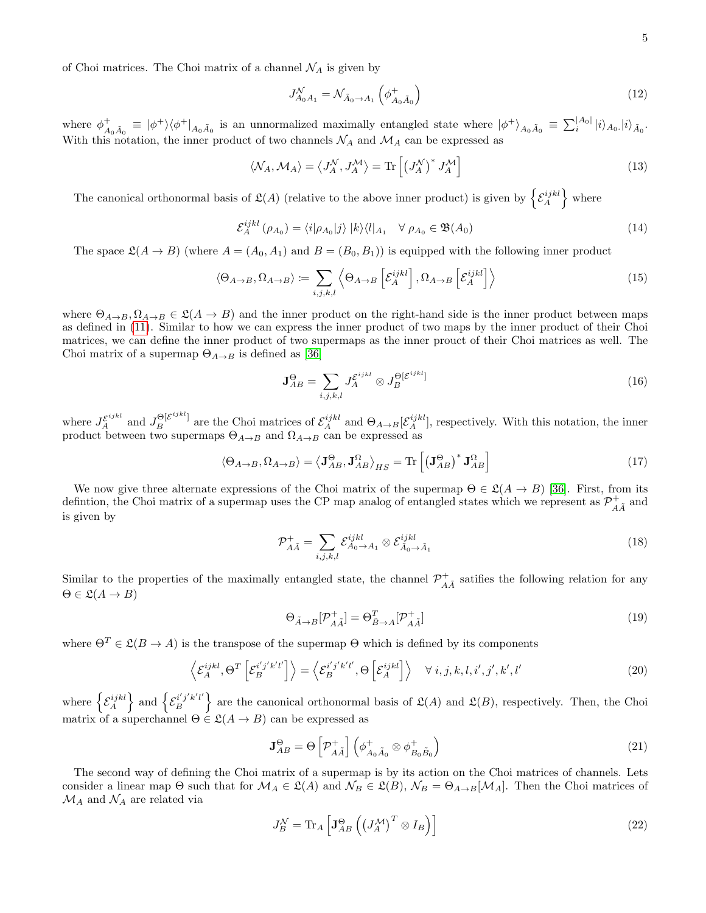of Choi matrices. The Choi matrix of a channel  $\mathcal{N}_A$  is given by

$$
J_{A_0A_1}^{\mathcal{N}} = \mathcal{N}_{\tilde{A}_0 \to A_1} \left( \phi_{A_0 \tilde{A}_0}^+ \right) \tag{12}
$$

where  $\phi_{A_0 \tilde{A}_0}^+ \equiv |\phi^+\rangle \langle \phi^+|_{A_0 \tilde{A}_0}$  is an unnormalized maximally entangled state where  $|\phi^+\rangle_{A_0 \tilde{A}_0} \equiv \sum_i^{|A_0|} |i\rangle_{A_0} |i\rangle_{\tilde{A}_0}$ . With this notation, the inner product of two channels  $\mathcal{N}_A$  and  $\mathcal{M}_A$  can be expressed as

$$
\langle \mathcal{N}_A, \mathcal{M}_A \rangle = \langle J_A^{\mathcal{N}}, J_A^{\mathcal{M}} \rangle = \text{Tr} \left[ \left( J_A^{\mathcal{N}} \right)^* J_A^{\mathcal{M}} \right] \tag{13}
$$

The canonical orthonormal basis of  $\mathfrak{L}(A)$  (relative to the above inner product) is given by  $\{\mathcal{E}_A^{ijkl}\}$  where

$$
\mathcal{E}_A^{ijkl}(\rho_{A_0}) = \langle i|\rho_{A_0}|j\rangle |k\rangle\langle l|_{A_1} \quad \forall \ \rho_{A_0} \in \mathfrak{B}(A_0)
$$
\n(14)

The space  $\mathfrak{L}(A \to B)$  (where  $A = (A_0, A_1)$  and  $B = (B_0, B_1)$ ) is equipped with the following inner product

$$
\langle \Theta_{A \to B}, \Omega_{A \to B} \rangle := \sum_{i,j,k,l} \left\langle \Theta_{A \to B} \left[ \mathcal{E}_A^{ijkl} \right], \Omega_{A \to B} \left[ \mathcal{E}_A^{ijkl} \right] \right\rangle \tag{15}
$$

where  $\Theta_{A\to B}, \Omega_{A\to B} \in \mathfrak{L}(A \to B)$  and the inner product on the right-hand side is the inner product between maps as defined in [\(11\)](#page-3-0). Similar to how we can express the inner product of two maps by the inner product of their Choi matrices, we can define the inner product of two supermaps as the inner prouct of their Choi matrices as well. The Choi matrix of a supermap  $\Theta_{A\rightarrow B}$  is defined as [\[36\]](#page-26-4)

$$
\mathbf{J}_{AB}^{\Theta} = \sum_{i,j,k,l} J_A^{\mathcal{E}^{ijkl}} \otimes J_B^{\Theta[\mathcal{E}^{ijkl}]}
$$
(16)

where  $J_A^{\mathcal{E}^{ijkl}}$  and  $J_B^{\Theta[\mathcal{E}^{ijkl}]}$  are the Choi matrices of  $\mathcal{E}_A^{ijkl}$  and  $\Theta_{A\to B}[\mathcal{E}_A^{ijkl}]$ , respectively. With this notation, the inner product between two supermaps  $\Theta_{A\to B}$  and  $\Omega_{A\to B}$  can be expressed as

$$
\langle \Theta_{A \to B}, \Omega_{A \to B} \rangle = \langle \mathbf{J}_{AB}^{\Theta}, \mathbf{J}_{AB}^{\Omega} \rangle_{HS} = \text{Tr} \left[ \left( \mathbf{J}_{AB}^{\Theta} \right)^* \mathbf{J}_{AB}^{\Omega} \right]
$$
(17)

We now give three alternate expressions of the Choi matrix of the supermap  $\Theta \in \mathfrak{L}(A \to B)$  [\[36\]](#page-26-4). First, from its defintion, the Choi matrix of a supermap uses the CP map analog of entangled states which we represent as  $\mathcal{P}^+_{A\tilde{A}}$  and is given by

$$
\mathcal{P}_{A\tilde{A}}^{+} = \sum_{i,j,k,l} \mathcal{E}_{A_0 \to A_1}^{ijkl} \otimes \mathcal{E}_{\tilde{A}_0 \to \tilde{A}_1}^{ijkl} \tag{18}
$$

Similar to the properties of the maximally entangled state, the channel  $\mathcal{P}_{A\tilde{A}}^+$  satifies the following relation for any  $\Theta \in \mathfrak{L}(A \to B)$ 

$$
\Theta_{\tilde{A}\to B}[\mathcal{P}_{A\tilde{A}}^+] = \Theta_{\tilde{B}\to A}^T[\mathcal{P}_{A\tilde{A}}^+]
$$
\n(19)

where  $\Theta^T \in \mathcal{L}(B \to A)$  is the transpose of the supermap  $\Theta$  which is defined by its components

$$
\left\langle \mathcal{E}_{A}^{ijkl},\Theta^{T}\left[\mathcal{E}_{B}^{i'j'k'l'}\right]\right\rangle =\left\langle \mathcal{E}_{B}^{i'j'k'l'},\Theta\left[\mathcal{E}_{A}^{ijkl}\right]\right\rangle \quad \forall i,j,k,l,i',j',k',l'\tag{20}
$$

where  $\left\{ \mathcal{E}_{A}^{ijkl}\right\}$  and  $\left\{ \mathcal{E}_{B}^{i'j'k'l'}\right\}$  $\mathcal{L}(B)$  are the canonical orthonormal basis of  $\mathcal{L}(A)$  and  $\mathcal{L}(B)$ , respectively. Then, the Choi matrix of a superchannel  $\Theta \in \mathcal{L}(A \to B)$  can be expressed as

$$
\mathbf{J}_{AB}^{\Theta} = \Theta \left[ \mathcal{P}_{A\tilde{A}}^{+} \right] \left( \phi_{A_0 \tilde{A}_0}^{+} \otimes \phi_{B_0 \tilde{B}_0}^{+} \right) \tag{21}
$$

The second way of defining the Choi matrix of a supermap is by its action on the Choi matrices of channels. Lets consider a linear map  $\Theta$  such that for  $\mathcal{M}_A \in \mathcal{L}(A)$  and  $\mathcal{N}_B \in \mathcal{L}(B)$ ,  $\mathcal{N}_B = \Theta_{A\rightarrow B}[\mathcal{M}_A]$ . Then the Choi matrices of  $\mathcal{M}_A$  and  $\mathcal{N}_A$  are related via

$$
J_B^{\mathcal{N}} = \text{Tr}_A \left[ \mathbf{J}_{AB}^{\Theta} \left( \left( J_A^{\mathcal{M}} \right)^T \otimes I_B \right) \right] \tag{22}
$$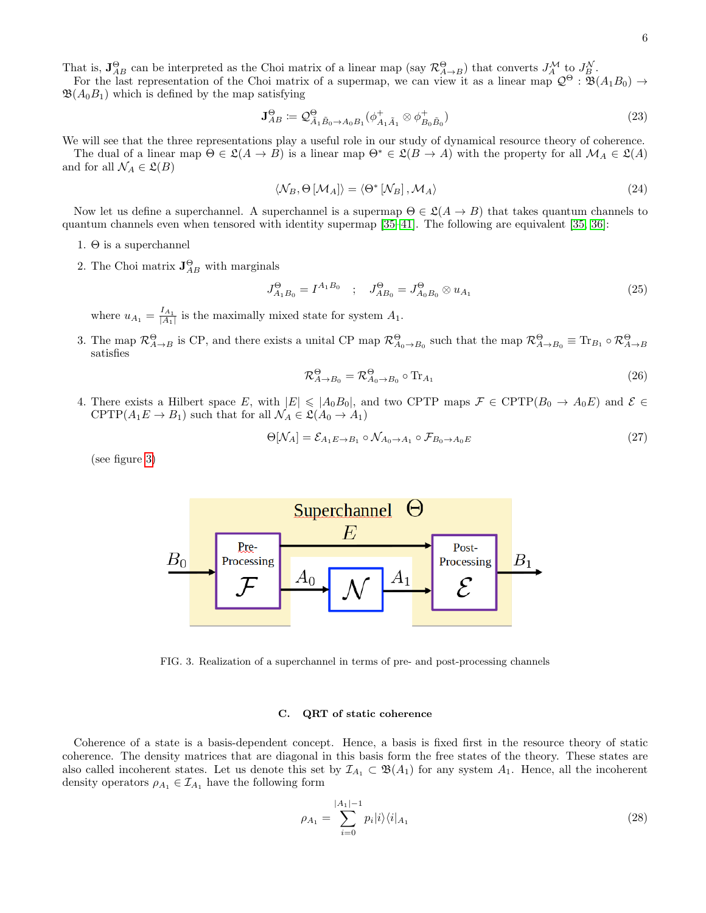That is,  $J_{AB}^{\Theta}$  can be interpreted as the Choi matrix of a linear map (say  $\mathcal{R}_{A\to B}^{\Theta}$ ) that converts  $J_A^{\mathcal{M}}$  to  $J_B^{\mathcal{N}}$ .

For the last representation of the Choi matrix of a supermap, we can view it as a linear map  $\mathcal{Q}^{\Theta}$ :  $\mathfrak{B}(A_1B_0) \rightarrow$  $\mathfrak{B}(A_0B_1)$  which is defined by the map satisfying

$$
\mathbf{J}_{AB}^{\Theta} \coloneqq \mathcal{Q}_{\tilde{A}_1 \tilde{B}_0 \to A_0 B_1}^{\Theta} (\phi_{A_1 \tilde{A}_1}^+ \otimes \phi_{B_0 \tilde{B}_0}^+) \tag{23}
$$

We will see that the three representations play a useful role in our study of dynamical resource theory of coherence.

The dual of a linear map  $\Theta \in \mathfrak{L}(A \to B)$  is a linear map  $\Theta^* \in \mathfrak{L}(B \to A)$  with the property for all  $\mathcal{M}_A \in \mathfrak{L}(A)$ and for all  $\mathcal{N}_A \in \mathfrak{L}(B)$ 

$$
\langle \mathcal{N}_B, \Theta \left[ \mathcal{M}_A \right] \rangle = \langle \Theta^* \left[ \mathcal{N}_B \right], \mathcal{M}_A \rangle \tag{24}
$$

Now let us define a superchannel. A superchannel is a supermap  $\Theta \in \mathcal{L}(A \to B)$  that takes quantum channels to quantum channels even when tensored with identity supermap [\[35–](#page-26-3)[41\]](#page-26-5). The following are equivalent [\[35,](#page-26-3) [36\]](#page-26-4):

- 1.  $\Theta$  is a superchannel
- 2. The Choi matrix  $\mathbf{J}_{AB}^{\Theta}$  with marginals

$$
J_{A_1B_0}^{\Theta} = I^{A_1B_0} \quad ; \quad J_{AB_0}^{\Theta} = J_{A_0B_0}^{\Theta} \otimes u_{A_1} \tag{25}
$$

where  $u_{A_1} = \frac{I_{A_1}}{|A_1|}$  is the maximally mixed state for system  $A_1$ .

3. The map  $\mathcal{R}_{A\to B}^{\Theta}$  is CP, and there exists a unital CP map  $\mathcal{R}_{A_0\to B_0}^{\Theta}$  such that the map  $\mathcal{R}_{A\to B_0}^{\Theta} \equiv \text{Tr}_{B_1} \circ \mathcal{R}_{A\to B_0}^{\Theta}$ satisfies

$$
\mathcal{R}^{\Theta}_{A \to B_0} = \mathcal{R}^{\Theta}_{A_0 \to B_0} \circ \text{Tr}_{A_1}
$$
\n(26)

4. There exists a Hilbert space E, with  $|E| \leqslant |A_0B_0|$ , and two CPTP maps  $\mathcal{F} \in \text{CPTP}(B_0 \to A_0E)$  and  $\mathcal{E} \in$ CPTP $(A_1E \to B_1)$  such that for all  $\mathcal{N}_A \in \mathfrak{L}(A_0 \to A_1)$ 

$$
\Theta[\mathcal{N}_A] = \mathcal{E}_{A_1 E \to B_1} \circ \mathcal{N}_{A_0 \to A_1} \circ \mathcal{F}_{B_0 \to A_0 E} \tag{27}
$$

(see figure [3\)](#page-5-0)



<span id="page-5-0"></span>FIG. 3. Realization of a superchannel in terms of pre- and post-processing channels

### C. QRT of static coherence

Coherence of a state is a basis-dependent concept. Hence, a basis is fixed first in the resource theory of static coherence. The density matrices that are diagonal in this basis form the free states of the theory. These states are also called incoherent states. Let us denote this set by  $\mathcal{I}_{A_1} \subset \mathfrak{B}(A_1)$  for any system  $A_1$ . Hence, all the incoherent density operators  $\rho_{A_1} \in \mathcal{I}_{A_1}$  have the following form

$$
\rho_{A_1} = \sum_{i=0}^{|A_1|-1} p_i |i\rangle\langle i|_{A_1}
$$
\n(28)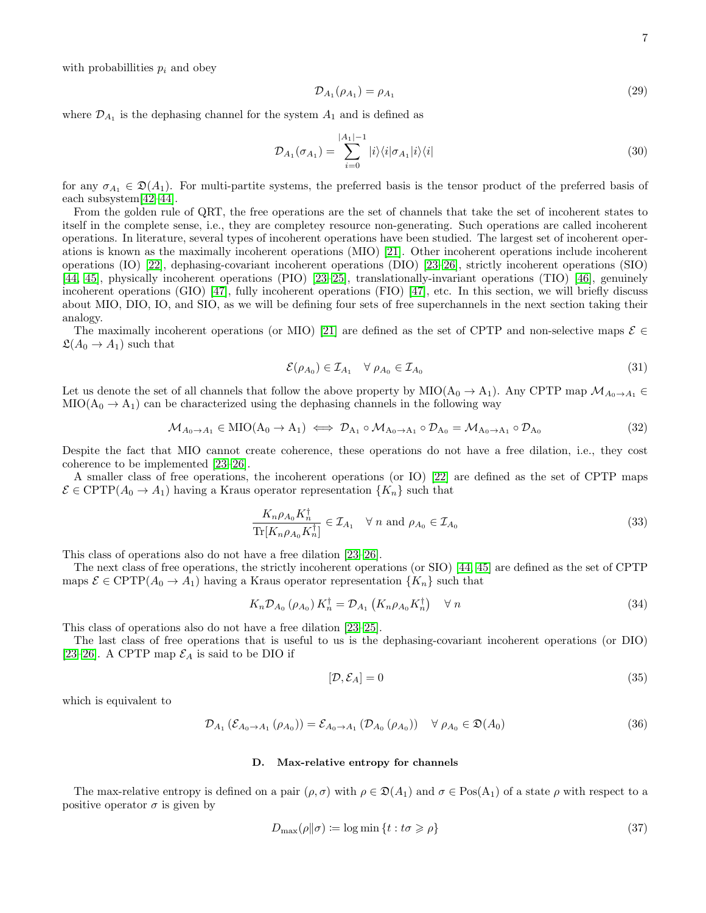with probabillities  $p_i$  and obey

$$
\mathcal{D}_{A_1}(\rho_{A_1}) = \rho_{A_1} \tag{29}
$$

where  $\mathcal{D}_{A_1}$  is the dephasing channel for the system  $A_1$  and is defined as

$$
\mathcal{D}_{A_1}(\sigma_{A_1}) = \sum_{i=0}^{|A_1|-1} |i\rangle\langle i|\sigma_{A_1}|i\rangle\langle i| \tag{30}
$$

for any  $\sigma_{A_1} \in \mathfrak{D}(A_1)$ . For multi-partite systems, the preferred basis is the tensor product of the preferred basis of each subsystem[\[42–](#page-26-6)[44\]](#page-26-7).

From the golden rule of QRT, the free operations are the set of channels that take the set of incoherent states to itself in the complete sense, i.e., they are completey resource non-generating. Such operations are called incoherent operations. In literature, several types of incoherent operations have been studied. The largest set of incoherent operations is known as the maximally incoherent operations (MIO) [\[21\]](#page-25-11). Other incoherent operations include incoherent operations (IO) [\[22\]](#page-25-17), dephasing-covariant incoherent operations (DIO) [\[23–](#page-25-13)[26\]](#page-25-12), strictly incoherent operations (SIO) [\[44,](#page-26-7) [45\]](#page-26-8), physically incoherent operations (PIO) [\[23–](#page-25-13)[25\]](#page-25-18), translationally-invariant operations (TIO) [\[46\]](#page-26-9), genuinely incoherent operations (GIO) [\[47\]](#page-26-10), fully incoherent operations (FIO) [\[47\]](#page-26-10), etc. In this section, we will briefly discuss about MIO, DIO, IO, and SIO, as we will be defining four sets of free superchannels in the next section taking their analogy.

The maximally incoherent operations (or MIO) [\[21\]](#page-25-11) are defined as the set of CPTP and non-selective maps  $\mathcal{E} \in$  $\mathfrak{L}(A_0 \to A_1)$  such that

$$
\mathcal{E}(\rho_{A_0}) \in \mathcal{I}_{A_1} \quad \forall \ \rho_{A_0} \in \mathcal{I}_{A_0} \tag{31}
$$

Let us denote the set of all channels that follow the above property by MIO( $A_0 \to A_1$ ). Any CPTP map  $\mathcal{M}_{A_0 \to A_1}$  $MIO(A_0 \rightarrow A_1)$  can be characterized using the dephasing channels in the following way

$$
\mathcal{M}_{A_0 \to A_1} \in \text{MIO}(A_0 \to A_1) \iff \mathcal{D}_{A_1} \circ \mathcal{M}_{A_0 \to A_1} \circ \mathcal{D}_{A_0} = \mathcal{M}_{A_0 \to A_1} \circ \mathcal{D}_{A_0}
$$
\n
$$
(32)
$$

Despite the fact that MIO cannot create coherence, these operations do not have a free dilation, i.e., they cost coherence to be implemented [\[23–](#page-25-13)[26\]](#page-25-12).

A smaller class of free operations, the incoherent operations (or IO) [\[22\]](#page-25-17) are defined as the set of CPTP maps  $\mathcal{E} \in \text{CPTP}(A_0 \to A_1)$  having a Kraus operator representation  $\{K_n\}$  such that

$$
\frac{K_n \rho_{A_0} K_n^{\dagger}}{\text{Tr}[K_n \rho_{A_0} K_n^{\dagger}]} \in \mathcal{I}_{A_1} \quad \forall \ n \text{ and } \rho_{A_0} \in \mathcal{I}_{A_0}
$$
\n(33)

This class of operations also do not have a free dilation [\[23–](#page-25-13)[26\]](#page-25-12).

The next class of free operations, the strictly incoherent operations (or SIO) [\[44,](#page-26-7) [45\]](#page-26-8) are defined as the set of CPTP maps  $\mathcal{E} \in \text{CPTP}(A_0 \to A_1)$  having a Kraus operator representation  $\{K_n\}$  such that

$$
K_n \mathcal{D}_{A_0} \left( \rho_{A_0} \right) K_n^{\dagger} = \mathcal{D}_{A_1} \left( K_n \rho_{A_0} K_n^{\dagger} \right) \quad \forall n \tag{34}
$$

This class of operations also do not have a free dilation [\[23–](#page-25-13)[25\]](#page-25-18).

The last class of free operations that is useful to us is the dephasing-covariant incoherent operations (or DIO) [\[23–](#page-25-13)[26\]](#page-25-12). A CPTP map  $\mathcal{E}_A$  is said to be DIO if

$$
[\mathcal{D}, \mathcal{E}_A] = 0 \tag{35}
$$

which is equivalent to

$$
\mathcal{D}_{A_1} \left( \mathcal{E}_{A_0 \to A_1} \left( \rho_{A_0} \right) \right) = \mathcal{E}_{A_0 \to A_1} \left( \mathcal{D}_{A_0} \left( \rho_{A_0} \right) \right) \quad \forall \ \rho_{A_0} \in \mathfrak{D}(A_0)
$$
\n(36)

## D. Max-relative entropy for channels

The max-relative entropy is defined on a pair  $(\rho, \sigma)$  with  $\rho \in \mathfrak{D}(A_1)$  and  $\sigma \in \text{Pos}(A_1)$  of a state  $\rho$  with respect to a positive operator  $\sigma$  is given by

$$
D_{\max}(\rho \|\sigma) \coloneqq \log \min \left\{ t : t\sigma \geqslant \rho \right\} \tag{37}
$$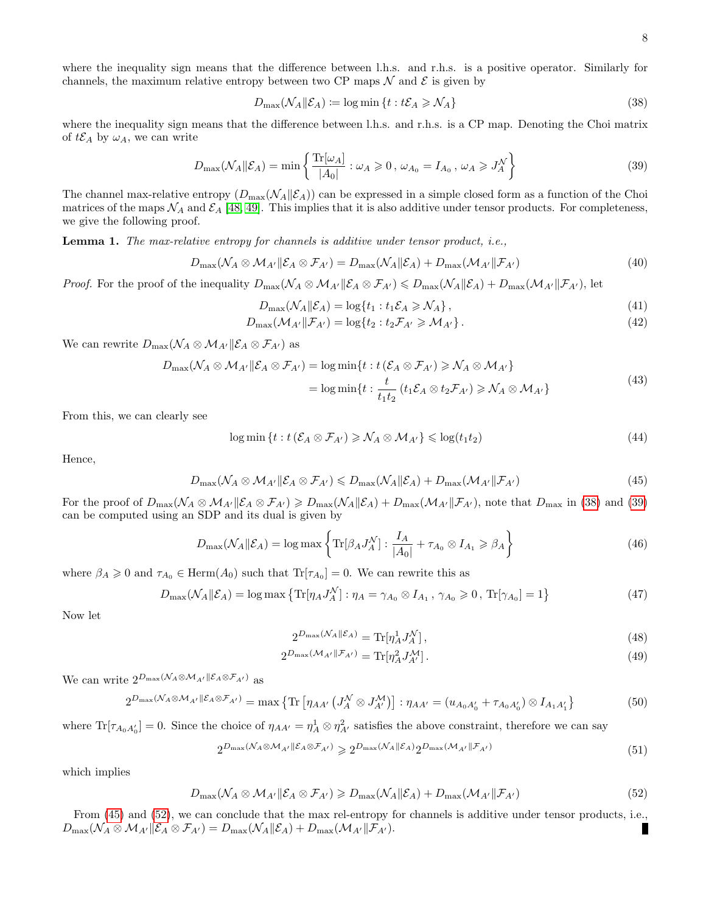where the inequality sign means that the difference between l.h.s. and r.h.s. is a positive operator. Similarly for channels, the maximum relative entropy between two CP maps  $\mathcal N$  and  $\mathcal E$  is given by

<span id="page-7-0"></span>
$$
D_{\max}(\mathcal{N}_A \| \mathcal{E}_A) \coloneqq \log \min \left\{ t : t\mathcal{E}_A \ge \mathcal{N}_A \right\} \tag{38}
$$

where the inequality sign means that the difference between l.h.s. and r.h.s. is a CP map. Denoting the Choi matrix of  $t\mathcal{E}_A$  by  $\omega_A$ , we can write

<span id="page-7-1"></span>
$$
D_{\max}(\mathcal{N}_A || \mathcal{E}_A) = \min \left\{ \frac{\text{Tr}[\omega_A]}{|A_0|} : \omega_A \geqslant 0, \, \omega_{A_0} = I_{A_0}, \, \omega_A \geqslant J_A^{\mathcal{N}} \right\} \tag{39}
$$

The channel max-relative entropy  $(D_{\text{max}}(\mathcal{N}_A|\mathcal{E}_A))$  can be expressed in a simple closed form as a function of the Choi matrices of the maps  $\mathcal{N}_A$  and  $\mathcal{E}_A$  [\[48,](#page-26-11) [49\]](#page-26-12). This implies that it is also additive under tensor products. For completeness, we give the following proof.

Lemma 1. The max-relative entropy for channels is additive under tensor product, i.e.,

$$
D_{\max}(\mathcal{N}_A \otimes \mathcal{M}_{A'} \| \mathcal{E}_A \otimes \mathcal{F}_{A'}) = D_{\max}(\mathcal{N}_A \| \mathcal{E}_A) + D_{\max}(\mathcal{M}_{A'} \| \mathcal{F}_{A'})
$$
(40)

*Proof.* For the proof of the inequality  $D_{\text{max}}(\mathcal{N}_A \otimes \mathcal{M}_{A'} \| \mathcal{E}_A \otimes \mathcal{F}_{A'}) \leq D_{\text{max}}(\mathcal{N}_A \| \mathcal{E}_A) + D_{\text{max}}(\mathcal{M}_{A'} \| \mathcal{F}_{A'})$ , let

$$
D_{\max}(\mathcal{N}_A||\mathcal{E}_A) = \log\{t_1 : t_1 \mathcal{E}_A \ge \mathcal{N}_A\},\tag{41}
$$

$$
D_{\max}(\mathcal{M}_{A'}\|\mathcal{F}_{A'}) = \log\{t_2 : t_2\mathcal{F}_{A'} \geq \mathcal{M}_{A'}\}.
$$
\n(42)

We can rewrite  $D_{\text{max}}(\mathcal{N}_A \otimes \mathcal{M}_{A'} \| \mathcal{E}_A \otimes \mathcal{F}_{A'})$  as

$$
D_{\max}(\mathcal{N}_A \otimes \mathcal{M}_{A'} \| \mathcal{E}_A \otimes \mathcal{F}_{A'}) = \log \min \{ t : t \left( \mathcal{E}_A \otimes \mathcal{F}_{A'} \right) \ge \mathcal{N}_A \otimes \mathcal{M}_{A'} \}
$$
  
=  $\log \min \{ t : \frac{t}{t_1 t_2} \left( t_1 \mathcal{E}_A \otimes t_2 \mathcal{F}_{A'} \right) \ge \mathcal{N}_A \otimes \mathcal{M}_{A'} \}$  (43)

From this, we can clearly see

$$
\log \min \left\{ t : t \left( \mathcal{E}_A \otimes \mathcal{F}_{A'} \right) \geqslant \mathcal{N}_A \otimes \mathcal{M}_{A'} \right\} \leqslant \log(t_1 t_2) \tag{44}
$$

Hence,

<span id="page-7-2"></span>
$$
D_{\max}(\mathcal{N}_A \otimes \mathcal{M}_{A'}||\mathcal{E}_A \otimes \mathcal{F}_{A'}) \le D_{\max}(\mathcal{N}_A||\mathcal{E}_A) + D_{\max}(\mathcal{M}_{A'}||\mathcal{F}_{A'})
$$
\n(45)

For the proof of  $D_{\text{max}}(\mathcal{N}_A \otimes \mathcal{M}_{A'}|\mathcal{E}_A \otimes \mathcal{F}_{A'}) \geq D_{\text{max}}(\mathcal{N}_A|\mathcal{E}_A) + D_{\text{max}}(\mathcal{M}_{A'}|\mathcal{F}_{A'})$ , note that  $D_{\text{max}}$  in [\(38\)](#page-7-0) and [\(39\)](#page-7-1) can be computed using an SDP and its dual is given by

$$
D_{\max}(\mathcal{N}_A || \mathcal{E}_A) = \log \max \left\{ \text{Tr}[\beta_A J_A^{\mathcal{N}}] : \frac{I_A}{|A_0|} + \tau_{A_0} \otimes I_{A_1} \ge \beta_A \right\} \tag{46}
$$

where  $\beta_A \geq 0$  and  $\tau_{A_0} \in \text{Herm}(A_0)$  such that  $\text{Tr}[\tau_{A_0}] = 0$ . We can rewrite this as

$$
D_{\max}(\mathcal{N}_A||\mathcal{E}_A) = \log \max \left\{ \text{Tr}[\eta_A J_A^{\mathcal{N}}] : \eta_A = \gamma_{A_0} \otimes I_{A_1}, \ \gamma_{A_0} \geqslant 0, \ \text{Tr}[\gamma_{A_0}] = 1 \right\}
$$
(47)

Now let

$$
2^{D_{\max}(\mathcal{N}_A||\mathcal{E}_A)} = \text{Tr}[\eta_A^1 J_A^{\mathcal{N}}],\tag{48}
$$

$$
2^{D_{\max}(\mathcal{M}_{A'}\|\mathcal{F}_{A'})} = \text{Tr}[\eta_A^2 J_{A'}^{\mathcal{M}}]. \tag{49}
$$

We can write  $2^{D_{\max}(\mathcal{N}_A \otimes \mathcal{M}_{A'} \| \mathcal{E}_A \otimes \mathcal{F}_{A'})}$  as

$$
2^{D_{\max}(\mathcal{N}_A \otimes \mathcal{M}_{A'} \| \mathcal{E}_A \otimes \mathcal{F}_{A'})} = \max \left\{ \text{Tr} \left[ \eta_{AA'} \left( J_A^{\mathcal{N}} \otimes J_{A'}^{\mathcal{M}} \right) \right] : \eta_{AA'} = (u_{A_0 A'_0} + \tau_{A_0 A'_0}) \otimes I_{A_1 A'_1} \right\}
$$
(50)

where  $\text{Tr}[\tau_{A_0A_0'}]=0$ . Since the choice of  $\eta_{AA'}=\eta_A^1\otimes\eta_{A'}^2$  satisfies the above constraint, therefore we can say

$$
2^{D_{\max}(\mathcal{N}_A \otimes \mathcal{M}_{A'} \| \mathcal{E}_A \otimes \mathcal{F}_{A'})} \geq 2^{D_{\max}(\mathcal{N}_A \| \mathcal{E}_A)} 2^{D_{\max}(\mathcal{M}_{A'} \| \mathcal{F}_{A'})}
$$
(51)

which implies

<span id="page-7-3"></span>
$$
D_{\max}(\mathcal{N}_A \otimes \mathcal{M}_{A'} \| \mathcal{E}_A \otimes \mathcal{F}_{A'}) \ge D_{\max}(\mathcal{N}_A \| \mathcal{E}_A) + D_{\max}(\mathcal{M}_{A'} \| \mathcal{F}_{A'})
$$
(52)

From [\(45\)](#page-7-2) and [\(52\)](#page-7-3), we can conclude that the max rel-entropy for channels is additive under tensor products, i.e.,  $D_{\max}(\mathcal{N}_A \otimes \mathcal{M}_{A'} \| \mathcal{E}_A \otimes \mathcal{F}_{A'}) = D_{\max}(\mathcal{N}_A \| \mathcal{E}_A) + D_{\max}(\mathcal{M}_{A'} \| \mathcal{F}_{A'}).$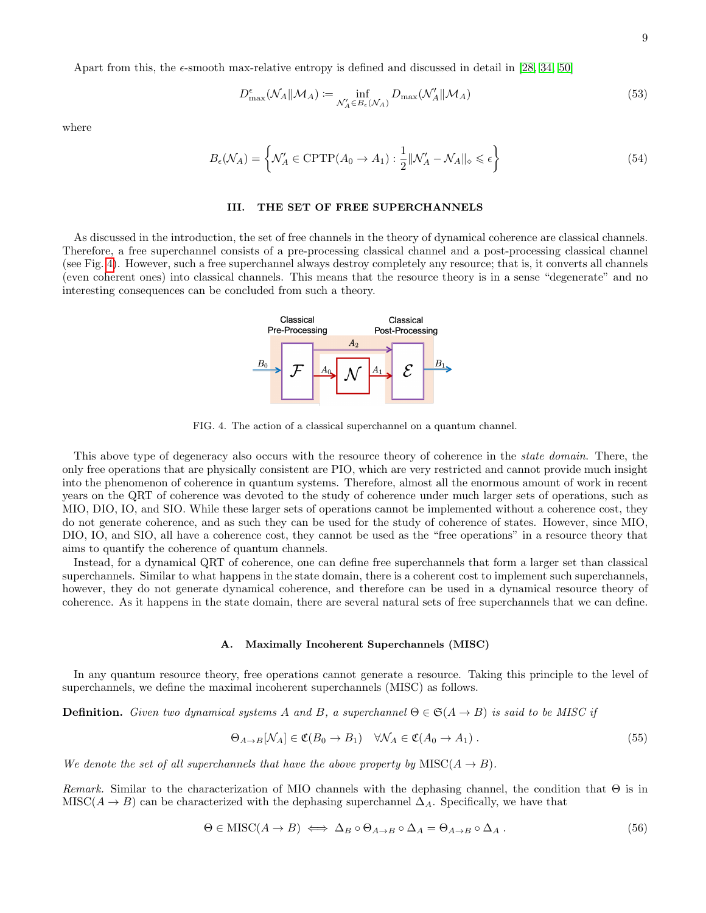Apart from this, the  $\epsilon$ -smooth max-relative entropy is defined and discussed in detail in [\[28,](#page-25-15) [34,](#page-26-2) [50\]](#page-26-13)

$$
D_{\max}^{\epsilon}(\mathcal{N}_A||\mathcal{M}_A) := \inf_{\mathcal{N}_A' \in B_{\epsilon}(\mathcal{N}_A)} D_{\max}(\mathcal{N}_A'||\mathcal{M}_A)
$$
(53)

where

$$
B_{\epsilon}(\mathcal{N}_A) = \left\{ \mathcal{N}'_A \in \text{CPTP}(A_0 \to A_1) : \frac{1}{2} ||\mathcal{N}'_A - \mathcal{N}_A||_{\diamond} \leq \epsilon \right\}
$$
(54)

## <span id="page-8-2"></span>III. THE SET OF FREE SUPERCHANNELS

As discussed in the introduction, the set of free channels in the theory of dynamical coherence are classical channels. Therefore, a free superchannel consists of a pre-processing classical channel and a post-processing classical channel (see Fig. [4\)](#page-8-0). However, such a free superchannel always destroy completely any resource; that is, it converts all channels (even coherent ones) into classical channels. This means that the resource theory is in a sense "degenerate" and no interesting consequences can be concluded from such a theory.

<span id="page-8-0"></span>FIG. 4. The action of a classical superchannel on a quantum channel.

This above type of degeneracy also occurs with the resource theory of coherence in the *state domain*. There, the only free operations that are physically consistent are PIO, which are very restricted and cannot provide much insight into the phenomenon of coherence in quantum systems. Therefore, almost all the enormous amount of work in recent years on the QRT of coherence was devoted to the study of coherence under much larger sets of operations, such as MIO, DIO, IO, and SIO. While these larger sets of operations cannot be implemented without a coherence cost, they do not generate coherence, and as such they can be used for the study of coherence of states. However, since MIO, DIO, IO, and SIO, all have a coherence cost, they cannot be used as the "free operations" in a resource theory that aims to quantify the coherence of quantum channels.

Instead, for a dynamical QRT of coherence, one can define free superchannels that form a larger set than classical superchannels. Similar to what happens in the state domain, there is a coherent cost to implement such superchannels, however, they do not generate dynamical coherence, and therefore can be used in a dynamical resource theory of coherence. As it happens in the state domain, there are several natural sets of free superchannels that we can define.

### A. Maximally Incoherent Superchannels (MISC)

In any quantum resource theory, free operations cannot generate a resource. Taking this principle to the level of superchannels, we define the maximal incoherent superchannels (MISC) as follows.

**Definition.** Given two dynamical systems A and B, a superchannel  $\Theta \in \mathfrak{S}(A \to B)$  is said to be MISC if

$$
\Theta_{A \to B}[\mathcal{N}_A] \in \mathfrak{C}(B_0 \to B_1) \quad \forall \mathcal{N}_A \in \mathfrak{C}(A_0 \to A_1) \,. \tag{55}
$$

We denote the set of all superchannels that have the above property by  $MISC(A \rightarrow B)$ .

Remark. Similar to the characterization of MIO channels with the dephasing channel, the condition that  $\Theta$  is in MISC( $A \rightarrow B$ ) can be characterized with the dephasing superchannel  $\Delta_A$ . Specifically, we have that

<span id="page-8-1"></span>
$$
\Theta \in \text{MISC}(A \to B) \iff \Delta_B \circ \Theta_{A \to B} \circ \Delta_A = \Theta_{A \to B} \circ \Delta_A \,. \tag{56}
$$

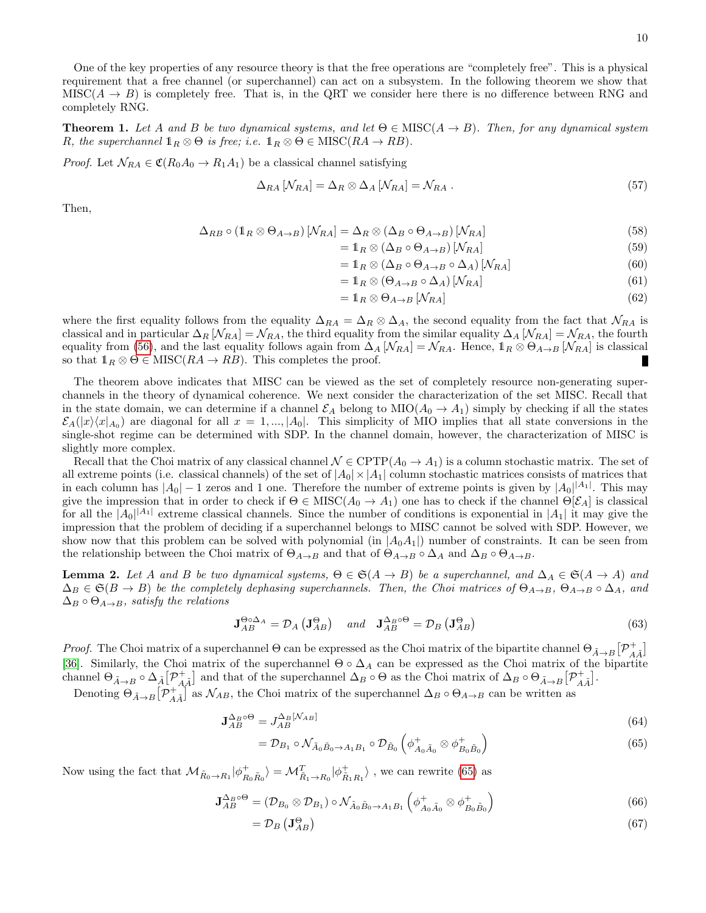One of the key properties of any resource theory is that the free operations are "completely free". This is a physical requirement that a free channel (or superchannel) can act on a subsystem. In the following theorem we show that MISC( $A \rightarrow B$ ) is completely free. That is, in the QRT we consider here there is no difference between RNG and completely RNG.

**Theorem 1.** Let A and B be two dynamical systems, and let  $\Theta \in \text{MISC}(A \to B)$ . Then, for any dynamical system R, the superchannel  $1_R \otimes \Theta$  is free; i.e.  $1_R \otimes \Theta \in \text{MISC}(RA \to RB)$ .

*Proof.* Let  $\mathcal{N}_{RA} \in \mathfrak{C}(R_0A_0 \to R_1A_1)$  be a classical channel satisfying

$$
\Delta_{RA} \left[ N_{RA} \right] = \Delta_R \otimes \Delta_A \left[ N_{RA} \right] = N_{RA} \,. \tag{57}
$$

Then,

$$
\Delta_{RB} \circ (1_R \otimes \Theta_{A \to B}) \left[ N_{RA} \right] = \Delta_R \otimes (\Delta_B \circ \Theta_{A \to B}) \left[ N_{RA} \right] \tag{58}
$$

$$
= \mathbb{1}_R \otimes (\Delta_B \circ \Theta_{A \to B}) [\mathcal{N}_{RA}]
$$
\n
$$
(59)
$$

$$
=1_{R}\otimes (\Delta_{B}\circ \Theta_{A\to B}\circ \Delta_{A})\left[\mathcal{N}_{RA}\right]
$$
\n(60)

$$
=1_{R}\otimes \left(\Theta_{A\to B}\circ \Delta_{A}\right)[\mathcal{N}_{RA}]
$$
\n(61)

$$
=1_{R}\otimes\Theta_{A\to B}\left[\mathcal{N}_{RA}\right]
$$
\n(62)

where the first equality follows from the equality  $\Delta_{RA} = \Delta_R \otimes \Delta_A$ , the second equality from the fact that  $\mathcal{N}_{RA}$  is classical and in particular  $\Delta_R$  [ $\mathcal{N}_{RA}$ ] =  $\mathcal{N}_{RA}$ , the third equality from the similar equality  $\Delta_A$  [ $\mathcal{N}_{RA}$ ] =  $\mathcal{N}_{RA}$ , the fourth equality from [\(56\)](#page-8-1), and the last equality follows again from  $\Delta_A [\mathcal{N}_{RA}] = \mathcal{N}_{RA}$ . Hence,  $\mathbb{1}_R \otimes \Theta_{A\to B} [\mathcal{N}_{RA}]$  is classical so that  $1_R \otimes \Theta \in \text{MISC}(RA \to RB)$ . This completes the proof. Г

The theorem above indicates that MISC can be viewed as the set of completely resource non-generating superchannels in the theory of dynamical coherence. We next consider the characterization of the set MISC. Recall that in the state domain, we can determine if a channel  $\mathcal{E}_A$  belong to  $\text{MIO}(A_0 \to A_1)$  simply by checking if all the states  $\mathcal{E}_A(|x\rangle\langle x|_{A_0})$  are diagonal for all  $x = 1, ..., |A_0|$ . This simplicity of MIO implies that all state conversions in the single-shot regime can be determined with SDP. In the channel domain, however, the characterization of MISC is slightly more complex.

Recall that the Choi matrix of any classical channel  $\mathcal{N} \in \text{CPTP}(A_0 \to A_1)$  is a column stochastic matrix. The set of all extreme points (i.e. classical channels) of the set of  $|A_0| \times |A_1|$  column stochastic matrices consists of matrices that in each column has  $|A_0| - 1$  zeros and 1 one. Therefore the number of extreme points is given by  $|A_0|^{A_1}$ . This may give the impression that in order to check if  $\Theta \in \text{MISC}(A_0 \to A_1)$  one has to check if the channel  $\Theta[\mathcal{E}_A]$  is classical for all the  $|A_0|^{A_1}$  extreme classical channels. Since the number of conditions is exponential in  $|A_1|$  it may give the impression that the problem of deciding if a superchannel belongs to MISC cannot be solved with SDP. However, we show now that this problem can be solved with polynomial (in  $|A_0A_1|$ ) number of constraints. It can be seen from the relationship between the Choi matrix of  $\Theta_{A\to B}$  and that of  $\Theta_{A\to B} \circ \Delta_A$  and  $\Delta_B \circ \Theta_{A\to B}$ .

<span id="page-9-1"></span>**Lemma 2.** Let A and B be two dynamical systems,  $\Theta \in \mathfrak{S}(A \to B)$  be a superchannel, and  $\Delta_A \in \mathfrak{S}(A \to A)$  and  $\Delta_B \in \mathfrak{S}(B \to B)$  be the completely dephasing superchannels. Then, the Choi matrices of  $\Theta_{A \to B}$ ,  $\Theta_{A \to B} \circ \Delta_A$ , and  $\Delta_B \circ \Theta_{A\to B}$ , satisfy the relations

$$
\mathbf{J}_{AB}^{\Theta\circ\Delta_{A}} = \mathcal{D}_{A} \left( \mathbf{J}_{AB}^{\Theta} \right) \quad \text{and} \quad \mathbf{J}_{AB}^{\Delta_{B}\circ\Theta} = \mathcal{D}_{B} \left( \mathbf{J}_{AB}^{\Theta} \right) \tag{63}
$$

*Proof.* The Choi matrix of a superchannel  $\Theta$  can be expressed as the Choi matrix of the bipartite channel  $\Theta_{\tilde{A}\to B}[\mathcal{P}_{A\tilde{A}}^+]$ [\[36\]](#page-26-4). Similarly, the Choi matrix of the superchannel  $\Theta \circ \Delta_A$  can be expressed as the Choi matrix of the bipartite channel  $\Theta_{\tilde{A}\to B} \circ \Delta_{\tilde{A}} [\mathcal{P}_{A\tilde{A}}^+]$  and that of the superchannel  $\Delta_B \circ \Theta$  as the Choi matrix of  $\Delta_B \circ \Theta_{\tilde{A}\to B} [\mathcal{P}_{A\tilde{A}}^+]$ .

Denoting  $\Theta_{\tilde{A}\to B}[\mathcal{P}_{A\tilde{A}}^+]$  as  $\mathcal{N}_{AB}$ , the Choi matrix of the superchannel  $\Delta_B \circ \Theta_{A\to B}$  can be written as

$$
\mathbf{J}_{AB}^{\Delta_B \circ \Theta} = J_{AB}^{\Delta_B [\mathcal{N}_{AB}]} \tag{64}
$$

<span id="page-9-0"></span>
$$
= \mathcal{D}_{B_1} \circ \mathcal{N}_{\tilde{A}_0 \tilde{B}_0 \to A_1 B_1} \circ \mathcal{D}_{\tilde{B}_0} \left( \phi^+_{A_0 \tilde{A}_0} \otimes \phi^+_{B_0 \tilde{B}_0} \right) \tag{65}
$$

Now using the fact that  $\mathcal{M}_{\tilde{R}_0 \to R_1} |\phi_{R_0 \tilde{R}_0}^+ \rangle = \mathcal{M}_{\tilde{R}_1 \to R_0}^T |\phi_{\tilde{R}_1 R_1}^+ \rangle$ , we can rewrite [\(65\)](#page-9-0) as

$$
\mathbf{J}_{AB}^{\Delta_B \circ \Theta} = (\mathcal{D}_{B_0} \otimes \mathcal{D}_{B_1}) \circ \mathcal{N}_{\tilde{A}_0 \tilde{B}_0 \to A_1 B_1} \left( \phi_{A_0 \tilde{A}_0}^+ \otimes \phi_{B_0 \tilde{B}_0}^+ \right)
$$
(66)

$$
=\mathcal{D}_B\left(\mathbf{J}_{AB}^{\Theta}\right) \tag{67}
$$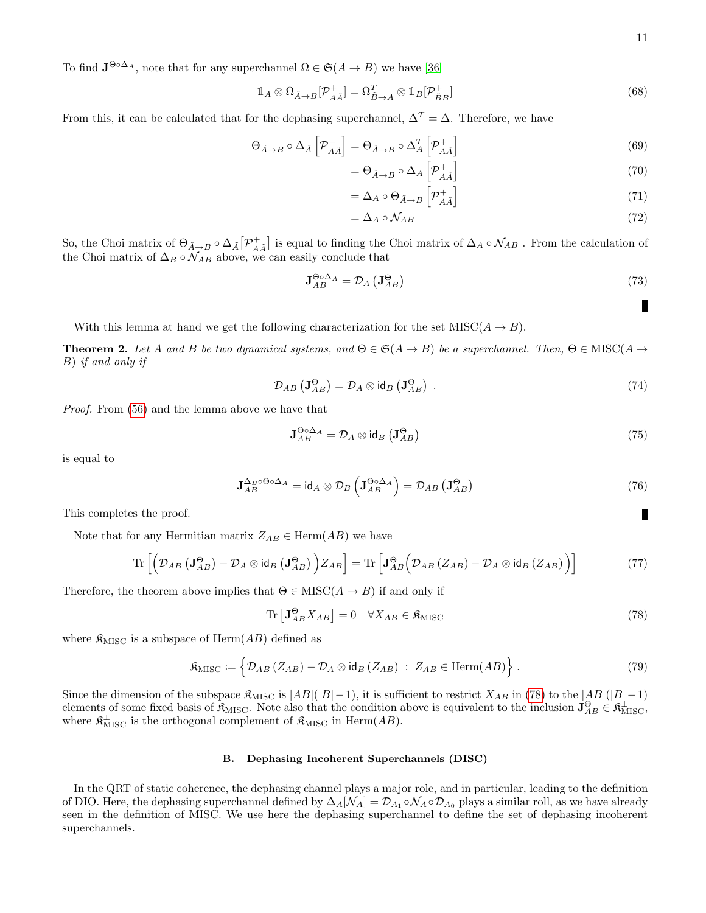To find  $J^{\Theta \circ \Delta_A}$ , note that for any superchannel  $\Omega \in \mathfrak{S}(A \to B)$  we have [\[36\]](#page-26-4)

$$
\mathbb{1}_A \otimes \Omega_{\tilde{A}\to B}[\mathcal{P}_{A\tilde{A}}^+] = \Omega_{\tilde{B}\to A}^T \otimes \mathbb{1}_B[\mathcal{P}_{\tilde{B}B}^+]
$$
\n(68)

From this, it can be calculated that for the dephasing superchannel,  $\Delta^T = \Delta$ . Therefore, we have

$$
\Theta_{\tilde{A}\to B} \circ \Delta_{\tilde{A}} \left[ \mathcal{P}_{A\tilde{A}}^{+} \right] = \Theta_{\tilde{A}\to B} \circ \Delta_{A}^{T} \left[ \mathcal{P}_{A\tilde{A}}^{+} \right]
$$
\n(69)

$$
=\Theta_{\tilde{A}\to B}\circ\Delta_A\left[\mathcal{P}_{A\tilde{A}}^+\right]
$$
\n(70)

$$
= \Delta_A \circ \Theta_{\tilde{A} \to B} \left[ \mathcal{P}_{A\tilde{A}}^+ \right] \tag{71}
$$

$$
=\Delta_A \circ \mathcal{N}_{AB} \tag{72}
$$

So, the Choi matrix of  $\Theta_{\tilde{A}\to B}\circ \Delta_{\tilde{A}}[\mathcal{P}_{A\tilde{A}}^+]$  is equal to finding the Choi matrix of  $\Delta_A \circ \mathcal{N}_{AB}$ . From the calculation of the Choi matrix of  $\Delta_B \circ \mathcal{N}_{AB}$  above, we can easily conclude that

$$
\mathbf{J}_{AB}^{\Theta \circ \Delta_A} = \mathcal{D}_A \left( \mathbf{J}_{AB}^{\Theta} \right) \tag{73}
$$

With this lemma at hand we get the following characterization for the set  $MISC(A \rightarrow B)$ .

**Theorem 2.** Let A and B be two dynamical systems, and  $\Theta \in \mathfrak{S}(A \to B)$  be a superchannel. Then,  $\Theta \in \text{MISC}(A \to B)$ B) if and only if

<span id="page-10-2"></span>
$$
\mathcal{D}_{AB} \left( \mathbf{J}_{AB}^{\Theta} \right) = \mathcal{D}_A \otimes \mathrm{id}_B \left( \mathbf{J}_{AB}^{\Theta} \right) \ . \tag{74}
$$

Proof. From [\(56\)](#page-8-1) and the lemma above we have that

$$
\mathbf{J}_{AB}^{\Theta\circ\Delta_{A}} = \mathcal{D}_{A} \otimes \mathrm{id}_{B} \left( \mathbf{J}_{AB}^{\Theta} \right) \tag{75}
$$

is equal to

$$
\mathbf{J}_{AB}^{\Delta_B \circ \Theta \circ \Delta_A} = \mathrm{id}_A \otimes \mathcal{D}_B \left( \mathbf{J}_{AB}^{\Theta \circ \Delta_A} \right) = \mathcal{D}_{AB} \left( \mathbf{J}_{AB}^{\Theta} \right) \tag{76}
$$

This completes the proof.

Note that for any Hermitian matrix  $Z_{AB} \in \text{Herm}(AB)$  we have

$$
\operatorname{Tr}\left[\left(\mathcal{D}_{AB}\left(\mathbf{J}_{AB}^{\Theta}\right)-\mathcal{D}_{A}\otimes\operatorname{id}_{B}\left(\mathbf{J}_{AB}^{\Theta}\right)\right)Z_{AB}\right]=\operatorname{Tr}\left[\mathbf{J}_{AB}^{\Theta}\left(\mathcal{D}_{AB}\left(Z_{AB}\right)-\mathcal{D}_{A}\otimes\operatorname{id}_{B}\left(Z_{AB}\right)\right)\right]
$$
(77)

Therefore, the theorem above implies that  $\Theta \in \text{MISC}(A \to B)$  if and only if

<span id="page-10-0"></span>
$$
\operatorname{Tr}\left[\mathbf{J}_{AB}^{\Theta}X_{AB}\right] = 0 \quad \forall X_{AB} \in \mathfrak{K}_{\mathrm{MISC}} \tag{78}
$$

where  $\mathfrak{K}_{\mathrm{MISC}}$  is a subspace of Herm $(AB)$  defined as

<span id="page-10-1"></span>
$$
\mathfrak{K}_{\mathrm{MISC}} := \left\{ \mathcal{D}_{AB} \left( Z_{AB} \right) - \mathcal{D}_A \otimes \mathrm{id}_B \left( Z_{AB} \right) \; : \; Z_{AB} \in \mathrm{Herm}(AB) \right\} \,. \tag{79}
$$

Since the dimension of the subspace  $\mathfrak{K}_{\mathrm{MISC}}$  is  $|AB|(|B|-1)$ , it is sufficient to restrict  $X_{AB}$  in [\(78\)](#page-10-0) to the  $|AB|(|B|-1)$ elements of some fixed basis of  $\mathfrak{K}_{\mathrm{MISC}}$ . Note also that the condition above is equivalent to the inclusion  $\mathbf{J}_{AB}^{\Theta} \in \mathfrak{K}_{\mathrm{MISC}}^{\perp}$ , where  $\mathfrak{K}^{\perp}_{\text{MISC}}$  is the orthogonal complement of  $\mathfrak{K}_{\text{MISC}}$  in Herm $(AB)$ .

## B. Dephasing Incoherent Superchannels (DISC)

In the QRT of static coherence, the dephasing channel plays a major role, and in particular, leading to the definition of DIO. Here, the dephasing superchannel defined by  $\Delta_A[\mathcal{N}_A]=\mathcal{D}_{A_1}\circ\mathcal{N}_A\circ\mathcal{D}_{A_0}$  plays a similar roll, as we have already seen in the definition of MISC. We use here the dephasing superchannel to define the set of dephasing incoherent superchannels.

П

П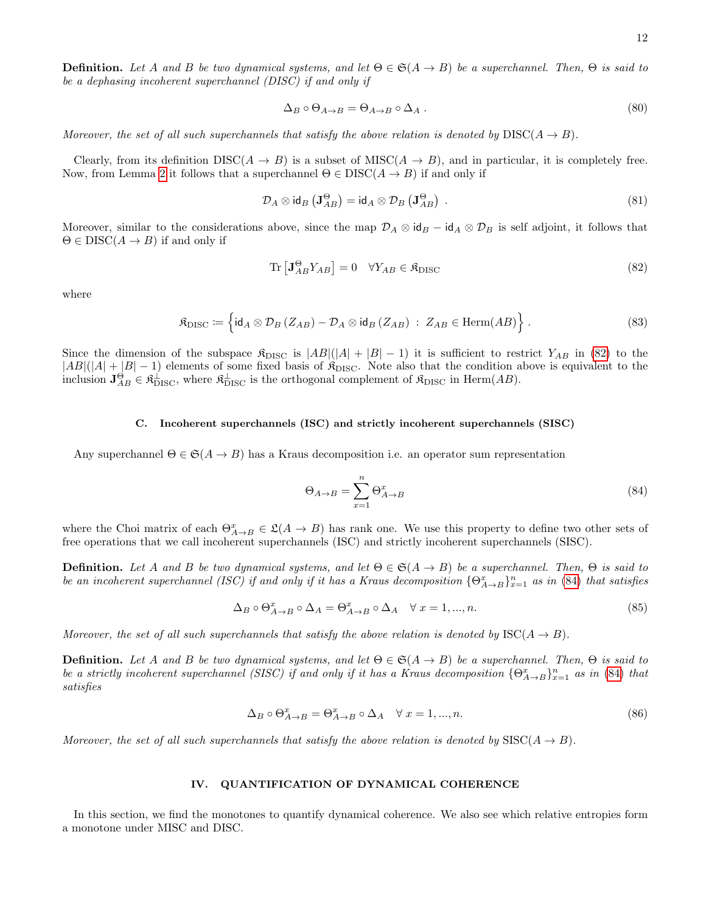**Definition.** Let A and B be two dynamical systems, and let  $\Theta \in \mathfrak{S}(A \to B)$  be a superchannel. Then,  $\Theta$  is said to be a dephasing incoherent superchannel (DISC) if and only if

$$
\Delta_B \circ \Theta_{A \to B} = \Theta_{A \to B} \circ \Delta_A . \tag{80}
$$

Moreover, the set of all such superchannels that satisfy the above relation is denoted by  $\text{DISC}(A \to B)$ .

Clearly, from its definition  $DISC(A \to B)$  is a subset of  $MISC(A \to B)$ , and in particular, it is completely free. Now, from Lemma [2](#page-9-1) it follows that a superchannel  $\Theta \in DISC(A \rightarrow B)$  if and only if

<span id="page-11-3"></span>
$$
\mathcal{D}_A \otimes \mathrm{id}_B \left( \mathbf{J}_{AB}^{\Theta} \right) = \mathrm{id}_A \otimes \mathcal{D}_B \left( \mathbf{J}_{AB}^{\Theta} \right) . \tag{81}
$$

Moreover, similar to the considerations above, since the map  $\mathcal{D}_A \otimes id_B - id_A \otimes \mathcal{D}_B$  is self adjoint, it follows that  $\Theta \in DISC(A \rightarrow B)$  if and only if

<span id="page-11-0"></span>
$$
\operatorname{Tr}\left[\mathbf{J}_{AB}^{\Theta}Y_{AB}\right] = 0 \quad \forall Y_{AB} \in \mathfrak{K}_{\text{DISC}} \tag{82}
$$

where

<span id="page-11-2"></span>
$$
\mathfrak{K}_{\rm DISC} := \left\{ \mathrm{id}_A \otimes \mathcal{D}_B \left( Z_{AB} \right) - \mathcal{D}_A \otimes \mathrm{id}_B \left( Z_{AB} \right) \; : \; Z_{AB} \in \mathrm{Herm}(AB) \right\} \, . \tag{83}
$$

Since the dimension of the subspace  $\mathfrak{K}_{\text{DISC}}$  is  $|AB|(|A| + |B| - 1)$  it is sufficient to restrict  $Y_{AB}$  in [\(82\)](#page-11-0) to the  $|AB|(|A|+|B|-1)$  elements of some fixed basis of  $\mathfrak{K}_{\text{DISC}}$ . Note also that the condition above is equivalent to the inclusion  $\mathbf{J}_{AB}^{\Theta} \in \mathfrak{K}_{\mathrm{DISC}}^{\perp}$ , where  $\mathfrak{K}_{\mathrm{DISC}}^{\perp}$  is the orthogonal complement of  $\mathfrak{K}_{\mathrm{DISC}}$  in Herm $(AB)$ .

## C. Incoherent superchannels (ISC) and strictly incoherent superchannels (SISC)

Any superchannel  $\Theta \in \mathfrak{S}(A \to B)$  has a Kraus decomposition i.e. an operator sum representation

<span id="page-11-1"></span>
$$
\Theta_{A \to B} = \sum_{x=1}^{n} \Theta_{A \to B}^{x}
$$
\n(84)

where the Choi matrix of each  $\Theta_{A\to B}^x \in \mathfrak{L}(A \to B)$  has rank one. We use this property to define two other sets of free operations that we call incoherent superchannels (ISC) and strictly incoherent superchannels (SISC).

**Definition.** Let A and B be two dynamical systems, and let  $\Theta \in \mathfrak{S}(A \to B)$  be a superchannel. Then,  $\Theta$  is said to be an incoherent superchannel (ISC) if and only if it has a Kraus decomposition  $\{\Theta^x_{A\to B}\}_{x=1}^n$  as in [\(84\)](#page-11-1) that satisfies

$$
\Delta_B \circ \Theta_{A \to B}^x \circ \Delta_A = \Theta_{A \to B}^x \circ \Delta_A \quad \forall \ x = 1, ..., n. \tag{85}
$$

Moreover, the set of all such superchannels that satisfy the above relation is denoted by  $\text{ISC}(A \to B)$ .

**Definition.** Let A and B be two dynamical systems, and let  $\Theta \in \mathfrak{S}(A \to B)$  be a superchannel. Then,  $\Theta$  is said to be a strictly incoherent superchannel (SISC) if and only if it has a Kraus decomposition  $\{\Theta_{A\to B}^x\}_{x=1}^n$  as in [\(84\)](#page-11-1) that satisfies

$$
\Delta_B \circ \Theta_{A \to B}^x = \Theta_{A \to B}^x \circ \Delta_A \quad \forall \ x = 1, ..., n. \tag{86}
$$

Moreover, the set of all such superchannels that satisfy the above relation is denoted by  $SISC(A \rightarrow B)$ .

#### <span id="page-11-4"></span>IV. QUANTIFICATION OF DYNAMICAL COHERENCE

In this section, we find the monotones to quantify dynamical coherence. We also see which relative entropies form a monotone under MISC and DISC.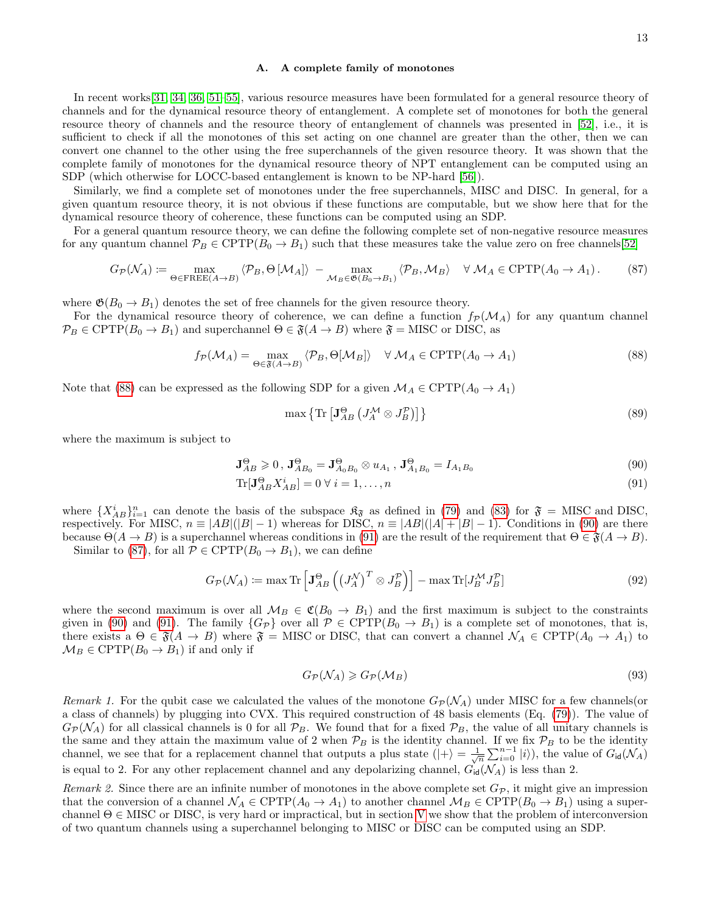### <span id="page-12-4"></span>A. A complete family of monotones

In recent works[\[31,](#page-25-16) [34,](#page-26-2) [36,](#page-26-4) [51](#page-26-14)[–55\]](#page-26-15), various resource measures have been formulated for a general resource theory of channels and for the dynamical resource theory of entanglement. A complete set of monotones for both the general resource theory of channels and the resource theory of entanglement of channels was presented in [\[52\]](#page-26-16), i.e., it is sufficient to check if all the monotones of this set acting on one channel are greater than the other, then we can convert one channel to the other using the free superchannels of the given resource theory. It was shown that the complete family of monotones for the dynamical resource theory of NPT entanglement can be computed using an SDP (which otherwise for LOCC-based entanglement is known to be NP-hard [\[56\]](#page-26-17)).

Similarly, we find a complete set of monotones under the free superchannels, MISC and DISC. In general, for a given quantum resource theory, it is not obvious if these functions are computable, but we show here that for the dynamical resource theory of coherence, these functions can be computed using an SDP.

For a general quantum resource theory, we can define the following complete set of non-negative resource measures for any quantum channel  $\mathcal{P}_B \in \text{CPTP}(B_0 \to B_1)$  such that these measures take the value zero on free channels [\[52\]](#page-26-16)

<span id="page-12-3"></span>
$$
G_{\mathcal{P}}(\mathcal{N}_A) \coloneqq \max_{\Theta \in \text{FREE}(A \to B)} \langle \mathcal{P}_B, \Theta \left[ \mathcal{M}_A \right] \rangle - \max_{\mathcal{M}_B \in \mathfrak{G}(B_0 \to B_1)} \langle \mathcal{P}_B, \mathcal{M}_B \rangle \quad \forall \mathcal{M}_A \in \text{CPTP}(A_0 \to A_1). \tag{87}
$$

where  $\mathfrak{G}(B_0 \to B_1)$  denotes the set of free channels for the given resource theory.

For the dynamical resource theory of coherence, we can define a function  $f_P(\mathcal{M}_A)$  for any quantum channel  $\mathcal{P}_B \in \text{CPTP}(B_0 \to B_1)$  and superchannel  $\Theta \in \mathfrak{F}(A \to B)$  where  $\mathfrak{F} = \text{MISC}$  or DISC, as

<span id="page-12-0"></span>
$$
f_{\mathcal{P}}(\mathcal{M}_A) = \max_{\Theta \in \mathfrak{F}(A \to B)} \langle \mathcal{P}_B, \Theta[\mathcal{M}_B] \rangle \quad \forall \ \mathcal{M}_A \in \text{CPTP}(A_0 \to A_1)
$$
 (88)

Note that [\(88\)](#page-12-0) can be expressed as the following SDP for a given  $\mathcal{M}_A \in \text{CPTP}(A_0 \to A_1)$ 

<span id="page-12-5"></span><span id="page-12-2"></span><span id="page-12-1"></span>
$$
\max\left\{\text{Tr}\left[\mathbf{J}_{AB}^{\Theta}\left(J_{A}^{\mathcal{M}}\otimes J_{B}^{\mathcal{P}}\right)\right]\right\}\tag{89}
$$

where the maximum is subject to

$$
\mathbf{J}_{AB}^{\Theta} \geq 0, \ \mathbf{J}_{AB_0}^{\Theta} = \mathbf{J}_{A_0B_0}^{\Theta} \otimes u_{A_1}, \ \mathbf{J}_{A_1B_0}^{\Theta} = I_{A_1B_0}
$$
(90)

$$
\text{Tr}[\mathbf{J}_{AB}^{\Theta} X_{AB}^i] = 0 \,\forall \, i = 1, \dots, n \tag{91}
$$

where  ${X_{AB}^i}_{i=1}^n$  can denote the basis of the subspace  $\mathfrak{K}_{\mathfrak{F}}$  as defined in [\(79\)](#page-10-1) and [\(83\)](#page-11-2) for  $\mathfrak{F} =$  MISC and DISC, respectively. For MISC,  $n \equiv |AB|(|B|-1)$  whereas for DISC,  $n \equiv |AB|(|A|+|B|-1)$ . Conditions in [\(90\)](#page-12-1) are there because  $\Theta(A \to B)$  is a superchannel whereas conditions in [\(91\)](#page-12-2) are the result of the requirement that  $\Theta \in \mathfrak{F}(A \to B)$ . Similar to [\(87\)](#page-12-3), for all  $P \in \text{CPTP}(B_0 \to B_1)$ , we can define

$$
G_{\mathcal{P}}(\mathcal{N}_A) \coloneqq \max \text{Tr} \left[ \mathbf{J}_{AB}^{\Theta} \left( \left( J_A^{\mathcal{N}} \right)^T \otimes J_B^{\mathcal{P}} \right) \right] - \max \text{Tr} [J_B^{\mathcal{M}} J_B^{\mathcal{P}}] \tag{92}
$$

where the second maximum is over all  $\mathcal{M}_B \in \mathfrak{C}(B_0 \to B_1)$  and the first maximum is subject to the constraints given in [\(90\)](#page-12-1) and [\(91\)](#page-12-2). The family  $\{G_p\}$  over all  $\mathcal{P} \in \text{CPTP}(B_0 \to B_1)$  is a complete set of monotones, that is, there exists a  $\Theta \in \mathfrak{F}(A \to B)$  where  $\mathfrak{F} =$  MISC or DISC, that can convert a channel  $\mathcal{N}_A \in \text{CPTP}(A_0 \to A_1)$  to  $\mathcal{M}_B \in \text{CPTP}(B_0 \to B_1)$  if and only if

$$
G_{\mathcal{P}}(\mathcal{N}_A) \geqslant G_{\mathcal{P}}(\mathcal{M}_B) \tag{93}
$$

Remark 1. For the qubit case we calculated the values of the monotone  $G_P(\mathcal{N}_A)$  under MISC for a few channels(or a class of channels) by plugging into CVX. This required construction of 48 basis elements (Eq. [\(79\)](#page-10-1)). The value of  $G_{\mathcal{P}}(\mathcal{N}_A)$  for all classical channels is 0 for all  $\mathcal{P}_B$ . We found that for a fixed  $\mathcal{P}_B$ , the value of all unitary channels is the same and they attain the maximum value of 2 when  $P_B$  is the identity channel. If we fix  $P_B$  to be the identity channel, we see that for a replacement channel that outputs a plus state  $(|+\rangle = \frac{1}{\sqrt{n}} \sum_{i=0}^{n-1} |i\rangle$ , the value of  $G_{\text{id}}(\mathcal{N}_A)$ is equal to 2. For any other replacement channel and any depolarizing channel,  $G_{id}(\mathcal{N}_A)$  is less than 2.

Remark 2. Since there are an infinite number of monotones in the above complete set  $G_{\mathcal{P}}$ , it might give an impression that the conversion of a channel  $\mathcal{N}_A \in \text{CPTP}(A_0 \to A_1)$  to another channel  $\mathcal{M}_B \in \text{CPTP}(B_0 \to B_1)$  using a superchannel  $\Theta \in$  MISC or DISC, is very hard or impractical, but in section [V](#page-16-0) we show that the problem of interconversion of two quantum channels using a superchannel belonging to MISC or DISC can be computed using an SDP.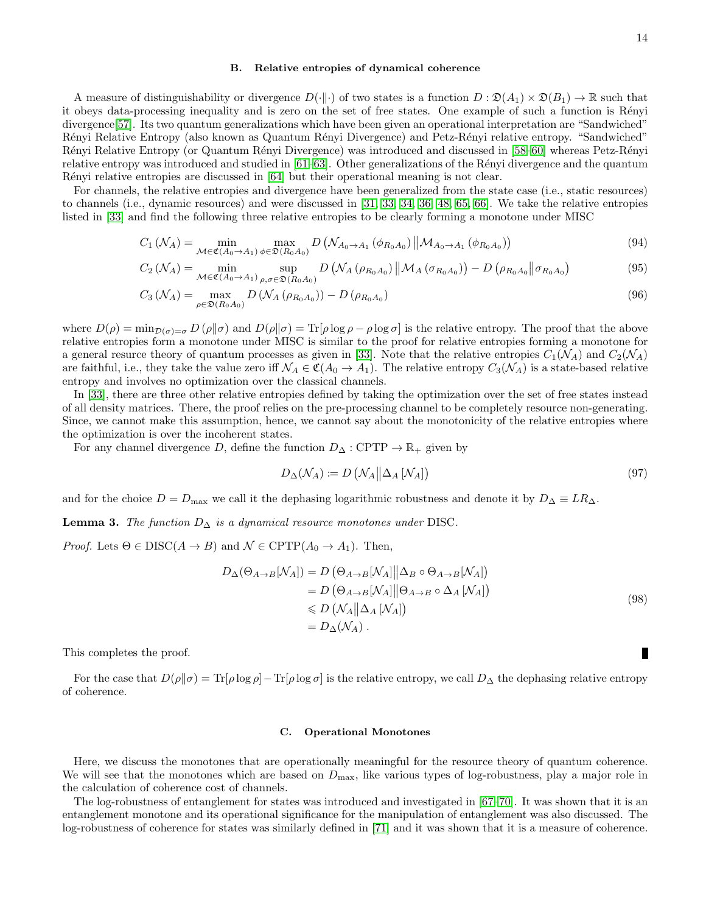#### <span id="page-13-0"></span>B. Relative entropies of dynamical coherence

A measure of distinguishability or divergence  $D(\cdot\|\cdot)$  of two states is a function  $D : \mathfrak{D}(A_1) \times \mathfrak{D}(B_1) \to \mathbb{R}$  such that it obeys data-processing inequality and is zero on the set of free states. One example of such a function is Rényi divergence[\[57\]](#page-26-18). Its two quantum generalizations which have been given an operational interpretation are "Sandwiched" Rényi Relative Entropy (also known as Quantum Rényi Divergence) and Petz-Rényi relative entropy. "Sandwiched" R´enyi Relative Entropy (or Quantum R´enyi Divergence) was introduced and discussed in [\[58–](#page-26-19)[60\]](#page-26-20) whereas Petz-R´enyi relative entropy was introduced and studied in  $[61–63]$  $[61–63]$ . Other generalizations of the Rényi divergence and the quantum Rényi relative entropies are discussed in [\[64\]](#page-26-23) but their operational meaning is not clear.

For channels, the relative entropies and divergence have been generalized from the state case (i.e., static resources) to channels (i.e., dynamic resources) and were discussed in [\[31,](#page-25-16) [33,](#page-26-1) [34,](#page-26-2) [36,](#page-26-4) [48,](#page-26-11) [65,](#page-26-24) [66\]](#page-26-25). We take the relative entropies listed in [\[33\]](#page-26-1) and find the following three relative entropies to be clearly forming a monotone under MISC

$$
C_1\left(\mathcal{N}_A\right) = \min_{\mathcal{M}\in\mathfrak{C}(A_0\to A_1)}\max_{\phi\in\mathfrak{D}(R_0A_0)} D\left(\mathcal{N}_{A_0\to A_1}\left(\phi_{R_0A_0}\right) \middle\|\mathcal{M}_{A_0\to A_1}\left(\phi_{R_0A_0}\right)\right) \tag{94}
$$

$$
C_{2}\left(\mathcal{N}_{A}\right) = \min_{\mathcal{M}\in\mathfrak{C}(A_{0}\to A_{1})} \sup_{\rho,\sigma\in\mathfrak{D}(R_{0}A_{0})} D\left(\mathcal{N}_{A}\left(\rho_{R_{0}A_{0}}\right) \middle\|\mathcal{M}_{A}\left(\sigma_{R_{0}A_{0}}\right)\right) - D\left(\rho_{R_{0}A_{0}} \middle\|\sigma_{R_{0}A_{0}}\right) \tag{95}
$$

$$
C_3\left(\mathcal{N}_A\right) = \max_{\rho \in \mathfrak{D}(R_0, A_0)} D\left(\mathcal{N}_A\left(\rho_{R_0, A_0}\right)\right) - D\left(\rho_{R_0, A_0}\right) \tag{96}
$$

where  $D(\rho) = \min_{\mathcal{D}(\sigma) = \sigma} D(\rho || \sigma)$  and  $D(\rho || \sigma) = \text{Tr}[\rho \log \rho - \rho \log \sigma]$  is the relative entropy. The proof that the above relative entropies form a monotone under MISC is similar to the proof for relative entropies forming a monotone for a general resurce theory of quantum processes as given in [\[33\]](#page-26-1). Note that the relative entropies  $C_1(\mathcal{N}_A)$  and  $C_2(\mathcal{N}_A)$ are faithful, i.e., they take the value zero iff  $\mathcal{N}_A \in \mathfrak{C}(A_0 \to A_1)$ . The relative entropy  $C_3(\mathcal{N}_A)$  is a state-based relative entropy and involves no optimization over the classical channels.

In [\[33\]](#page-26-1), there are three other relative entropies defined by taking the optimization over the set of free states instead of all density matrices. There, the proof relies on the pre-processing channel to be completely resource non-generating. Since, we cannot make this assumption, hence, we cannot say about the monotonicity of the relative entropies where the optimization is over the incoherent states.

For any channel divergence D, define the function  $D_{\Delta}$ : CPTP  $\rightarrow \mathbb{R}_{+}$  given by

$$
D_{\Delta}(\mathcal{N}_A) \coloneqq D\left(\mathcal{N}_A \middle| \Delta_A [\mathcal{N}_A]\right) \tag{97}
$$

and for the choice  $D = D_{\text{max}}$  we call it the dephasing logarithmic robustness and denote it by  $D_{\Delta} \equiv LR_{\Delta}$ .

**Lemma 3.** The function  $D_{\Delta}$  is a dynamical resource monotones under DISC.

*Proof.* Lets  $\Theta \in DISC(A \to B)$  and  $\mathcal{N} \in \text{CPTP}(A_0 \to A_1)$ . Then,

$$
D_{\Delta}(\Theta_{A \to B}[N_A]) = D(\Theta_{A \to B}[N_A] || \Delta_B \circ \Theta_{A \to B}[N_A])
$$
  
=  $D(\Theta_{A \to B}[N_A] || \Theta_{A \to B} \circ \Delta_A [N_A])$   
 $\le D(N_A || \Delta_A [N_A])$   
=  $D_{\Delta}(N_A)$ . (98)

This completes the proof.

For the case that  $D(\rho||\sigma) = \text{Tr}[\rho \log \rho] - \text{Tr}[\rho \log \sigma]$  is the relative entropy, we call  $D_{\Delta}$  the dephasing relative entropy of coherence.

#### C. Operational Monotones

Here, we discuss the monotones that are operationally meaningful for the resource theory of quantum coherence. We will see that the monotones which are based on  $D_{\text{max}}$ , like various types of log-robustness, play a major role in the calculation of coherence cost of channels.

The log-robustness of entanglement for states was introduced and investigated in [\[67–](#page-26-26)[70\]](#page-26-27). It was shown that it is an entanglement monotone and its operational significance for the manipulation of entanglement was also discussed. The log-robustness of coherence for states was similarly defined in [\[71\]](#page-26-28) and it was shown that it is a measure of coherence.

П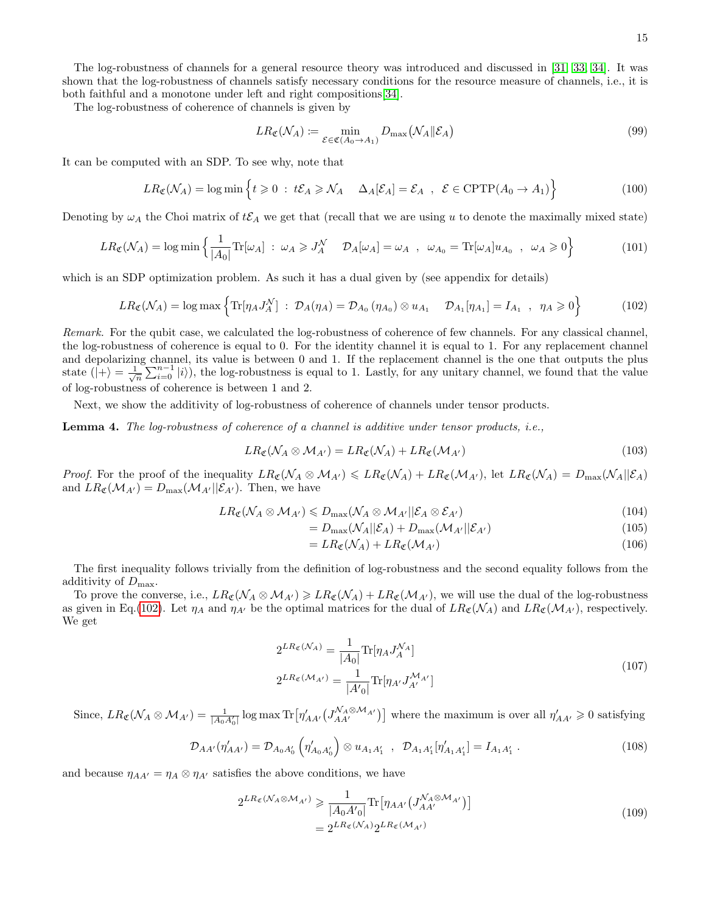The log-robustness of channels for a general resource theory was introduced and discussed in [\[31,](#page-25-16) [33,](#page-26-1) [34\]](#page-26-2). It was shown that the log-robustness of channels satisfy necessary conditions for the resource measure of channels, i.e., it is both faithful and a monotone under left and right compositions[\[34\]](#page-26-2).

The log-robustness of coherence of channels is given by

$$
LR_{\mathfrak{C}}(\mathcal{N}_A) := \min_{\mathcal{E} \in \mathfrak{C}(A_0 \to A_1)} D_{\max}(\mathcal{N}_A \| \mathcal{E}_A)
$$
\n(99)

It can be computed with an SDP. To see why, note that

$$
LR_{\mathfrak{C}}(\mathcal{N}_A) = \log \min \left\{ t \geq 0 \; : \; t\mathcal{E}_A \geq \mathcal{N}_A \quad \Delta_A[\mathcal{E}_A] = \mathcal{E}_A \; , \; \mathcal{E} \in \text{CPTP}(A_0 \to A_1) \right\}
$$
(100)

Denoting by  $\omega_A$  the Choi matrix of  $t\mathcal{E}_A$  we get that (recall that we are using u to denote the maximally mixed state)

<span id="page-14-1"></span>
$$
LR_{\mathfrak{C}}(\mathcal{N}_A) = \log \min \left\{ \frac{1}{|A_0|} \text{Tr}[\omega_A] \; : \; \omega_A \geqslant J_A^{\mathcal{N}} \quad \mathcal{D}_A[\omega_A] = \omega_A \; , \; \; \omega_{A_0} = \text{Tr}[\omega_A] u_{A_0} \; , \; \; \omega_A \geqslant 0 \right\} \tag{101}
$$

which is an SDP optimization problem. As such it has a dual given by (see appendix for details)

<span id="page-14-0"></span>
$$
LR_{\mathfrak{C}}(\mathcal{N}_A) = \log \max \left\{ \text{Tr}[\eta_A J_A^{\mathcal{N}}] \ : \ \mathcal{D}_A(\eta_A) = \mathcal{D}_{A_0} (\eta_{A_0}) \otimes u_{A_1} \quad \mathcal{D}_{A_1}[\eta_{A_1}] = I_{A_1} \ , \ \ \eta_A \geqslant 0 \right\} \tag{102}
$$

Remark. For the qubit case, we calculated the log-robustness of coherence of few channels. For any classical channel, the log-robustness of coherence is equal to 0. For the identity channel it is equal to 1. For any replacement channel and depolarizing channel, its value is between 0 and 1. If the replacement channel is the one that outputs the plus state  $(|+\rangle = \frac{1}{\sqrt{n}} \sum_{i=0}^{n-1} |i\rangle$ , the log-robustness is equal to 1. Lastly, for any unitary channel, we found that the value of log-robustness of coherence is between 1 and 2.

Next, we show the additivity of log-robustness of coherence of channels under tensor products.

<span id="page-14-2"></span>Lemma 4. The log-robustness of coherence of a channel is additive under tensor products, i.e.,

$$
LR_{\mathfrak{C}}(\mathcal{N}_A \otimes \mathcal{M}_{A'}) = LR_{\mathfrak{C}}(\mathcal{N}_A) + LR_{\mathfrak{C}}(\mathcal{M}_{A'}) \tag{103}
$$

*Proof.* For the proof of the inequality  $LR_{\mathfrak{C}}(\mathcal{N}_A \otimes \mathcal{M}_{A'}) \leq LR_{\mathfrak{C}}(\mathcal{N}_A) + LR_{\mathfrak{C}}(\mathcal{M}_{A'})$ , let  $LR_{\mathfrak{C}}(\mathcal{N}_A) = D_{\max}(\mathcal{N}_A||\mathcal{E}_A)$ and  $LR_{\mathfrak{C}}(\mathcal{M}_{A'})=D_{\max}(\mathcal{M}_{A'}||\mathcal{E}_{A'})$ . Then, we have

$$
LR_{\mathfrak{C}}(\mathcal{N}_A \otimes \mathcal{M}_{A'}) \leq D_{\max}(\mathcal{N}_A \otimes \mathcal{M}_{A'} || \mathcal{E}_A \otimes \mathcal{E}_{A'})
$$
\n(104)

$$
=D_{\max}(\mathcal{N}_A||\mathcal{E}_A) + D_{\max}(\mathcal{M}_{A'}||\mathcal{E}_{A'})
$$
\n(105)

$$
=LR_{\mathfrak{C}}(\mathcal{N}_A) + LR_{\mathfrak{C}}(\mathcal{M}_{A'}) \tag{106}
$$

The first inequality follows trivially from the definition of log-robustness and the second equality follows from the additivity of  $D_{\text{max}}$ .

To prove the converse, i.e.,  $LR_{\mathfrak{C}}(\mathcal{N}_A \otimes \mathcal{M}_{A'}) \geq LR_{\mathfrak{C}}(\mathcal{N}_A) + LR_{\mathfrak{C}}(\mathcal{M}_{A'})$ , we will use the dual of the log-robustness as given in Eq.[\(102\)](#page-14-0). Let  $\eta_A$  and  $\eta_{A'}$  be the optimal matrices for the dual of  $LR_{\mathfrak{C}}(\mathcal{N}_A)$  and  $LR_{\mathfrak{C}}(\mathcal{M}_{A'})$ , respectively. We get

$$
2^{LR_{\mathfrak{C}}(\mathcal{N}_A)} = \frac{1}{|A_0|} \text{Tr}[\eta_A J_A^{\mathcal{N}_A}]
$$
  

$$
2^{LR_{\mathfrak{C}}(\mathcal{M}_{A'})} = \frac{1}{|A'_0|} \text{Tr}[\eta_{A'} J_{A'}^{\mathcal{M}_{A'}}]
$$
 (107)

Since,  $LR_{\mathfrak{C}}(\mathcal{N}_A \otimes \mathcal{M}_{A'}) = \frac{1}{|A_0A_0'|}\log \max \text{Tr}\big[\eta'_{AA'}(J_{AA'}^{\mathcal{N}_A \otimes \mathcal{M}_{A'}})\big]$  where the maximum is over all  $\eta'_{AA'} \geqslant 0$  satisfying

$$
\mathcal{D}_{AA'}(\eta'_{AA'}) = \mathcal{D}_{A_0A'_0} \left( \eta'_{A_0A'_0} \right) \otimes u_{A_1A'_1} \ , \ \ \mathcal{D}_{A_1A'_1} [\eta'_{A_1A'_1}] = I_{A_1A'_1} \ . \tag{108}
$$

and because  $\eta_{AA'} = \eta_A \otimes \eta_{A'}$  satisfies the above conditions, we have

$$
2^{LR_{\mathfrak{C}}(\mathcal{N}_A \otimes \mathcal{M}_{A'})} \geq \frac{1}{|A_0 A'_0|} \text{Tr} \left[ \eta_{AA'} \left( J_{AA'}^{\mathcal{N}_A \otimes \mathcal{M}_{A'}} \right) \right]
$$
  
= 
$$
2^{LR_{\mathfrak{C}}(\mathcal{N}_A)} 2^{LR_{\mathfrak{C}}(\mathcal{M}_{A'})}
$$
 (109)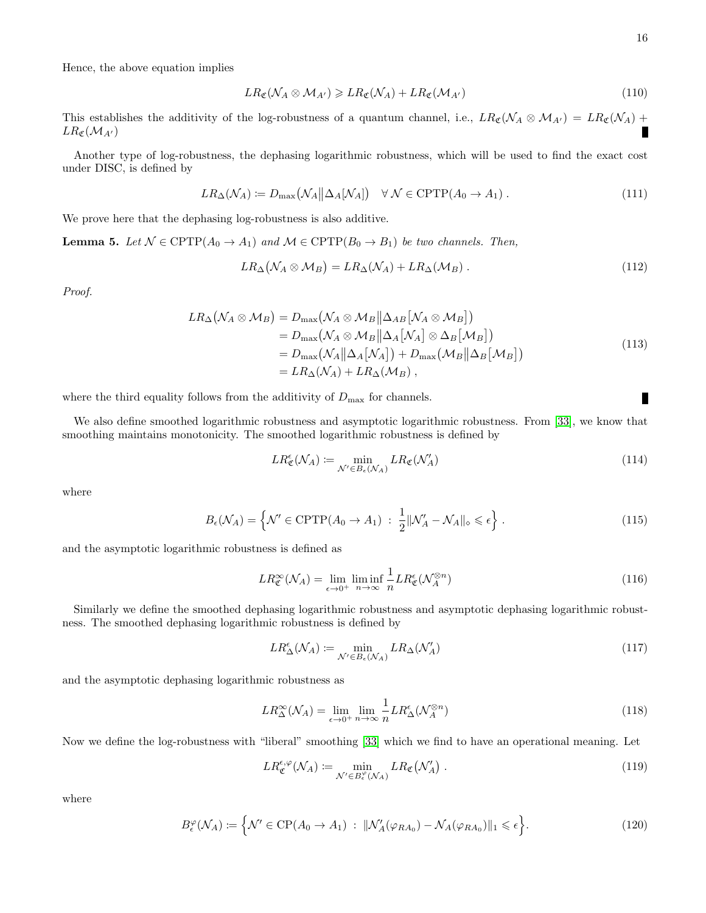Hence, the above equation implies

$$
LR_{\mathfrak{C}}(\mathcal{N}_A \otimes \mathcal{M}_{A'}) \geqslant LR_{\mathfrak{C}}(\mathcal{N}_A) + LR_{\mathfrak{C}}(\mathcal{M}_{A'}) \tag{110}
$$

This establishes the additivity of the log-robustness of a quantum channel, i.e.,  $LR_{\mathfrak{C}}(\mathcal{N}_A \otimes \mathcal{M}_{A'}) = LR_{\mathfrak{C}}(\mathcal{N}_A)$  +  $LR_{\mathfrak{C}}(\mathcal{M}_{A'})$ 

Another type of log-robustness, the dephasing logarithmic robustness, which will be used to find the exact cost under DISC, is defined by

<span id="page-15-0"></span>
$$
LR_{\Delta}(\mathcal{N}_A) := D_{\max}(\mathcal{N}_A || \Delta_A [\mathcal{N}_A]) \quad \forall \ \mathcal{N} \in \text{CPTP}(A_0 \to A_1) \ . \tag{111}
$$

We prove here that the dephasing log-robustness is also additive.

**Lemma 5.** Let  $\mathcal{N} \in \text{CPTP}(A_0 \to A_1)$  and  $\mathcal{M} \in \text{CPTP}(B_0 \to B_1)$  be two channels. Then,

$$
LR_{\Delta}(\mathcal{N}_A \otimes \mathcal{M}_B) = LR_{\Delta}(\mathcal{N}_A) + LR_{\Delta}(\mathcal{M}_B) . \qquad (112)
$$

Proof.

$$
LR_{\Delta}(\mathcal{N}_A \otimes \mathcal{M}_B) = D_{\max}(\mathcal{N}_A \otimes \mathcal{M}_B || \Delta_{AB} [\mathcal{N}_A \otimes \mathcal{M}_B])
$$
  
\n
$$
= D_{\max}(\mathcal{N}_A \otimes \mathcal{M}_B || \Delta_A [\mathcal{N}_A] \otimes \Delta_B [\mathcal{M}_B])
$$
  
\n
$$
= D_{\max}(\mathcal{N}_A || \Delta_A [\mathcal{N}_A]) + D_{\max}(\mathcal{M}_B || \Delta_B [\mathcal{M}_B])
$$
  
\n
$$
= LR_{\Delta}(\mathcal{N}_A) + LR_{\Delta}(\mathcal{M}_B),
$$
\n(113)

where the third equality follows from the additivity of  $D_{\text{max}}$  for channels.

We also define smoothed logarithmic robustness and asymptotic logarithmic robustness. From [\[33\]](#page-26-1), we know that smoothing maintains monotonicity. The smoothed logarithmic robustness is defined by

$$
LR^{\epsilon}_{\mathfrak{C}}(\mathcal{N}_A) := \min_{\mathcal{N}' \in B_{\epsilon}(\mathcal{N}_A)} LR_{\mathfrak{C}}(\mathcal{N}'_A)
$$
(114)

where

$$
B_{\epsilon}(\mathcal{N}_A) = \left\{ \mathcal{N}' \in \text{CPTP}(A_0 \to A_1) \; : \; \frac{1}{2} \|\mathcal{N}'_A - \mathcal{N}_A\|_{\diamond} \leq \epsilon \right\}. \tag{115}
$$

and the asymptotic logarithmic robustness is defined as

$$
LR^{\infty}_{\mathfrak{C}}(\mathcal{N}_A) = \lim_{\epsilon \to 0^+} \liminf_{n \to \infty} \frac{1}{n} LR^{\epsilon}_{\mathfrak{C}}(\mathcal{N}_A^{\otimes n})
$$
\n(116)

Similarly we define the smoothed dephasing logarithmic robustness and asymptotic dephasing logarithmic robustness. The smoothed dephasing logarithmic robustness is defined by

$$
LR_{\Delta}^{\epsilon}(\mathcal{N}_A) := \min_{\mathcal{N}' \in B_{\epsilon}(\mathcal{N}_A)} LR_{\Delta}(\mathcal{N}'_A)
$$
\n(117)

and the asymptotic dephasing logarithmic robustness as

$$
LR^{\infty}_{\Delta}(\mathcal{N}_A) = \lim_{\epsilon \to 0^+} \lim_{n \to \infty} \frac{1}{n} LR^{\epsilon}_{\Delta}(\mathcal{N}_A^{\otimes n})
$$
\n(118)

Now we define the log-robustness with "liberal" smoothing [\[33\]](#page-26-1) which we find to have an operational meaning. Let

$$
LR_{\mathfrak{C}}^{\epsilon,\varphi}(\mathcal{N}_A) \coloneqq \min_{\mathcal{N}' \in B_{\epsilon}^{\varphi}(\mathcal{N}_A)} LR_{\mathfrak{C}}(\mathcal{N}'_A) \ . \tag{119}
$$

where

$$
B_{\epsilon}^{\varphi}(\mathcal{N}_A) := \left\{ \mathcal{N}' \in \mathrm{CP}(A_0 \to A_1) \; : \; \|\mathcal{N}'_A(\varphi_{RA_0}) - \mathcal{N}_A(\varphi_{RA_0})\|_1 \leqslant \epsilon \right\}.
$$

П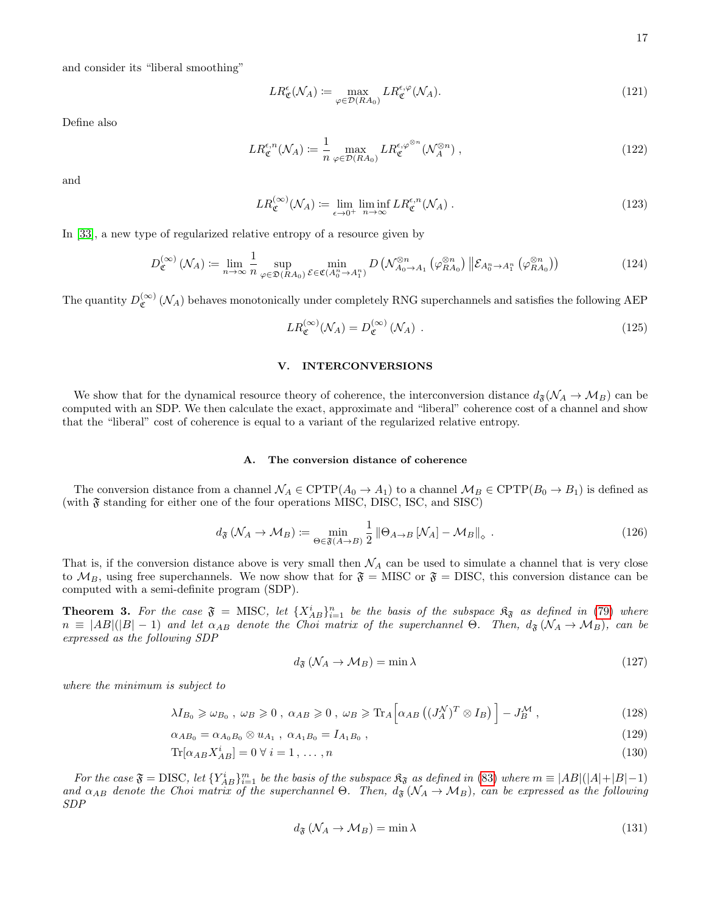and consider its "liberal smoothing"

$$
LR^{\epsilon}_{\mathfrak{C}}(\mathcal{N}_A) := \max_{\varphi \in \mathcal{D}(RA_0)} LR^{\epsilon, \varphi}_{\mathfrak{C}}(\mathcal{N}_A). \tag{121}
$$

Define also

$$
LR_{\mathfrak{C}}^{\epsilon,n}(\mathcal{N}_A) \coloneqq \frac{1}{n} \max_{\varphi \in \mathcal{D}(RA_0)} LR_{\mathfrak{C}}^{\epsilon, \varphi^{\otimes n}}(\mathcal{N}_A^{\otimes n}) ,
$$
 (122)

and

$$
LR_{\mathfrak{C}}^{(\infty)}(\mathcal{N}_A) := \lim_{\epsilon \to 0^+} \liminf_{n \to \infty} LR_{\mathfrak{C}}^{\epsilon, n}(\mathcal{N}_A).
$$
 (123)

In [\[33\]](#page-26-1), a new type of regularized relative entropy of a resource given by

$$
D_{\mathfrak{C}}^{(\infty)}\left(\mathcal{N}_A\right) := \lim_{n \to \infty} \frac{1}{n} \sup_{\varphi \in \mathfrak{D}(RA_0)} \min_{\mathcal{E} \in \mathfrak{C}(A_0^n \to A_1^n)} D\left(\mathcal{N}_{A_0 \to A_1}^{\otimes n} \left(\varphi_{RA_0}^{\otimes n}\right) \|\mathcal{E}_{A_0^n \to A_1^n}\left(\varphi_{RA_0}^{\otimes n}\right)\right) \tag{124}
$$

The quantity  $D_{\sigma}^{(\infty)}$  $\mathcal{C}^{(\infty)}(\mathcal{N}_A)$  behaves monotonically under completely RNG superchannels and satisfies the following AEP

<span id="page-16-1"></span>
$$
LR_{\mathfrak{C}}^{(\infty)}(\mathcal{N}_A) = D_{\mathfrak{C}}^{(\infty)}(\mathcal{N}_A) \tag{125}
$$

## <span id="page-16-0"></span>V. INTERCONVERSIONS

We show that for the dynamical resource theory of coherence, the interconversion distance  $d_{\mathfrak{F}}(\mathcal{N}_A \to \mathcal{M}_B)$  can be computed with an SDP. We then calculate the exact, approximate and "liberal" coherence cost of a channel and show that the "liberal" cost of coherence is equal to a variant of the regularized relative entropy.

### <span id="page-16-2"></span>A. The conversion distance of coherence

The conversion distance from a channel  $\mathcal{N}_A \in \text{CPTP}(A_0 \to A_1)$  to a channel  $\mathcal{M}_B \in \text{CPTP}(B_0 \to B_1)$  is defined as (with  $\mathfrak F$  standing for either one of the four operations MISC, DISC, ISC, and SISC)

<span id="page-16-3"></span>
$$
d_{\mathfrak{F}}\left(\mathcal{N}_A \to \mathcal{M}_B\right) := \min_{\Theta \in \mathfrak{F}(A \to B)} \frac{1}{2} \left\|\Theta_{A \to B}\left[\mathcal{N}_A\right] - \mathcal{M}_B\right\|_{\diamond} \tag{126}
$$

That is, if the conversion distance above is very small then  $\mathcal{N}_A$  can be used to simulate a channel that is very close to  $M_B$ , using free superchannels. We now show that for  $\mathfrak{F} =$  MISC or  $\mathfrak{F} =$  DISC, this conversion distance can be computed with a semi-definite program (SDP).

<span id="page-16-4"></span>**Theorem 3.** For the case  $\mathfrak{F} = \text{MISC}$ , let  $\{X_{AB}^i\}_{i=1}^n$  be the basis of the subspace  $\mathfrak{K}_{\mathfrak{F}}$  as defined in [\(79\)](#page-10-1) where  $n \equiv |AB|(|B|-1)$  and let  $\alpha_{AB}$  denote the Choi matrix of the superchannel  $\Theta$ . Then,  $d_{\mathfrak{F}}(\mathcal{N}_A \to \mathcal{M}_B)$ , can be expressed as the following SDP

$$
d_{\mathfrak{F}}\left(\mathcal{N}_A \to \mathcal{M}_B\right) = \min \lambda \tag{127}
$$

where the minimum is subject to

$$
\lambda I_{B_0} \geq \omega_{B_0}, \ \omega_B \geq 0 \ , \ \alpha_{AB} \geq 0 \ , \ \omega_B \geq \text{Tr}_A \Big[ \alpha_{AB} \left( (J_A^N)^T \otimes I_B \right) \Big] - J_B^M \ , \tag{128}
$$

$$
\alpha_{AB_0} = \alpha_{A_0B_0} \otimes u_{A_1} , \ \alpha_{A_1B_0} = I_{A_1B_0} , \tag{129}
$$

$$
\text{Tr}[\alpha_{AB} X_{AB}^i] = 0 \,\forall \, i = 1, \dots, n \tag{130}
$$

For the case  $\mathfrak{F} = \text{DISC}$ , let  $\{Y_{AB}^i\}_{i=1}^m$  be the basis of the subspace  $\mathfrak{K}_{\mathfrak{F}}$  as defined in [\(83\)](#page-11-2) where  $m \equiv |AB|(|A|+|B|-1)$ and  $\alpha_{AB}$  denote the Choi matrix of the superchannel  $\Theta$ . Then,  $d_{\mathfrak{F}}(\mathcal{N}_A \to \mathcal{M}_B)$ , can be expressed as the following SDP

$$
d_{\mathfrak{F}}\left(\mathcal{N}_A \to \mathcal{M}_B\right) = \min \lambda \tag{131}
$$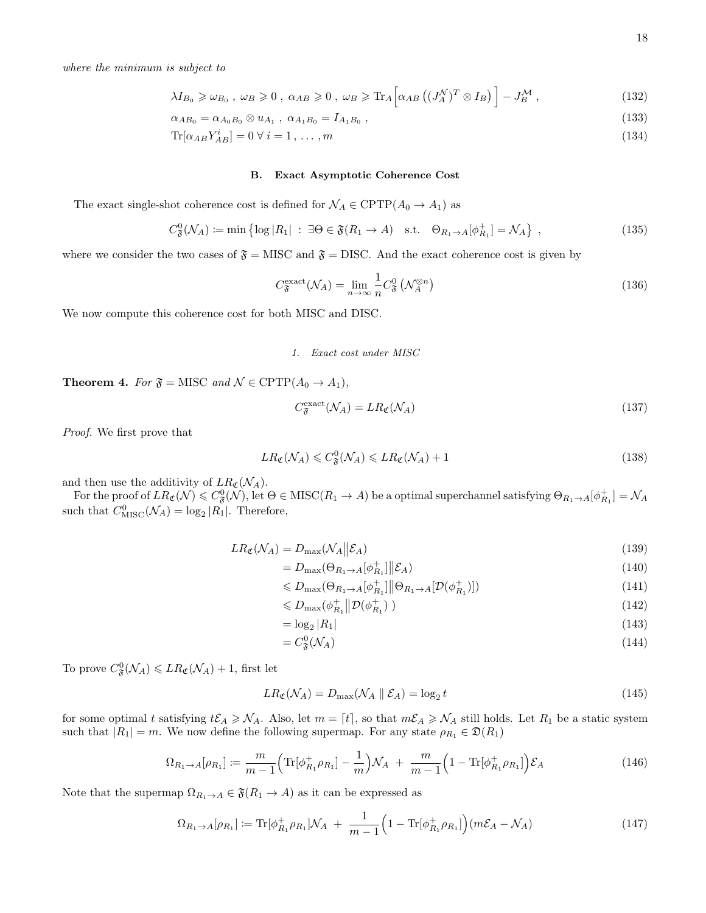$$
\lambda I_{B_0} \geq \omega_{B_0} , \ \omega_B \geq 0 , \ \alpha_{AB} \geq 0 , \ \omega_B \geq \text{Tr}_A \Big[ \alpha_{AB} \left( (J_A^N)^T \otimes I_B \right) \Big] - J_B^M , \tag{132}
$$

$$
\alpha_{AB_0} = \alpha_{A_0B_0} \otimes u_{A_1} , \ \alpha_{A_1B_0} = I_{A_1B_0} , \tag{133}
$$

$$
\text{Tr}[\alpha_{AB} Y_{AB}^i] = 0 \,\forall \, i = 1, \dots, m \tag{134}
$$

### B. Exact Asymptotic Coherence Cost

The exact single-shot coherence cost is defined for  $\mathcal{N}_A \in \text{CPTP}(A_0 \to A_1)$  as

$$
C_{\mathfrak{F}}^{0}(\mathcal{N}_{A}) \coloneqq \min\left\{ \log|R_{1}| \; : \; \exists \Theta \in \mathfrak{F}(R_{1} \to A) \quad \text{s.t.} \quad \Theta_{R_{1} \to A}[\phi_{R_{1}}^{+}] = \mathcal{N}_{A} \right\} \;, \tag{135}
$$

where we consider the two cases of  $\mathfrak{F} = \text{MISC}$  and  $\mathfrak{F} = \text{DISC}$ . And the exact coherence cost is given by

$$
C_{\mathfrak{F}}^{\text{exact}}(\mathcal{N}_A) = \lim_{n \to \infty} \frac{1}{n} C_{\mathfrak{F}}^0 \left( \mathcal{N}_A^{\otimes n} \right) \tag{136}
$$

We now compute this coherence cost for both MISC and DISC.

#### 1. Exact cost under MISC

**Theorem 4.** For  $\mathfrak{F} = \text{MISC}$  and  $\mathcal{N} \in \text{CPTP}(A_0 \to A_1)$ ,

$$
C_{\mathfrak{F}}^{\text{exact}}(\mathcal{N}_A) = LR_{\mathfrak{C}}(\mathcal{N}_A)
$$
\n(137)

Proof. We first prove that

<span id="page-17-0"></span>
$$
LR_{\mathfrak{C}}(\mathcal{N}_A) \leqslant C_{\mathfrak{F}}^0(\mathcal{N}_A) \leqslant LR_{\mathfrak{C}}(\mathcal{N}_A) + 1
$$
\n(138)

and then use the additivity of  $LR_{\mathfrak{C}}(\mathcal{N}_A)$ .

For the proof of  $LR_{\mathfrak{C}}(\mathcal{N}) \leqslant C^0_{\mathfrak{F}}(\mathcal{N}),$  let  $\Theta \in \mathrm{MISC}(R_1 \to A)$  be a optimal superchannel satisfying  $\Theta_{R_1 \to A}[\phi_{R_1}^+] = \mathcal{N}_A$ such that  $C_{\text{MISC}}^{0}(\mathcal{N}_A) = \log_2 |R_1|$ . Therefore,

$$
LR_{\mathfrak{C}}(\mathcal{N}_A) = D_{\max}(\mathcal{N}_A || \mathcal{E}_A)
$$
\n(139)

$$
= D_{\max}(\Theta_{R_1 \to A}[\phi_{R_1}^+] \| \mathcal{E}_A)
$$
\n
$$
\leq D_{\max}(\Theta_{R_1 \to A}[\phi_{R_1}^+] \| \Theta_{R_1 \to A}[\mathcal{D}(\phi_{R_1}^+)] )
$$
\n(141)

$$
\leq D_{\max}(\Theta_{R_1 \to A}[\phi_{R_1}^+]] \Big|\Theta_{R_1 \to A}[\mathcal{D}(\phi_{R_1}^+)]\Big) \tag{141}
$$

$$
\leq D_{\max}(\phi_{R_1}^+ \|\mathcal{D}(\phi_{R_1}^+)\ ) \tag{142}
$$

$$
= \log_2 |R_1| \tag{143}
$$

$$
=C_{\mathfrak{F}}^{0}(\mathcal{N}_{A})\tag{144}
$$

To prove  $C^0_{\mathfrak{F}}(\mathcal{N}_A) \leqslant LR_{\mathfrak{C}}(\mathcal{N}_A) + 1$ , first let

$$
LR_{\mathfrak{C}}(\mathcal{N}_A) = D_{\max}(\mathcal{N}_A \parallel \mathcal{E}_A) = \log_2 t \tag{145}
$$

for some optimal t satisfying  $t\mathcal{E}_A \geq \mathcal{N}_A$ . Also, let  $m = [t]$ , so that  $m\mathcal{E}_A \geq \mathcal{N}_A$  still holds. Let  $R_1$  be a static system such that  $|R_1| = m$ . We now define the following supermap. For any state  $\rho_{R_1} \in \mathfrak{D}(R_1)$ 

$$
\Omega_{R_1 \to A}[\rho_{R_1}] := \frac{m}{m-1} \Big( \text{Tr}[\phi_{R_1}^+ \rho_{R_1}] - \frac{1}{m} \Big) \mathcal{N}_A + \frac{m}{m-1} \Big( 1 - \text{Tr}[\phi_{R_1}^+ \rho_{R_1}] \Big) \mathcal{E}_A \tag{146}
$$

Note that the supermap  $\Omega_{R_1 \to A} \in \mathfrak{F}(R_1 \to A)$  as it can be expressed as

$$
\Omega_{R_1 \to A}[\rho_{R_1}] := \text{Tr}[\phi_{R_1}^+ \rho_{R_1}] \mathcal{N}_A + \frac{1}{m-1} \Big( 1 - \text{Tr}[\phi_{R_1}^+ \rho_{R_1}] \Big) (m\mathcal{E}_A - \mathcal{N}_A)
$$
(147)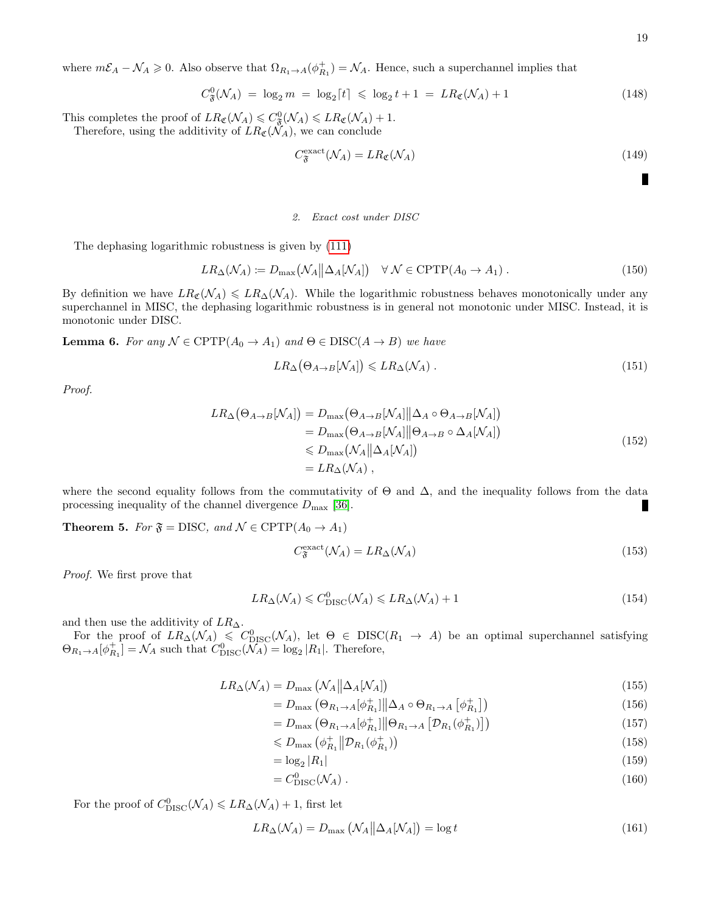where  $m\mathcal{E}_A - \mathcal{N}_A \geq 0$ . Also observe that  $\Omega_{R_1 \to A}(\phi_{R_1}^+) = \mathcal{N}_A$ . Hence, such a superchannel implies that

$$
C_{\mathfrak{F}}^{0}(\mathcal{N}_{A}) = \log_{2} m = \log_{2}[t] \leq \log_{2} t + 1 = LR_{\mathfrak{C}}(\mathcal{N}_{A}) + 1 \tag{148}
$$

This completes the proof of  $LR_{\mathfrak{C}}(\mathcal{N}_A) \leqslant C_{\mathfrak{F}}^0(\mathcal{N}_A) \leqslant LR_{\mathfrak{C}}(\mathcal{N}_A) + 1$ . Therefore, using the additivity of  $LR_{\mathfrak{C}}(\check{N}_A)$ , we can conclude

$$
C_{\mathfrak{F}}^{\text{exact}}(\mathcal{N}_A) = LR_{\mathfrak{C}}(\mathcal{N}_A)
$$
\n(149)

п

## 2. Exact cost under DISC

The dephasing logarithmic robustness is given by [\(111\)](#page-15-0)

$$
LR_{\Delta}(\mathcal{N}_A) := D_{\max}(\mathcal{N}_A || \Delta_A [\mathcal{N}_A]) \quad \forall \ \mathcal{N} \in \text{CPTP}(A_0 \to A_1) \ . \tag{150}
$$

By definition we have  $LR_{\mathfrak{C}}(\mathcal{N}_A) \leq LR_{\Delta}(\mathcal{N}_A)$ . While the logarithmic robustness behaves monotonically under any superchannel in MISC, the dephasing logarithmic robustness is in general not monotonic under MISC. Instead, it is monotonic under DISC.

**Lemma 6.** For any  $N \in \text{CPTP}(A_0 \to A_1)$  and  $\Theta \in \text{DISC}(A \to B)$  we have

$$
LR_{\Delta}(\Theta_{A \to B}[N_A]) \leqslant LR_{\Delta}(N_A) \tag{151}
$$

Proof.

$$
LR_{\Delta}(\Theta_{A \to B}[N_A]) = D_{\max}(\Theta_{A \to B}[N_A] || \Delta_A \circ \Theta_{A \to B}[N_A])
$$
  
= 
$$
D_{\max}(\Theta_{A \to B}[N_A] || \Theta_{A \to B} \circ \Delta_A[N_A])
$$
  
\$\leq D\_{\max}(N\_A || \Delta\_A[N\_A])\$  
= 
$$
LR_{\Delta}(N_A),
$$
 (152)

where the second equality follows from the commutativity of  $\Theta$  and  $\Delta$ , and the inequality follows from the data processing inequality of the channel divergence  $D_{\text{max}}$  [\[36\]](#page-26-4).

**Theorem 5.** For  $\mathfrak{F} = DISC$ , and  $\mathcal{N} \in \text{CPTP}(A_0 \rightarrow A_1)$ 

$$
C_{\mathfrak{F}}^{\text{exact}}(\mathcal{N}_A) = LR_{\Delta}(\mathcal{N}_A) \tag{153}
$$

Proof. We first prove that

<span id="page-18-0"></span>
$$
LR_{\Delta}(\mathcal{N}_A) \leq C_{\text{DISC}}^0(\mathcal{N}_A) \leq LR_{\Delta}(\mathcal{N}_A) + 1 \tag{154}
$$

and then use the additivity of  $LR_{\Delta}$ .

For the proof of  $LR_{\Delta}(\mathcal{N}_A) \leq C_{\mathrm{DISC}}^0(\mathcal{N}_A)$ , let  $\Theta \in \mathrm{DISC}(R_1 \to A)$  be an optimal superchannel satisfying  $\Theta_{R_1 \to A}[\phi_{R_1}^+] = \mathcal{N}_A$  such that  $C_{\text{DISC}}^0(\widetilde{\mathcal{N}}_A) = \log_2 |R_1|$ . Therefore,

$$
LR_{\Delta}(\mathcal{N}_A) = D_{\max}(\mathcal{N}_A || \Delta_A [\mathcal{N}_A])
$$
\n(155)

$$
=D_{\max}\left(\Theta_{R_1\to A}[\phi_{R_1}^+]\middle\|\Delta_A\circ\Theta_{R_1\to A}\left[\phi_{R_1}^+\right]\right) \tag{156}
$$

$$
=D_{\max}\left(\Theta_{R_1\rightarrow A}[\phi_{R_1}^+]\middle|\left|\Theta_{R_1\rightarrow A}\left[\mathcal{D}_{R_1}(\phi_{R_1}^+)\right]\right]\right)
$$
(157)

$$
\leq D_{\max} \left( \phi_{R_1}^+ \middle| \mathcal{D}_{R_1}(\phi_{R_1}^+) \right) \tag{158}
$$

$$
= \log_2 |R_1| \tag{159}
$$

$$
=C_{\text{DISC}}^0(\mathcal{N}_A). \tag{160}
$$

For the proof of  $C_{\text{DISC}}^0(\mathcal{N}_A) \leq L R_{\Delta}(\mathcal{N}_A) + 1$ , first let

$$
LR_{\Delta}(\mathcal{N}_A) = D_{\max}(\mathcal{N}_A || \Delta_A [\mathcal{N}_A]) = \log t \tag{161}
$$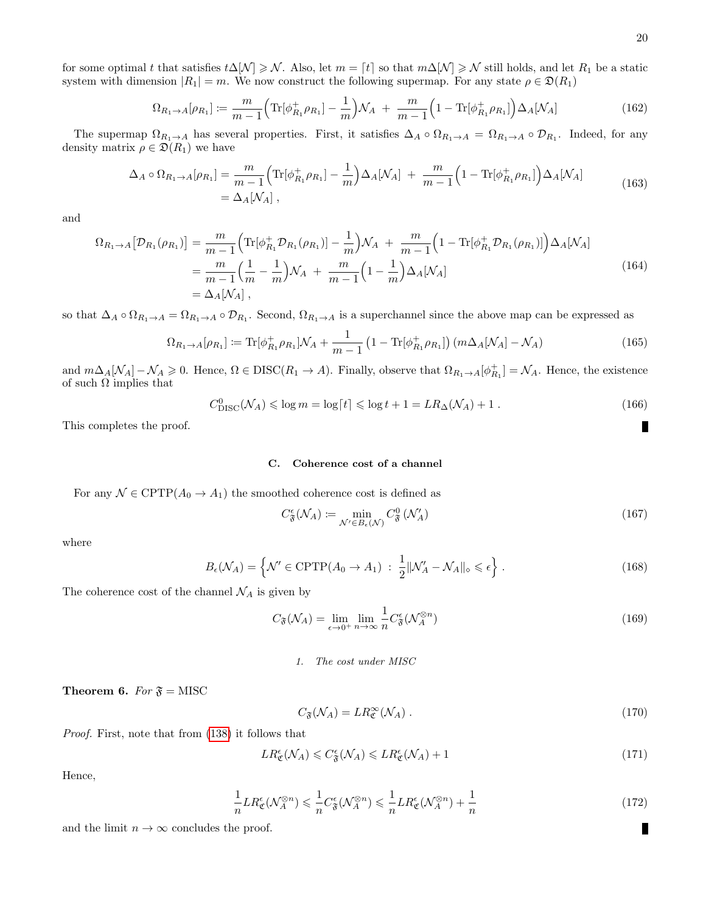for some optimal t that satisfies  $t\Delta[\mathcal{N}] \geq \mathcal{N}$ . Also, let  $m = [t]$  so that  $m\Delta[\mathcal{N}] \geq \mathcal{N}$  still holds, and let  $R_1$  be a static system with dimension  $|R_1| = m$ . We now construct the following supermap. For any state  $\rho \in \mathfrak{D}(R_1)$ 

$$
\Omega_{R_1 \to A}[\rho_{R_1}] := \frac{m}{m-1} \Big( \text{Tr}[\phi_{R_1}^+ \rho_{R_1}] - \frac{1}{m} \Big) \mathcal{N}_A + \frac{m}{m-1} \Big( 1 - \text{Tr}[\phi_{R_1}^+ \rho_{R_1}] \Big) \Delta_A[\mathcal{N}_A] \tag{162}
$$

The supermap  $\Omega_{R_1\to A}$  has several properties. First, it satisfies  $\Delta_A \circ \Omega_{R_1\to A} = \Omega_{R_1\to A} \circ \mathcal{D}_{R_1}$ . Indeed, for any density matrix  $\rho \in \mathfrak{D}(R_1)$  we have

$$
\Delta_A \circ \Omega_{R_1 \to A}[\rho_{R_1}] = \frac{m}{m-1} \Big( \text{Tr}[\phi_{R_1}^+ \rho_{R_1}] - \frac{1}{m} \Big) \Delta_A[\mathcal{N}_A] + \frac{m}{m-1} \Big( 1 - \text{Tr}[\phi_{R_1}^+ \rho_{R_1}] \Big) \Delta_A[\mathcal{N}_A] \n= \Delta_A[\mathcal{N}_A],
$$
\n(163)

and

$$
\Omega_{R_1 \to A} [\mathcal{D}_{R_1}(\rho_{R_1})] = \frac{m}{m-1} \Big( \text{Tr}[\phi_{R_1}^+ \mathcal{D}_{R_1}(\rho_{R_1})] - \frac{1}{m} \Big) \mathcal{N}_A + \frac{m}{m-1} \Big( 1 - \text{Tr}[\phi_{R_1}^+ \mathcal{D}_{R_1}(\rho_{R_1})] \Big) \Delta_A [\mathcal{N}_A]
$$
  
=  $\frac{m}{m-1} \Big( \frac{1}{m} - \frac{1}{m} \Big) \mathcal{N}_A + \frac{m}{m-1} \Big( 1 - \frac{1}{m} \Big) \Delta_A [\mathcal{N}_A]$   
=  $\Delta_A [\mathcal{N}_A],$  (164)

so that  $\Delta_A \circ \Omega_{R_1\to A} = \Omega_{R_1\to A} \circ \mathcal{D}_{R_1}$ . Second,  $\Omega_{R_1\to A}$  is a superchannel since the above map can be expressed as

$$
\Omega_{R_1 \to A}[\rho_{R_1}] := \text{Tr}[\phi_{R_1}^+ \rho_{R_1}] \mathcal{N}_A + \frac{1}{m-1} \left( 1 - \text{Tr}[\phi_{R_1}^+ \rho_{R_1}] \right) \left( m \Delta_A [\mathcal{N}_A] - \mathcal{N}_A \right) \tag{165}
$$

and  $m\Delta_A[\mathcal{N}_A]-\mathcal{N}_A\geqslant 0$ . Hence,  $\Omega \in \text{DISC}(R_1 \to A)$ . Finally, observe that  $\Omega_{R_1\to A}[\phi_{R_1}^+] = \mathcal{N}_A$ . Hence, the existence of such  $\Omega$  implies that

$$
C_{\text{DISC}}^0(\mathcal{N}_A) \leqslant \log m = \log\lceil t \rceil \leqslant \log t + 1 = LR_{\Delta}(\mathcal{N}_A) + 1. \tag{166}
$$

This completes the proof.

# C. Coherence cost of a channel

For any  $\mathcal{N} \in \text{CPTP}(A_0 \to A_1)$  the smoothed coherence cost is defined as

$$
C^{\epsilon}_{\mathfrak{F}}(\mathcal{N}_A) := \min_{\mathcal{N}' \in B_{\epsilon}(\mathcal{N})} C^0_{\mathfrak{F}}(\mathcal{N}'_A)
$$
(167)

where

$$
B_{\epsilon}(\mathcal{N}_A) = \left\{ \mathcal{N}' \in \text{CPTP}(A_0 \to A_1) \; : \; \frac{1}{2} \| \mathcal{N}'_A - \mathcal{N}_A \|_{\diamond} \leq \epsilon \right\}.
$$
 (168)

The coherence cost of the channel  $\mathcal{N}_A$  is given by

$$
C_{\mathfrak{F}}(\mathcal{N}_A) = \lim_{\epsilon \to 0^+} \lim_{n \to \infty} \frac{1}{n} C^{\epsilon}_{\mathfrak{F}}(\mathcal{N}_A^{\otimes n})
$$
\n(169)

## 1. The cost under MISC

**Theorem 6.** For  $\mathfrak{F} = \text{MISC}$ 

$$
C_{\mathfrak{F}}(\mathcal{N}_A) = LR_{\mathfrak{C}}^{\infty}(\mathcal{N}_A). \tag{170}
$$

Proof. First, note that from [\(138\)](#page-17-0) it follows that

$$
LR^{\epsilon}_{\mathfrak{C}}(\mathcal{N}_A) \leqslant C^{\epsilon}_{\mathfrak{F}}(\mathcal{N}_A) \leqslant LR^{\epsilon}_{\mathfrak{C}}(\mathcal{N}_A) + 1
$$
\n
$$
(171)
$$

Hence,

$$
\frac{1}{n}LR_{\mathfrak{C}}^{\epsilon}(\mathcal{N}_{A}^{\otimes n}) \leqslant \frac{1}{n}C_{\mathfrak{F}}^{\epsilon}(\mathcal{N}_{A}^{\otimes n}) \leqslant \frac{1}{n}LR_{\mathfrak{C}}^{\epsilon}(\mathcal{N}_{A}^{\otimes n}) + \frac{1}{n}
$$
\n(172)

and the limit  $n \to \infty$  concludes the proof.

П

П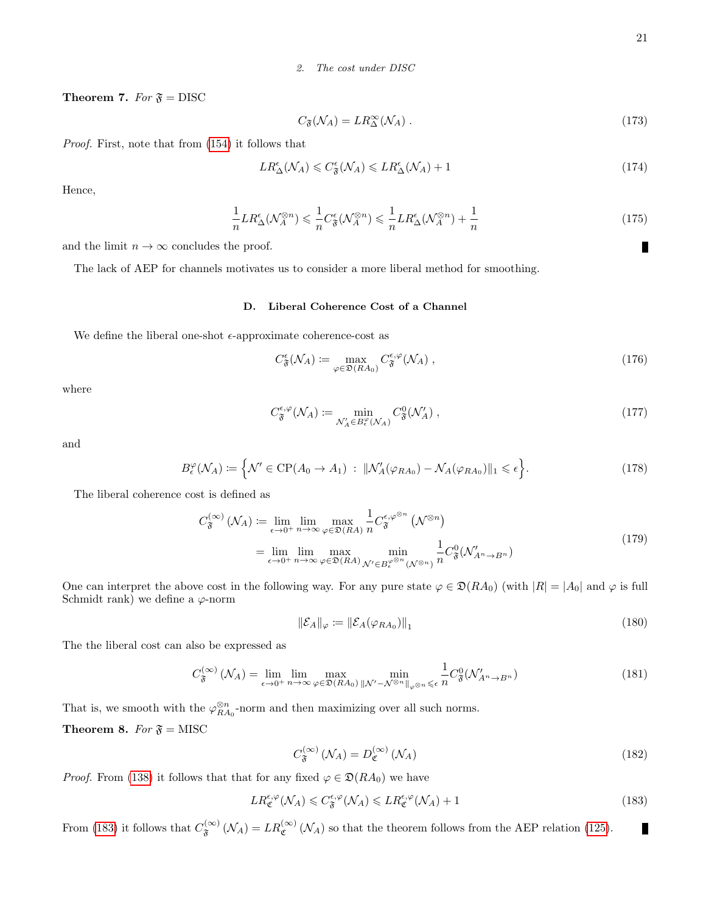2. The cost under DISC

**Theorem 7.** For  $\mathfrak{F} = \text{DISC}$ 

$$
C_{\mathfrak{F}}(\mathcal{N}_A) = LR_{\Delta}^{\infty}(\mathcal{N}_A). \tag{173}
$$

Proof. First, note that from [\(154\)](#page-18-0) it follows that

$$
LR_{\Delta}^{\epsilon}(\mathcal{N}_A) \leqslant C_{\mathfrak{F}}^{\epsilon}(\mathcal{N}_A) \leqslant LR_{\Delta}^{\epsilon}(\mathcal{N}_A) + 1 \tag{174}
$$

Hence,

$$
\frac{1}{n}LR_{\Delta}^{\epsilon}(\mathcal{N}_{A}^{\otimes n}) \leqslant \frac{1}{n}C_{\mathfrak{F}}^{\epsilon}(\mathcal{N}_{A}^{\otimes n}) \leqslant \frac{1}{n}LR_{\Delta}^{\epsilon}(\mathcal{N}_{A}^{\otimes n}) + \frac{1}{n}
$$
\n
$$
(175)
$$

and the limit  $n \to \infty$  concludes the proof.

The lack of AEP for channels motivates us to consider a more liberal method for smoothing.

## D. Liberal Coherence Cost of a Channel

We define the liberal one-shot  $\epsilon\text{-approximate}$  coherence-cost as

$$
C^{\epsilon}_{\mathfrak{F}}(\mathcal{N}_A) \coloneqq \max_{\varphi \in \mathfrak{D}(RA_0)} C^{\epsilon, \varphi}_{\mathfrak{F}}(\mathcal{N}_A) , \qquad (176)
$$

where

$$
C_{\mathfrak{F}}^{\epsilon,\varphi}(\mathcal{N}_A) \coloneqq \min_{\mathcal{N}'_A \in B_{\epsilon}^{\varphi}(\mathcal{N}_A)} C_{\mathfrak{F}}^0(\mathcal{N}'_A) ,\qquad(177)
$$

and

$$
B_{\epsilon}^{\varphi}(\mathcal{N}_A) := \left\{ \mathcal{N}' \in \mathrm{CP}(A_0 \to A_1) \; : \; \|\mathcal{N}'_A(\varphi_{RA_0}) - \mathcal{N}_A(\varphi_{RA_0})\|_1 \leqslant \epsilon \right\}.
$$

The liberal coherence cost is defined as

$$
C_{\mathfrak{F}}^{(\infty)}(\mathcal{N}_A) \coloneqq \lim_{\epsilon \to 0^+} \lim_{n \to \infty} \max_{\varphi \in \mathfrak{D}(RA)} \frac{1}{n} C_{\mathfrak{F}}^{\epsilon, \varphi^{\otimes n}}(\mathcal{N}^{\otimes n})
$$
  
= 
$$
\lim_{\epsilon \to 0^+} \lim_{n \to \infty} \max_{\varphi \in \mathfrak{D}(RA)} \min_{\mathcal{N}' \in B_{\epsilon}^{\varphi^{\otimes n}}(\mathcal{N}^{\otimes n})} \frac{1}{n} C_{\mathfrak{F}}^0(\mathcal{N}'_{A^n \to B^n})
$$
(179)

One can interpret the above cost in the following way. For any pure state  $\varphi \in \mathfrak{D}(RA_0)$  (with  $|R| = |A_0|$  and  $\varphi$  is full Schmidt rank) we define a  $\varphi$ -norm

$$
\|\mathcal{E}_A\|_{\varphi} := \|\mathcal{E}_A(\varphi_{RA_0})\|_1 \tag{180}
$$

The the liberal cost can also be expressed as

$$
C_{\mathfrak{F}}^{(\infty)}\left(\mathcal{N}_A\right) = \lim_{\epsilon \to 0^+} \lim_{n \to \infty} \max_{\varphi \in \mathfrak{D}(RA_0)} \min_{\|\mathcal{N}' - \mathcal{N}^{\otimes n}\|_{\varphi^{\otimes n}}} \frac{1}{n} C_{\mathfrak{F}}^0(\mathcal{N}'_{A^n \to B^n})
$$
(181)

That is, we smooth with the  $\varphi_{RA_0}^{\otimes n}$ -norm and then maximizing over all such norms.

**Theorem 8.** For  $\mathfrak{F} = \text{MISC}$ 

$$
C_{\mathfrak{F}}^{(\infty)}\left(\mathcal{N}_A\right) = D_{\mathfrak{C}}^{(\infty)}\left(\mathcal{N}_A\right) \tag{182}
$$

*Proof.* From [\(138\)](#page-17-0) it follows that that for any fixed  $\varphi \in \mathfrak{D}(RA_0)$  we have

<span id="page-20-0"></span>
$$
LR_{\mathfrak{C}}^{\epsilon,\varphi}(\mathcal{N}_A) \leqslant C_{\mathfrak{F}}^{\epsilon,\varphi}(\mathcal{N}_A) \leqslant LR_{\mathfrak{C}}^{\epsilon,\varphi}(\mathcal{N}_A) + 1
$$
\n<sup>(183)</sup>

From [\(183\)](#page-20-0) it follows that  $C_{\mathfrak{s}}^{(\infty)}$  $F_{\mathfrak{F}}^{(\infty)}(\mathcal{N}_A) = LR_{\mathfrak{C}}^{(\infty)}(\mathcal{N}_A)$  so that the theorem follows from the AEP relation [\(125\)](#page-16-1).

П

П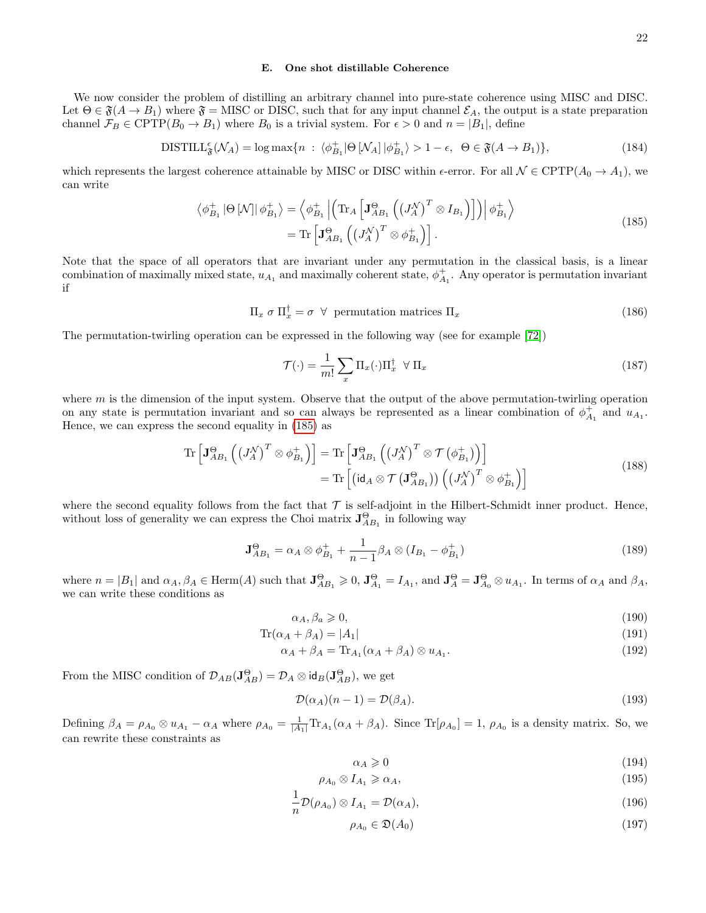We now consider the problem of distilling an arbitrary channel into pure-state coherence using MISC and DISC. Let  $\Theta \in \mathfrak{F}(A \to B_1)$  where  $\mathfrak{F} =$  MISC or DISC, such that for any input channel  $\mathcal{E}_A$ , the output is a state preparation channel  $\mathcal{F}_B \in \text{CPTP}(B_0 \to B_1)$  where  $B_0$  is a trivial system. For  $\epsilon > 0$  and  $n = |B_1|$ , define

<span id="page-21-4"></span>
$$
\text{DISTILL}_{\mathfrak{F}}^{\epsilon}(\mathcal{N}_A) = \log \max \{ n \; : \; \langle \phi_{B_1}^+ | \Theta \left[ \mathcal{N}_A \right] | \phi_{B_1}^+ \rangle > 1 - \epsilon, \; \Theta \in \mathfrak{F}(A \to B_1) \},\tag{184}
$$

which represents the largest coherence attainable by MISC or DISC within  $\epsilon$ -error. For all  $\mathcal{N} \in \text{CPTP}(A_0 \to A_1)$ , we can write

<span id="page-21-0"></span>
$$
\langle \phi_{B_1}^+ | \Theta \left[ \mathcal{N} \right] | \phi_{B_1}^+ \rangle = \langle \phi_{B_1}^+ | \left( \text{Tr}_A \left[ \mathbf{J}_{AB_1}^{\Theta} \left( \left( J_A^{\mathcal{N}} \right)^T \otimes I_{B_1} \right) \right] \right) | \phi_{B_1}^+ \rangle = \text{Tr} \left[ \mathbf{J}_{AB_1}^{\Theta} \left( \left( J_A^{\mathcal{N}} \right)^T \otimes \phi_{B_1}^+ \right) \right].
$$
\n(185)

Note that the space of all operators that are invariant under any permutation in the classical basis, is a linear combination of maximally mixed state,  $u_{A_1}$  and maximally coherent state,  $\phi_{A_1}^+$ . Any operator is permutation invariant if

$$
\Pi_x \sigma \Pi_x^{\dagger} = \sigma \quad \forall \quad \text{permutation matrices } \Pi_x \tag{186}
$$

The permutation-twirling operation can be expressed in the following way (see for example [\[72\]](#page-26-29))

$$
\mathcal{T}(\cdot) = \frac{1}{m!} \sum_{x} \Pi_x(\cdot) \Pi_x^{\dagger} \ \forall \ \Pi_x \tag{187}
$$

where  $m$  is the dimension of the input system. Observe that the output of the above permutation-twirling operation on any state is permutation invariant and so can always be represented as a linear combination of  $\phi_{A_1}^+$  and  $u_{A_1}$ . Hence, we can express the second equality in [\(185\)](#page-21-0) as

$$
\operatorname{Tr}\left[\mathbf{J}_{AB_1}^{\Theta}\left(\left(J_A^{\mathcal{N}}\right)^T \otimes \phi_{B_1}^+\right)\right] = \operatorname{Tr}\left[\mathbf{J}_{AB_1}^{\Theta}\left(\left(J_A^{\mathcal{N}}\right)^T \otimes \mathcal{T}\left(\phi_{B_1}^+\right)\right)\right] \n= \operatorname{Tr}\left[\left(\operatorname{id}_A \otimes \mathcal{T}\left(\mathbf{J}_{AB_1}^{\Theta}\right)\right)\left(\left(J_A^{\mathcal{N}}\right)^T \otimes \phi_{B_1}^+\right)\right]
$$
\n(188)

where the second equality follows from the fact that  $\mathcal T$  is self-adjoint in the Hilbert-Schmidt inner product. Hence, without loss of generality we can express the Choi matrix  $\mathbf{J}_{AB_1}^{\Theta}$  in following way

$$
\mathbf{J}_{AB_1}^{\Theta} = \alpha_A \otimes \phi_{B_1}^+ + \frac{1}{n-1} \beta_A \otimes (I_{B_1} - \phi_{B_1}^+) \tag{189}
$$

where  $n = |B_1|$  and  $\alpha_A, \beta_A \in \text{Herm}(A)$  such that  $\mathbf{J}_{AB_1}^{\Theta} \geq 0$ ,  $\mathbf{J}_{A_1}^{\Theta} = I_{A_1}$ , and  $\mathbf{J}_{A}^{\Theta} = \mathbf{J}_{A_0}^{\Theta} \otimes u_{A_1}$ . In terms of  $\alpha_A$  and  $\beta_A$ , we can write these conditions as

$$
\alpha_A, \beta_a \geqslant 0,\tag{190}
$$

$$
\operatorname{Tr}(\alpha_A + \beta_A) = |A_1| \tag{191}
$$

$$
\alpha_A + \beta_A = \text{Tr}_{A_1}(\alpha_A + \beta_A) \otimes u_{A_1}.
$$
\n(192)

From the MISC condition of  $\mathcal{D}_{AB}(\mathbf{J}_{AB}^{\Theta}) = \mathcal{D}_A \otimes \mathsf{id}_B(\mathbf{J}_{AB}^{\Theta})$ , we get

$$
\mathcal{D}(\alpha_A)(n-1) = \mathcal{D}(\beta_A). \tag{193}
$$

Defining  $\beta_A = \rho_{A_0} \otimes u_{A_1} - \alpha_A$  where  $\rho_{A_0} = \frac{1}{|A_1|} \text{Tr}_{A_1}(\alpha_A + \beta_A)$ . Since  $\text{Tr}[\rho_{A_0}] = 1$ ,  $\rho_{A_0}$  is a density matrix. So, we can rewrite these constraints as

<span id="page-21-3"></span><span id="page-21-1"></span>
$$
\alpha_A \geqslant 0 \tag{194}
$$

$$
\rho_{A_0} \otimes I_{A_1} \ge \alpha_A,\tag{195}
$$

$$
\frac{1}{n}\mathcal{D}(\rho_{A_0}) \otimes I_{A_1} = \mathcal{D}(\alpha_A),\tag{196}
$$

<span id="page-21-2"></span>
$$
\rho_{A_0} \in \mathfrak{D}(A_0) \tag{197}
$$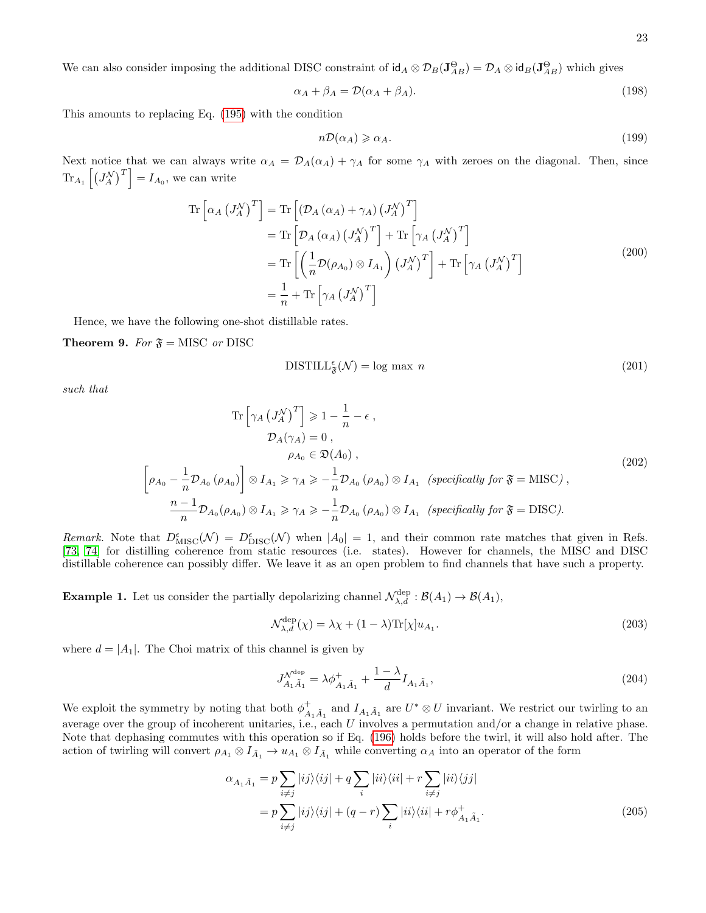We can also consider imposing the additional DISC constraint of  $\mathsf{id}_A \otimes \mathcal{D}_B(\mathbf{J}_{AB}^{\Theta}) = \mathcal{D}_A \otimes \mathsf{id}_B(\mathbf{J}_{AB}^{\Theta})$  which gives

$$
\alpha_A + \beta_A = \mathcal{D}(\alpha_A + \beta_A). \tag{198}
$$

This amounts to replacing Eq. [\(195\)](#page-21-1) with the condition

<span id="page-22-0"></span>
$$
n\mathcal{D}(\alpha_A) \geq \alpha_A. \tag{199}
$$

Next notice that we can always write  $\alpha_A = \mathcal{D}_A(\alpha_A) + \gamma_A$  for some  $\gamma_A$  with zeroes on the diagonal. Then, since  $\text{Tr}_{A_1}\left[\left(J_A^{\mathcal{N}}\right)^T\right] = I_{A_0}$ , we can write

$$
\operatorname{Tr}\left[\alpha_{A}\left(J_{A}^{\mathcal{N}}\right)^{T}\right] = \operatorname{Tr}\left[\left(\mathcal{D}_{A}\left(\alpha_{A}\right) + \gamma_{A}\right)\left(J_{A}^{\mathcal{N}}\right)^{T}\right] \n= \operatorname{Tr}\left[\mathcal{D}_{A}\left(\alpha_{A}\right)\left(J_{A}^{\mathcal{N}}\right)^{T}\right] + \operatorname{Tr}\left[\gamma_{A}\left(J_{A}^{\mathcal{N}}\right)^{T}\right] \n= \operatorname{Tr}\left[\left(\frac{1}{n}\mathcal{D}(\rho_{A_{0}}) \otimes I_{A_{1}}\right)\left(J_{A}^{\mathcal{N}}\right)^{T}\right] + \operatorname{Tr}\left[\gamma_{A}\left(J_{A}^{\mathcal{N}}\right)^{T}\right] \n= \frac{1}{n} + \operatorname{Tr}\left[\gamma_{A}\left(J_{A}^{\mathcal{N}}\right)^{T}\right]
$$
\n(200)

Hence, we have the following one-shot distillable rates.

**Theorem 9.** For  $\mathfrak{F} =$  MISC or DISC

 $\lceil$ 

$$
\text{DISTILL}_{\mathfrak{F}}^{\epsilon}(\mathcal{N}) = \log \max n \tag{201}
$$

such that

$$
\operatorname{Tr}\left[\gamma_{A}\left(J_{A}^{\mathcal{N}}\right)^{T}\right] \geqslant 1 - \frac{1}{n} - \epsilon ,
$$
\n
$$
\mathcal{D}_{A}(\gamma_{A}) = 0 ,
$$
\n
$$
\rho_{A_{0}} \in \mathfrak{D}(A_{0}) ,
$$
\n
$$
\rho_{A_{0}} - \frac{1}{n}\mathcal{D}_{A_{0}}(\rho_{A_{0}}) \right] \otimes I_{A_{1}} \geqslant \gamma_{A} \geqslant -\frac{1}{n}\mathcal{D}_{A_{0}}(\rho_{A_{0}}) \otimes I_{A_{1}} \quad \text{(specifically for } \mathfrak{F} = \text{MISC}) ,
$$
\n
$$
\frac{n-1}{n}\mathcal{D}_{A_{0}}(\rho_{A_{0}}) \otimes I_{A_{1}} \geqslant \gamma_{A} \geqslant -\frac{1}{n}\mathcal{D}_{A_{0}}(\rho_{A_{0}}) \otimes I_{A_{1}} \quad \text{(specifically for } \mathfrak{F} = \text{DISC}).
$$
\n
$$
(202)
$$

Remark. Note that  $D_{\text{MISC}}^{\epsilon}(\mathcal{N}) = D_{\text{DISC}}^{\epsilon}(\mathcal{N})$  when  $|A_0| = 1$ , and their common rate matches that given in Refs. [\[73,](#page-26-30) [74\]](#page-26-31) for distilling coherence from static resources (i.e. states). However for channels, the MISC and DISC distillable coherence can possibly differ. We leave it as an open problem to find channels that have such a property.

**Example 1.** Let us consider the partially depolarizing channel  $\mathcal{N}_{\lambda,d}^{\text{dep}} : \mathcal{B}(A_1) \to \mathcal{B}(A_1)$ ,

$$
\mathcal{N}_{\lambda,d}^{\text{dep}}(\chi) = \lambda \chi + (1 - \lambda) \text{Tr}[\chi] u_{A_1}.
$$
\n(203)

where  $d = |A_1|$ . The Choi matrix of this channel is given by

$$
J_{A_1\tilde{A}_1}^{\mathcal{N}^{\text{dep}}} = \lambda \phi_{A_1\tilde{A}_1}^+ + \frac{1-\lambda}{d} I_{A_1\tilde{A}_1},\tag{204}
$$

We exploit the symmetry by noting that both  $\phi_{A_1\tilde{A}_1}^+$  and  $I_{A_1\tilde{A}_1}$  are  $U^*\otimes U$  invariant. We restrict our twirling to an average over the group of incoherent unitaries, i.e., each  $U$  involves a permutation and/or a change in relative phase. Note that dephasing commutes with this operation so if Eq. [\(196\)](#page-21-2) holds before the twirl, it will also hold after. The action of twirling will convert  $\rho_{A_1} \otimes I_{\tilde{A}_1} \to u_{A_1} \otimes I_{\tilde{A}_1}$  while converting  $\alpha_A$  into an operator of the form

$$
\alpha_{A_1\tilde{A}_1} = p \sum_{i \neq j} |ij\rangle\langle ij| + q \sum_i |ii\rangle\langle ii| + r \sum_{i \neq j} |ii\rangle\langle jj|
$$
  

$$
= p \sum_{i \neq j} |ij\rangle\langle ij| + (q - r) \sum_i |ii\rangle\langle ii| + r\phi^+_{A_1\tilde{A}_1}.
$$
 (205)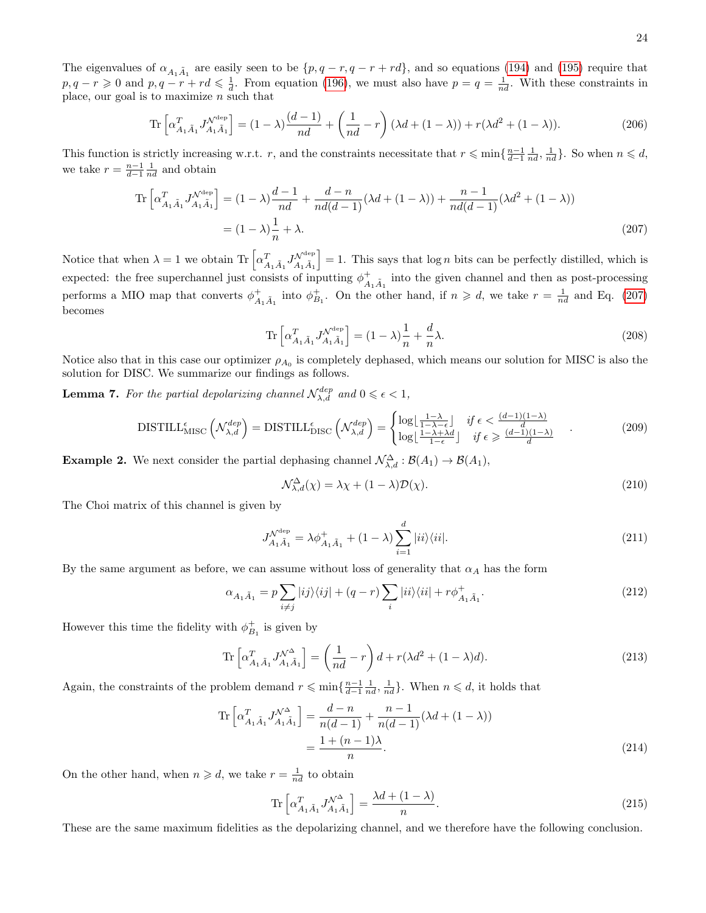The eigenvalues of  $\alpha_{A_1\tilde{A}_1}$  are easily seen to be  $\{p,q-r,q-r+rd\}$ , and so equations [\(194\)](#page-21-3) and [\(195\)](#page-21-1) require that  $p, q - r \geqslant 0$  and  $p, q - r + rd \leqslant \frac{1}{d}$ . From equation [\(196\)](#page-21-2), we must also have  $p = q = \frac{1}{nd}$ . With these constraints in place, our goal is to maximize  $n$  such that

$$
\operatorname{Tr}\left[\alpha_{A_1\tilde{A}_1}^T J_{A_1\tilde{A}_1}^{\mathcal{N}^{\text{dep}}}\right] = (1-\lambda)\frac{(d-1)}{nd} + \left(\frac{1}{nd} - r\right)(\lambda d + (1-\lambda)) + r(\lambda d^2 + (1-\lambda)).\tag{206}
$$

This function is strictly increasing w.r.t. r, and the constraints necessitate that  $r \leq \min\{\frac{n-1}{d-1}\frac{1}{nd}, \frac{1}{nd}\}\.$  So when  $n \leq d$ , we take  $r = \frac{n-1}{d-1} \frac{1}{nd}$  and obtain

$$
\operatorname{Tr}\left[\alpha_{A_1\tilde{A}_1}^T J_{A_1\tilde{A}_1}^{\mathcal{N}^{\text{dep}}}\right] = (1 - \lambda) \frac{d - 1}{nd} + \frac{d - n}{nd(d - 1)} (\lambda d + (1 - \lambda)) + \frac{n - 1}{nd(d - 1)} (\lambda d^2 + (1 - \lambda))
$$

$$
= (1 - \lambda) \frac{1}{n} + \lambda.
$$
 (207)

Notice that when  $\lambda = 1$  we obtain Tr  $\left[ \alpha_{A_1 \tilde{A}_1}^T J_{A_1 \tilde{A}_1}^{\mathcal{N}^{\text{dep}}} \right]$  $\vert = 1$ . This says that  $\log n$  bits can be perfectly distilled, which is expected: the free superchannel just consists of inputting  $\phi_{A_1\tilde{A}_1}^+$  into the given channel and then as post-processing performs a MIO map that converts  $\phi_{A_1\tilde{A}_1}^+$  into  $\phi_{B_1}^+$ . On the other hand, if  $n \geq d$ , we take  $r = \frac{1}{nd}$  and Eq. [\(207\)](#page-23-0) becomes

<span id="page-23-0"></span>
$$
\operatorname{Tr}\left[\alpha_{A_1\tilde{A}_1}^T J_{A_1\tilde{A}_1}^{\mathcal{N}^{\text{dep}}}\right] = (1 - \lambda)\frac{1}{n} + \frac{d}{n}\lambda. \tag{208}
$$

Notice also that in this case our optimizer  $\rho_{A_0}$  is completely dephased, which means our solution for MISC is also the solution for DISC. We summarize our findings as follows.

**Lemma 7.** For the partial depolarizing channel  $\mathcal{N}_{\lambda,d}^{dep}$  and  $0 \leq \epsilon < 1$ ,

$$
\text{DISTILL}^{\epsilon}_{\text{MISC}}\left(\mathcal{N}^{dep}_{\lambda,d}\right) = \text{DISTILL}^{\epsilon}_{\text{DISC}}\left(\mathcal{N}^{dep}_{\lambda,d}\right) = \begin{cases} \log\left(\frac{1-\lambda}{1-\lambda-\epsilon}\right) & \text{if } \epsilon < \frac{(d-1)(1-\lambda)}{d} \\ \log\left(\frac{1-\lambda+\lambda d}{1-\epsilon}\right) & \text{if } \epsilon \geqslant \frac{(d-1)(1-\lambda)}{d} \end{cases} \tag{209}
$$

**Example 2.** We next consider the partial dephasing channel  $\mathcal{N}^{\Delta}_{\lambda,d} : \mathcal{B}(A_1) \to \mathcal{B}(A_1)$ ,

$$
\mathcal{N}_{\lambda,d}^{\Delta}(\chi) = \lambda \chi + (1 - \lambda) \mathcal{D}(\chi). \tag{210}
$$

The Choi matrix of this channel is given by

$$
J_{A_1\tilde{A}_1}^{\mathcal{N}^{\text{dep}}} = \lambda \phi_{A_1\tilde{A}_1}^+ + (1 - \lambda) \sum_{i=1}^d |ii\rangle\langle ii|.
$$
 (211)

By the same argument as before, we can assume without loss of generality that  $\alpha_A$  has the form

$$
\alpha_{A_1\tilde{A}_1} = p \sum_{i \neq j} |ij\rangle\langle ij| + (q - r) \sum_i |ii\rangle\langle ii| + r\phi^+_{A_1\tilde{A}_1}.
$$
\n(212)

However this time the fidelity with  $\phi_{B_1}^+$  is given by

$$
\operatorname{Tr}\left[\alpha_{A_1\tilde{A}_1}^T J_{A_1\tilde{A}_1}^{\mathcal{N}^{\Delta}}\right] = \left(\frac{1}{nd} - r\right)d + r(\lambda d^2 + (1 - \lambda)d). \tag{213}
$$

Again, the constraints of the problem demand  $r \leqslant \min\{\frac{n-1}{d-1}\frac{1}{nd},\frac{1}{nd}\}\.$  When  $n \leqslant d$ , it holds that

$$
\operatorname{Tr}\left[\alpha_{A_1\tilde{A}_1}^T J_{A_1\tilde{A}_1}^{\mathcal{N}^{\Delta}}\right] = \frac{d-n}{n(d-1)} + \frac{n-1}{n(d-1)}(\lambda d + (1-\lambda))
$$

$$
= \frac{1 + (n-1)\lambda}{n}.
$$
 (214)

On the other hand, when  $n \geq d$ , we take  $r = \frac{1}{nd}$  to obtain

$$
\operatorname{Tr}\left[\alpha_{A_1\tilde{A}_1}^T J_{A_1\tilde{A}_1}^{\mathcal{N}^{\Delta}}\right] = \frac{\lambda d + (1 - \lambda)}{n}.
$$
\n(215)

These are the same maximum fidelities as the depolarizing channel, and we therefore have the following conclusion.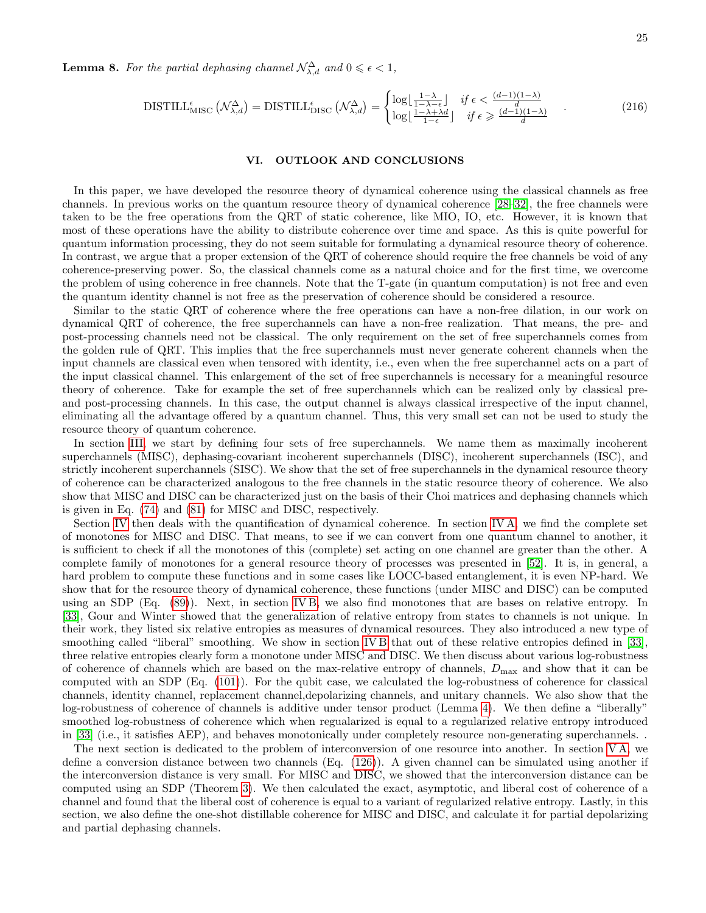**Lemma 8.** For the partial dephasing channel  $\mathcal{N}^{\Delta}_{\lambda,d}$  and  $0 \leq \epsilon < 1$ ,

$$
\text{DISTILL}^{\epsilon}_{\text{MISC}}\left(\mathcal{N}^{\Delta}_{\lambda,d}\right) = \text{DISTILL}^{\epsilon}_{\text{DISC}}\left(\mathcal{N}^{\Delta}_{\lambda,d}\right) = \begin{cases} \log\left[\frac{1-\lambda}{1-\lambda-\epsilon}\right] & \text{if } \epsilon < \frac{(d-1)(1-\lambda)}{d} \\ \log\left[\frac{1-\lambda+\lambda d}{1-\epsilon}\right] & \text{if } \epsilon \geq \frac{(d-1)(1-\lambda)}{d} \end{cases} \tag{216}
$$

## VI. OUTLOOK AND CONCLUSIONS

In this paper, we have developed the resource theory of dynamical coherence using the classical channels as free channels. In previous works on the quantum resource theory of dynamical coherence [\[28](#page-25-15)[–32\]](#page-26-0), the free channels were taken to be the free operations from the QRT of static coherence, like MIO, IO, etc. However, it is known that most of these operations have the ability to distribute coherence over time and space. As this is quite powerful for quantum information processing, they do not seem suitable for formulating a dynamical resource theory of coherence. In contrast, we argue that a proper extension of the QRT of coherence should require the free channels be void of any coherence-preserving power. So, the classical channels come as a natural choice and for the first time, we overcome the problem of using coherence in free channels. Note that the T-gate (in quantum computation) is not free and even the quantum identity channel is not free as the preservation of coherence should be considered a resource.

Similar to the static QRT of coherence where the free operations can have a non-free dilation, in our work on dynamical QRT of coherence, the free superchannels can have a non-free realization. That means, the pre- and post-processing channels need not be classical. The only requirement on the set of free superchannels comes from the golden rule of QRT. This implies that the free superchannels must never generate coherent channels when the input channels are classical even when tensored with identity, i.e., even when the free superchannel acts on a part of the input classical channel. This enlargement of the set of free superchannels is necessary for a meaningful resource theory of coherence. Take for example the set of free superchannels which can be realized only by classical preand post-processing channels. In this case, the output channel is always classical irrespective of the input channel, eliminating all the advantage offered by a quantum channel. Thus, this very small set can not be used to study the resource theory of quantum coherence.

In section [III,](#page-8-2) we start by defining four sets of free superchannels. We name them as maximally incoherent superchannels (MISC), dephasing-covariant incoherent superchannels (DISC), incoherent superchannels (ISC), and strictly incoherent superchannels (SISC). We show that the set of free superchannels in the dynamical resource theory of coherence can be characterized analogous to the free channels in the static resource theory of coherence. We also show that MISC and DISC can be characterized just on the basis of their Choi matrices and dephasing channels which is given in Eq. [\(74\)](#page-10-2) and [\(81\)](#page-11-3) for MISC and DISC, respectively.

Section [IV](#page-11-4) then deals with the quantification of dynamical coherence. In section [IV A,](#page-12-4) we find the complete set of monotones for MISC and DISC. That means, to see if we can convert from one quantum channel to another, it is sufficient to check if all the monotones of this (complete) set acting on one channel are greater than the other. A complete family of monotones for a general resource theory of processes was presented in [\[52\]](#page-26-16). It is, in general, a hard problem to compute these functions and in some cases like LOCC-based entanglement, it is even NP-hard. We show that for the resource theory of dynamical coherence, these functions (under MISC and DISC) can be computed using an SDP (Eq. [\(89\)](#page-12-5)). Next, in section [IV B,](#page-13-0) we also find monotones that are bases on relative entropy. In [\[33\]](#page-26-1), Gour and Winter showed that the generalization of relative entropy from states to channels is not unique. In their work, they listed six relative entropies as measures of dynamical resources. They also introduced a new type of smoothing called "liberal" smoothing. We show in section [IV B](#page-13-0) that out of these relative entropies defined in [\[33\]](#page-26-1), three relative entropies clearly form a monotone under MISC and DISC. We then discuss about various log-robustness of coherence of channels which are based on the max-relative entropy of channels,  $D_{\text{max}}$  and show that it can be computed with an SDP (Eq. [\(101\)](#page-14-1)). For the qubit case, we calculated the log-robustness of coherence for classical channels, identity channel, replacement channel,depolarizing channels, and unitary channels. We also show that the log-robustness of coherence of channels is additive under tensor product (Lemma [4\)](#page-14-2). We then define a "liberally" smoothed log-robustness of coherence which when regualarized is equal to a regularized relative entropy introduced in [\[33\]](#page-26-1) (i.e., it satisfies AEP), and behaves monotonically under completely resource non-generating superchannels. .

The next section is dedicated to the problem of interconversion of one resource into another. In section [V A,](#page-16-2) we define a conversion distance between two channels (Eq. [\(126\)](#page-16-3)). A given channel can be simulated using another if the interconversion distance is very small. For MISC and DISC, we showed that the interconversion distance can be computed using an SDP (Theorem [3\)](#page-16-4). We then calculated the exact, asymptotic, and liberal cost of coherence of a channel and found that the liberal cost of coherence is equal to a variant of regularized relative entropy. Lastly, in this section, we also define the one-shot distillable coherence for MISC and DISC, and calculate it for partial depolarizing and partial dephasing channels.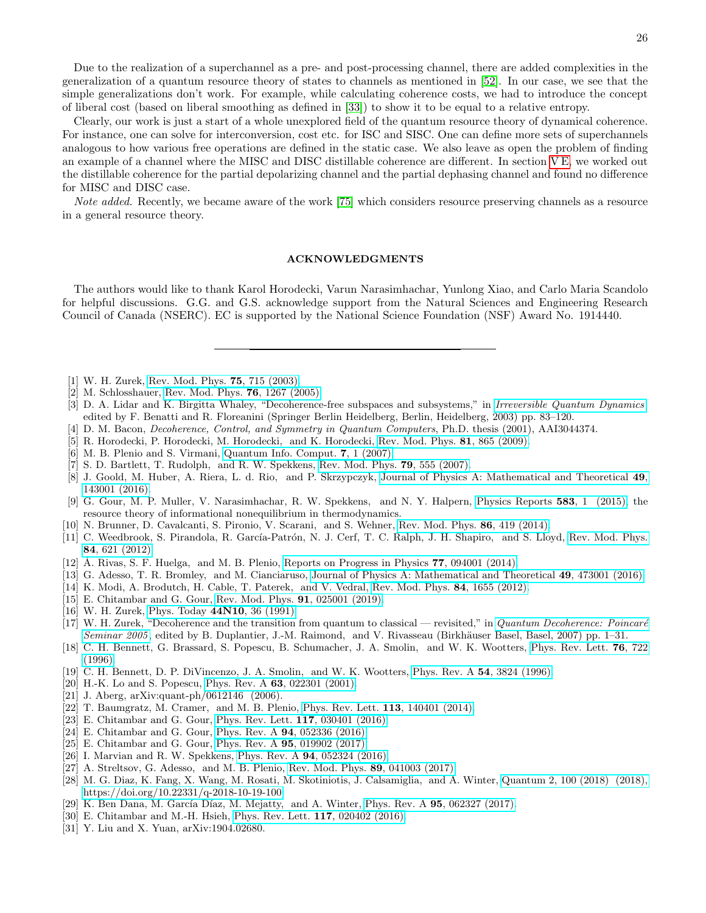Due to the realization of a superchannel as a pre- and post-processing channel, there are added complexities in the generalization of a quantum resource theory of states to channels as mentioned in [\[52\]](#page-26-16). In our case, we see that the simple generalizations don't work. For example, while calculating coherence costs, we had to introduce the concept of liberal cost (based on liberal smoothing as defined in [\[33\]](#page-26-1)) to show it to be equal to a relative entropy.

Clearly, our work is just a start of a whole unexplored field of the quantum resource theory of dynamical coherence. For instance, one can solve for interconversion, cost etc. for ISC and SISC. One can define more sets of superchannels analogous to how various free operations are defined in the static case. We also leave as open the problem of finding an example of a channel where the MISC and DISC distillable coherence are different. In section [V E,](#page-21-4) we worked out the distillable coherence for the partial depolarizing channel and the partial dephasing channel and found no difference for MISC and DISC case.

Note added. Recently, we became aware of the work [\[75\]](#page-26-32) which considers resource preserving channels as a resource in a general resource theory.

## ACKNOWLEDGMENTS

The authors would like to thank Karol Horodecki, Varun Narasimhachar, Yunlong Xiao, and Carlo Maria Scandolo for helpful discussions. G.G. and G.S. acknowledge support from the Natural Sciences and Engineering Research Council of Canada (NSERC). EC is supported by the National Science Foundation (NSF) Award No. 1914440.

- <span id="page-25-0"></span>[1] W. H. Zurek, [Rev. Mod. Phys.](http://dx.doi.org/10.1103/RevModPhys.75.715) 75, 715 (2003).
- [2] M. Schlosshauer, [Rev. Mod. Phys.](http://dx.doi.org/10.1103/RevModPhys.76.1267) 76, 1267 (2005).
- <span id="page-25-1"></span>[3] D. A. Lidar and K. Birgitta Whaley, "Decoherence-free subspaces and subsystems," in [Irreversible Quantum Dynamics](http://dx.doi.org/10.1007/3-540-44874-8_5), edited by F. Benatti and R. Floreanini (Springer Berlin Heidelberg, Berlin, Heidelberg, 2003) pp. 83–120.
- <span id="page-25-2"></span>[4] D. M. Bacon, Decoherence, Control, and Symmetry in Quantum Computers, Ph.D. thesis (2001), AAI3044374.
- <span id="page-25-3"></span>[5] R. Horodecki, P. Horodecki, M. Horodecki, and K. Horodecki, [Rev. Mod. Phys.](http://dx.doi.org/10.1103/RevModPhys.81.865) 81, 865 (2009).
- <span id="page-25-8"></span>[6] M. B. Plenio and S. Virmani, [Quantum Info. Comput.](http://dl.acm.org/citation.cfm?id=2011706.2011707) 7, 1 (2007).
- [7] S. D. Bartlett, T. Rudolph, and R. W. Spekkens, [Rev. Mod. Phys.](http://dx.doi.org/10.1103/RevModPhys.79.555) 79, 555 (2007).
- [8] J. Goold, M. Huber, A. Riera, L. d. Rio, and P. Skrzypczyk, [Journal of Physics A: Mathematical and Theoretical](http://dx.doi.org/ 10.1088/1751-8113/49/14/143001) 49, [143001 \(2016\).](http://dx.doi.org/ 10.1088/1751-8113/49/14/143001)
- [9] G. Gour, M. P. Muller, V. Narasimhachar, R. W. Spekkens, and N. Y. Halpern, [Physics Reports](http://dx.doi.org/ https://doi.org/10.1016/j.physrep.2015.04.003) 583, 1 (2015), the resource theory of informational nonequilibrium in thermodynamics.
- [10] N. Brunner, D. Cavalcanti, S. Pironio, V. Scarani, and S. Wehner, [Rev. Mod. Phys.](http://dx.doi.org/ 10.1103/RevModPhys.86.419) 86, 419 (2014).
- [11] C. Weedbrook, S. Pirandola, R. García-Patrón, N. J. Cerf, T. C. Ralph, J. H. Shapiro, and S. Lloyd, [Rev. Mod. Phys.](http://dx.doi.org/10.1103/RevModPhys.84.621) 84[, 621 \(2012\).](http://dx.doi.org/10.1103/RevModPhys.84.621)
- $[12]$  Á. Rivas, S. F. Huelga, and M. B. Plenio, [Reports on Progress in Physics](http://dx.doi.org/10.1088/0034-4885/77/9/094001)  $77$ , 094001 (2014).
- [13] G. Adesso, T. R. Bromley, and M. Cianciaruso, [Journal of Physics A: Mathematical and Theoretical](http://dx.doi.org/10.1088/1751-8113/49/47/473001) 49, 473001 (2016).
- <span id="page-25-4"></span>[14] K. Modi, A. Brodutch, H. Cable, T. Paterek, and V. Vedral, [Rev. Mod. Phys.](http://dx.doi.org/ 10.1103/RevModPhys.84.1655) 84, 1655 (2012).
- <span id="page-25-5"></span>[15] E. Chitambar and G. Gour, [Rev. Mod. Phys.](http://dx.doi.org/10.1103/RevModPhys.91.025001) 91, 025001 (2019).
- <span id="page-25-6"></span>[16] W. H. Zurek, [Phys. Today](http://dx.doi.org/10.1063/1.881293) 44N10, 36 (1991).
- <span id="page-25-7"></span>[17] W. H. Zurek, "Decoherence and the transition from quantum to classical — revisited," in Quantum Decoherence: Poincaré [Seminar 2005](http://dx.doi.org/ 10.1007/978-3-7643-7808-0_1), edited by B. Duplantier, J.-M. Raimond, and V. Rivasseau (Birkhäuser Basel, Basel, 2007) pp. 1–31.
- <span id="page-25-9"></span>[18] C. H. Bennett, G. Brassard, S. Popescu, B. Schumacher, J. A. Smolin, and W. K. Wootters, [Phys. Rev. Lett.](http://dx.doi.org/ 10.1103/PhysRevLett.76.722) 76, 722 [\(1996\).](http://dx.doi.org/ 10.1103/PhysRevLett.76.722)
- [19] C. H. Bennett, D. P. DiVincenzo, J. A. Smolin, and W. K. Wootters, [Phys. Rev. A](http://dx.doi.org/10.1103/PhysRevA.54.3824) 54, 3824 (1996).
- <span id="page-25-10"></span>[20] H.-K. Lo and S. Popescu, Phys. Rev. A 63[, 022301 \(2001\).](http://dx.doi.org/10.1103/PhysRevA.63.022301)
- <span id="page-25-11"></span>[21] J. Aberg, arXiv:quant-ph/0612146 (2006).
- <span id="page-25-17"></span>[22] T. Baumgratz, M. Cramer, and M. B. Plenio, [Phys. Rev. Lett.](http://dx.doi.org/10.1103/PhysRevLett.113.140401) 113, 140401 (2014).
- <span id="page-25-13"></span>[23] E. Chitambar and G. Gour, [Phys. Rev. Lett.](http://dx.doi.org/10.1103/PhysRevLett.117.030401) 117, 030401 (2016).
- [24] E. Chitambar and G. Gour, Phys. Rev. A 94[, 052336 \(2016\).](http://dx.doi.org/10.1103/PhysRevA.94.052336)
- <span id="page-25-18"></span>[25] E. Chitambar and G. Gour, Phys. Rev. A 95[, 019902 \(2017\).](http://dx.doi.org/10.1103/PhysRevA.95.019902)
- <span id="page-25-12"></span>[26] I. Marvian and R. W. Spekkens, Phys. Rev. A **94**[, 052324 \(2016\).](http://dx.doi.org/10.1103/PhysRevA.94.052324)
- <span id="page-25-14"></span>[27] A. Streltsov, G. Adesso, and M. B. Plenio, [Rev. Mod. Phys.](http://dx.doi.org/10.1103/RevModPhys.89.041003) 89, 041003 (2017).
- <span id="page-25-15"></span>[28] M. G. Diaz, K. Fang, X. Wang, M. Rosati, M. Skotiniotis, J. Calsamiglia, and A. Winter, [Quantum 2, 100 \(2018\) \(2018\),](http://dx.doi.org/ https://doi.org/10.22331/q-2018-10-19-100) [https://doi.org/10.22331/q-2018-10-19-100.](http://dx.doi.org/ https://doi.org/10.22331/q-2018-10-19-100)
- [29] K. Ben Dana, M. García Díaz, M. Mejatty, and A. Winter, Phys. Rev. A 95[, 062327 \(2017\).](http://dx.doi.org/10.1103/PhysRevA.95.062327)
- [30] E. Chitambar and M.-H. Hsieh, [Phys. Rev. Lett.](http://dx.doi.org/10.1103/PhysRevLett.117.020402) **117**, 020402 (2016).
- <span id="page-25-16"></span>[31] Y. Liu and X. Yuan, arXiv:1904.02680.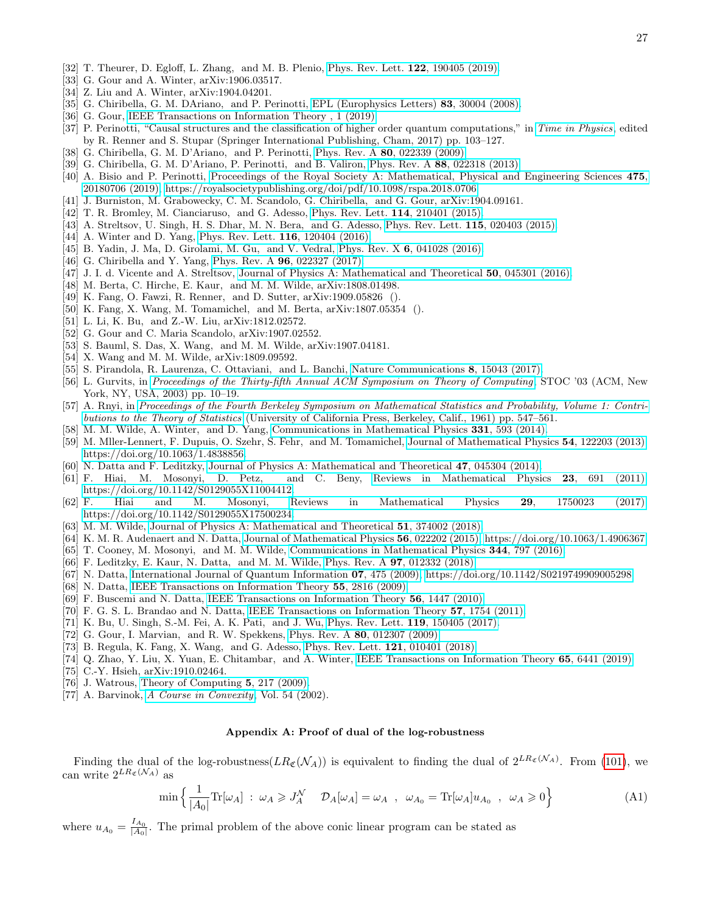- <span id="page-26-0"></span>[32] T. Theurer, D. Egloff, L. Zhang, and M. B. Plenio, [Phys. Rev. Lett.](http://dx.doi.org/10.1103/PhysRevLett.122.190405) 122, 190405 (2019).
- <span id="page-26-1"></span>[33] G. Gour and A. Winter, arXiv:1906.03517.
- <span id="page-26-2"></span>[34] Z. Liu and A. Winter, arXiv:1904.04201.
- <span id="page-26-3"></span>[35] G. Chiribella, G. M. DAriano, and P. Perinotti, [EPL \(Europhysics Letters\)](http://dx.doi.org/10.1209/0295-5075/83/30004) 83, 30004 (2008).
- <span id="page-26-4"></span>[36] G. Gour, IEEE Transactions on Information Theory, 1 (2019).
- [37] P. Perinotti, "Causal structures and the classification of higher order quantum computations," in [Time in Physics](http://dx.doi.org/ 10.1007/978-3-319-68655-4_7), edited by R. Renner and S. Stupar (Springer International Publishing, Cham, 2017) pp. 103–127.
- [38] G. Chiribella, G. M. D'Ariano, and P. Perinotti, Phys. Rev. A **80**[, 022339 \(2009\).](http://dx.doi.org/10.1103/PhysRevA.80.022339)
- [39] G. Chiribella, G. M. D'Ariano, P. Perinotti, and B. Valiron, Phys. Rev. A 88[, 022318 \(2013\).](http://dx.doi.org/10.1103/PhysRevA.88.022318)
- [40] A. Bisio and P. Perinotti, [Proceedings of the Royal Society A: Mathematical, Physical and Engineering Sciences](http://dx.doi.org/10.1098/rspa.2018.0706) 475, [20180706 \(2019\),](http://dx.doi.org/10.1098/rspa.2018.0706) [https://royalsocietypublishing.org/doi/pdf/10.1098/rspa.2018.0706.](http://arxiv.org/abs/https://royalsocietypublishing.org/doi/pdf/10.1098/rspa.2018.0706)
- <span id="page-26-5"></span>[41] J. Burniston, M. Grabowecky, C. M. Scandolo, G. Chiribella, and G. Gour, arXiv:1904.09161.
- <span id="page-26-6"></span>[42] T. R. Bromley, M. Cianciaruso, and G. Adesso, [Phys. Rev. Lett.](http://dx.doi.org/ 10.1103/PhysRevLett.114.210401) 114, 210401 (2015).
- [43] A. Streltsov, U. Singh, H. S. Dhar, M. N. Bera, and G. Adesso, [Phys. Rev. Lett.](http://dx.doi.org/ 10.1103/PhysRevLett.115.020403) 115, 020403 (2015).
- <span id="page-26-7"></span>[44] A. Winter and D. Yang, [Phys. Rev. Lett.](http://dx.doi.org/10.1103/PhysRevLett.116.120404) **116**, 120404 (2016).
- <span id="page-26-8"></span>[45] B. Yadin, J. Ma, D. Girolami, M. Gu, and V. Vedral, Phys. Rev. X 6[, 041028 \(2016\).](http://dx.doi.org/ 10.1103/PhysRevX.6.041028)
- <span id="page-26-9"></span>[46] G. Chiribella and Y. Yang, Phys. Rev. A **96**[, 022327 \(2017\).](http://dx.doi.org/10.1103/PhysRevA.96.022327)
- <span id="page-26-10"></span>[47] J. I. d. Vicente and A. Streltsov, [Journal of Physics A: Mathematical and Theoretical](http://dx.doi.org/ 10.1088/1751-8121/50/4/045301) 50, 045301 (2016).
- <span id="page-26-11"></span>[48] M. Berta, C. Hirche, E. Kaur, and M. M. Wilde, arXiv:1808.01498.
- <span id="page-26-12"></span>[49] K. Fang, O. Fawzi, R. Renner, and D. Sutter, arXiv:1909.05826 ().
- <span id="page-26-13"></span>[50] K. Fang, X. Wang, M. Tomamichel, and M. Berta, arXiv:1807.05354 ().
- <span id="page-26-14"></span>[51] L. Li, K. Bu, and Z.-W. Liu, arXiv:1812.02572.
- <span id="page-26-16"></span>[52] G. Gour and C. Maria Scandolo, arXiv:1907.02552.
- [53] S. Bauml, S. Das, X. Wang, and M. M. Wilde, arXiv:1907.04181.
- [54] X. Wang and M. M. Wilde, arXiv:1809.09592.
- <span id="page-26-15"></span>[55] S. Pirandola, R. Laurenza, C. Ottaviani, and L. Banchi, [Nature Communications](http://dx.doi.org/10.1038/ncomms15043) 8, 15043 (2017).
- <span id="page-26-17"></span>[56] L. Gurvits, in [Proceedings of the Thirty-fifth Annual ACM Symposium on Theory of Computing](http://dx.doi.org/10.1145/780542.780545), STOC '03 (ACM, New York, NY, USA, 2003) pp. 10–19.
- <span id="page-26-18"></span>[57] A. Rnyi, in [Proceedings of the Fourth Berkeley Symposium on Mathematical Statistics and Probability, Volume 1: Contri](https://projecteuclid.org/euclid.bsmsp/1200512181)[butions to the Theory of Statistics](https://projecteuclid.org/euclid.bsmsp/1200512181) (University of California Press, Berkeley, Calif., 1961) pp. 547–561.
- <span id="page-26-19"></span>[58] M. M. Wilde, A. Winter, and D. Yang, [Communications in Mathematical Physics](http://dx.doi.org/10.1007/s00220-014-2122-x) 331, 593 (2014).
- [59] M. Mller-Lennert, F. Dupuis, O. Szehr, S. Fehr, and M. Tomamichel, [Journal of Mathematical Physics](http://dx.doi.org/ 10.1063/1.4838856) 54, 122203 (2013), [https://doi.org/10.1063/1.4838856.](http://arxiv.org/abs/https://doi.org/10.1063/1.4838856)
- <span id="page-26-20"></span>[60] N. Datta and F. Leditzky, [Journal of Physics A: Mathematical and Theoretical](http://dx.doi.org/10.1088/1751-8113/47/4/045304) 47, 045304 (2014).
- <span id="page-26-21"></span>[61] F. Hiai, M. Mosonyi, D. Petz, and C. Beny, [Reviews in Mathematical Physics](http://dx.doi.org/ 10.1142/S0129055X11004412) 23, 691 (2011), [https://doi.org/10.1142/S0129055X11004412.](http://arxiv.org/abs/https://doi.org/10.1142/S0129055X11004412)
- [62] F. Hiai and M. Mosonyi, [Reviews in Mathematical Physics](http://dx.doi.org/10.1142/S0129055X17500234) 29, 1750023 (2017), [https://doi.org/10.1142/S0129055X17500234.](http://arxiv.org/abs/https://doi.org/10.1142/S0129055X17500234)
- <span id="page-26-22"></span>[63] M. M. Wilde, [Journal of Physics A: Mathematical and Theoretical](http://dx.doi.org/10.1088/1751-8121/aad5a1) 51, 374002 (2018).
- <span id="page-26-23"></span>[64] K. M. R. Audenaert and N. Datta, [Journal of Mathematical Physics](http://dx.doi.org/10.1063/1.4906367) 56, 022202 (2015), [https://doi.org/10.1063/1.4906367.](http://arxiv.org/abs/https://doi.org/10.1063/1.4906367)
- <span id="page-26-24"></span>[65] T. Cooney, M. Mosonyi, and M. M. Wilde, [Communications in Mathematical Physics](http://dx.doi.org/10.1007/s00220-016-2645-4) 344, 797 (2016).
- <span id="page-26-25"></span>[66] F. Leditzky, E. Kaur, N. Datta, and M. M. Wilde, Phys. Rev. A 97[, 012332 \(2018\).](http://dx.doi.org/ 10.1103/PhysRevA.97.012332)
- <span id="page-26-26"></span>[67] N. Datta, [International Journal of Quantum Information](http://dx.doi.org/10.1142/S0219749909005298) 07, 475 (2009), [https://doi.org/10.1142/S0219749909005298.](http://arxiv.org/abs/https://doi.org/10.1142/S0219749909005298)
- [68] N. Datta, [IEEE Transactions on Information Theory](http://dx.doi.org/10.1109/TIT.2009.2018325) 55, 2816 (2009).
- [69] F. Buscemi and N. Datta, [IEEE Transactions on Information Theory](http://dx.doi.org/10.1109/TIT.2009.2039166) 56, 1447 (2010).
- <span id="page-26-27"></span>[70] F. G. S. L. Brandao and N. Datta, [IEEE Transactions on Information Theory](http://dx.doi.org/10.1109/TIT.2011.2104531) 57, 1754 (2011).
- <span id="page-26-28"></span>[71] K. Bu, U. Singh, S.-M. Fei, A. K. Pati, and J. Wu, [Phys. Rev. Lett.](http://dx.doi.org/ 10.1103/PhysRevLett.119.150405) 119, 150405 (2017).
- <span id="page-26-29"></span>[72] G. Gour, I. Marvian, and R. W. Spekkens, Phys. Rev. A 80[, 012307 \(2009\).](http://dx.doi.org/10.1103/PhysRevA.80.012307)
- <span id="page-26-30"></span>[73] B. Regula, K. Fang, X. Wang, and G. Adesso, [Phys. Rev. Lett.](http://dx.doi.org/ 10.1103/PhysRevLett.121.010401) 121, 010401 (2018).
- <span id="page-26-31"></span>[74] Q. Zhao, Y. Liu, X. Yuan, E. Chitambar, and A. Winter, [IEEE Transactions on Information Theory](http://dx.doi.org/ 10.1109/TIT.2019.2911102) 65, 6441 (2019).
- <span id="page-26-32"></span>[75] C.-Y. Hsieh, arXiv:1910.02464.
- <span id="page-26-33"></span>[76] J. Watrous, [Theory of Computing](http://dx.doi.org/10.4086/toc.2009.v005a011) 5, 217 (2009).
- <span id="page-26-34"></span>[77] A. Barvinok, [A Course in Convexity](http://dx.doi.org/http://dx.doi.org/10.1090/gsm/054), Vol. 54 (2002).

### Appendix A: Proof of dual of the log-robustness

Finding the dual of the log-robustness( $LR_{\mathfrak{C}}(\mathcal{N}_A)$ ) is equivalent to finding the dual of  $2^{LR_{\mathfrak{C}}(\mathcal{N}_A)}$ . From [\(101\)](#page-14-1), we can write  $2^{LR_{\mathfrak{C}}(\mathcal{N}_A)}$  as

$$
\min\left\{\frac{1}{|A_0|}\text{Tr}[\omega_A] : \omega_A \geqslant J_A^{\mathcal{N}} \quad \mathcal{D}_A[\omega_A] = \omega_A \quad , \quad \omega_{A_0} = \text{Tr}[\omega_A]u_{A_0} \quad , \quad \omega_A \geqslant 0\right\} \tag{A1}
$$

where  $u_{A_0} = \frac{I_{A_0}}{|A_0|}$ . The primal problem of the above conic linear program can be stated as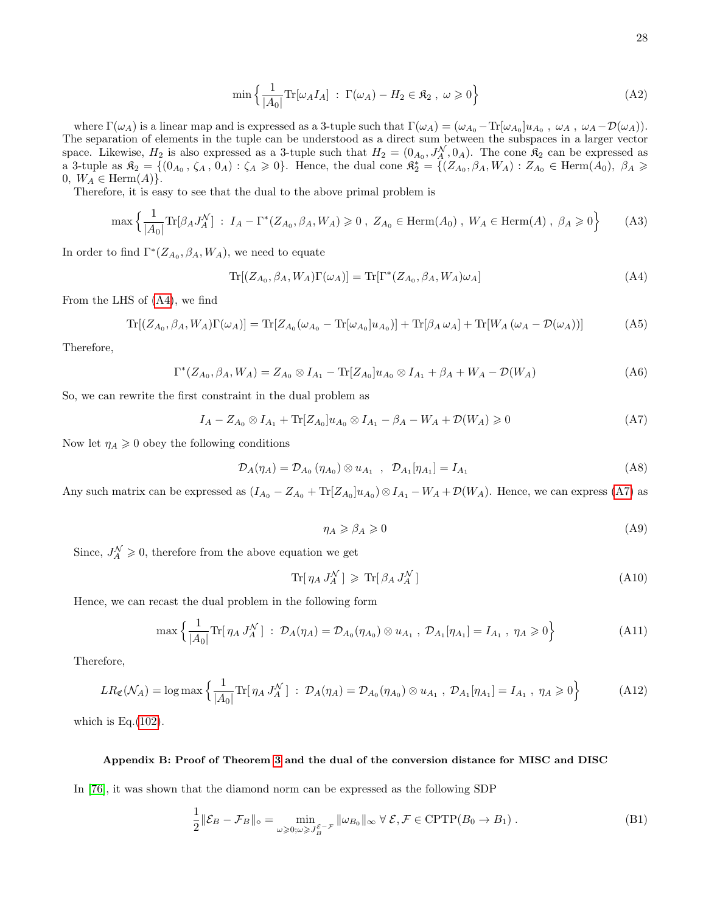$$
\min\left\{\frac{1}{|A_0|}\text{Tr}[\omega_A I_A] : \Gamma(\omega_A) - H_2 \in \mathfrak{K}_2, \ \omega \geq 0\right\} \tag{A2}
$$

where  $\Gamma(\omega_A)$  is a linear map and is expressed as a 3-tuple such that  $\Gamma(\omega_A) = (\omega_{A_0} - \text{Tr}[\omega_{A_0}]u_{A_0}, \omega_A, \omega_A - \mathcal{D}(\omega_A)).$ The separation of elements in the tuple can be understood as a direct sum between the subspaces in a larger vector space. Likewise,  $H_2$  is also expressed as a 3-tuple such that  $H_2 = (0_{A_0}, J_A^{\mathcal{N}}, 0_A)$ . The cone  $\mathfrak{K}_2$  can be expressed as a 3-tuple as  $\mathfrak{K}_2 = \{ (0_{A_0}, \zeta_A, 0_A) : \zeta_A \geq 0 \}$ . Hence, the dual cone  $\mathfrak{K}_2^* = \{ (Z_{A_0}, \beta_A, W_A) : Z_{A_0} \in \text{Herm}(A_0), \ \beta_A \geq 0 \}$ 0,  $W_A \in \text{Herm}(A)$ .

Therefore, it is easy to see that the dual to the above primal problem is

$$
\max\left\{\frac{1}{|A_0|}\text{Tr}[\beta_A J_A^{\mathcal{N}}]: I_A - \Gamma^*(Z_{A_0}, \beta_A, W_A) \geq 0 \, , \, Z_{A_0} \in \text{Herm}(A_0) \, , \, W_A \in \text{Herm}(A) \, , \, \beta_A \geq 0\right\} \tag{A3}
$$

In order to find  $\Gamma$ <sup>\*</sup>( $Z_{A_0}, \beta_A, W_A$ ), we need to equate

<span id="page-27-0"></span>
$$
\operatorname{Tr}[(Z_{A_0}, \beta_A, W_A)\Gamma(\omega_A)] = \operatorname{Tr}[\Gamma^*(Z_{A_0}, \beta_A, W_A)\omega_A]
$$
\n(A4)

From the LHS of [\(A4\)](#page-27-0), we find

$$
\operatorname{Tr}[(Z_{A_0}, \beta_A, W_A)\Gamma(\omega_A)] = \operatorname{Tr}[Z_{A_0}(\omega_{A_0} - \operatorname{Tr}[\omega_{A_0}]u_{A_0})] + \operatorname{Tr}[\beta_A \omega_A] + \operatorname{Tr}[W_A(\omega_A - \mathcal{D}(\omega_A))]
$$
(A5)

Therefore,

$$
\Gamma^*(Z_{A_0}, \beta_A, W_A) = Z_{A_0} \otimes I_{A_1} - \text{Tr}[Z_{A_0}]u_{A_0} \otimes I_{A_1} + \beta_A + W_A - \mathcal{D}(W_A)
$$
\n(A6)

So, we can rewrite the first constraint in the dual problem as

<span id="page-27-1"></span>
$$
I_A - Z_{A_0} \otimes I_{A_1} + \text{Tr}[Z_{A_0}]u_{A_0} \otimes I_{A_1} - \beta_A - W_A + \mathcal{D}(W_A) \ge 0
$$
 (A7)

Now let  $\eta_A \geq 0$  obey the following conditions

$$
\mathcal{D}_A(\eta_A) = \mathcal{D}_{A_0}(\eta_{A_0}) \otimes u_{A_1} , \quad \mathcal{D}_{A_1}[\eta_{A_1}] = I_{A_1}
$$
\n(A8)

Any such matrix can be expressed as  $(I_{A_0} - Z_{A_0} + \text{Tr}[Z_{A_0}]u_{A_0}) \otimes I_{A_1} - W_A + \mathcal{D}(W_A)$ . Hence, we can express [\(A7\)](#page-27-1) as

$$
\eta_A \geqslant \beta_A \geqslant 0 \tag{A9}
$$

Since,  $J_A^{\mathcal{N}} \geqslant 0$ , therefore from the above equation we get

$$
\text{Tr}[\eta_A J_A^{\mathcal{N}}] \geqslant \text{Tr}[\beta_A J_A^{\mathcal{N}}] \tag{A10}
$$

Hence, we can recast the dual problem in the following form

$$
\max\left\{\frac{1}{|A_0|}\text{Tr}[\,\eta_A J_A^{\mathcal{N}}\,] \ : \ \mathcal{D}_A(\eta_A) = \mathcal{D}_{A_0}(\eta_{A_0}) \otimes u_{A_1} \ , \ \mathcal{D}_{A_1}[\eta_{A_1}] = I_{A_1} \ , \ \eta_A \geqslant 0\right\} \tag{A11}
$$

Therefore,

$$
LR_{\mathfrak{C}}(\mathcal{N}_A) = \log \max \left\{ \frac{1}{|A_0|} \text{Tr}[\eta_A J_A^{\mathcal{N}}] : \mathcal{D}_A(\eta_A) = \mathcal{D}_{A_0}(\eta_{A_0}) \otimes u_{A_1} , \mathcal{D}_{A_1}[\eta_{A_1}] = I_{A_1} , \eta_A \geq 0 \right\}
$$
(A12)

which is Eq. $(102)$ .

### Appendix B: Proof of Theorem [3](#page-16-4) and the dual of the conversion distance for MISC and DISC

In [\[76\]](#page-26-33), it was shown that the diamond norm can be expressed as the following SDP

<span id="page-27-2"></span>
$$
\frac{1}{2} \|\mathcal{E}_B - \mathcal{F}_B\|_{\diamond} = \min_{\omega \geq 0; \omega \geq J_B^{c} - \mathcal{F}} \|\omega_{B_0}\|_{\infty} \ \forall \ \mathcal{E}, \mathcal{F} \in \text{CPTP}(B_0 \to B_1) \ .
$$
\n(B1)